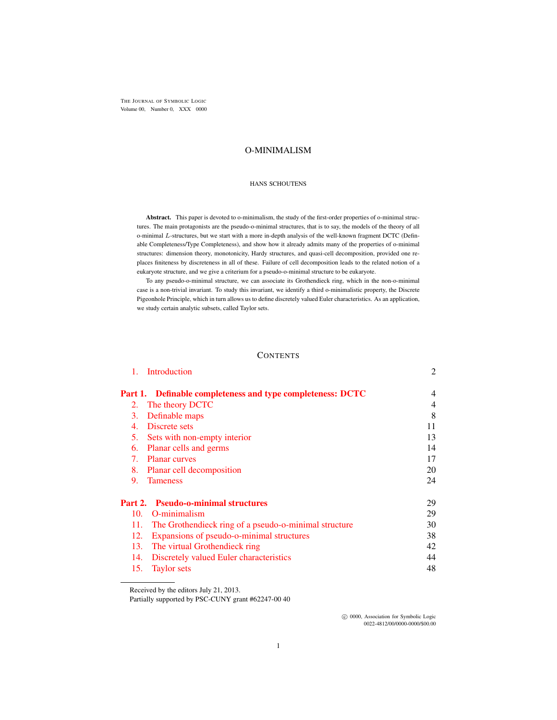THE JOURNAL OF SYMBOLIC LOGIC Volume 00, Number 0, XXX 0000

# O-MINIMALISM

#### HANS SCHOUTENS

Abstract. This paper is devoted to o-minimalism, the study of the first-order properties of o-minimal structures. The main protagonists are the pseudo-o-minimal structures, that is to say, the models of the theory of all o-minimal L-structures, but we start with a more in-depth analysis of the well-known fragment DCTC (Definable Completeness/Type Completeness), and show how it already admits many of the properties of o-minimal structures: dimension theory, monotonicity, Hardy structures, and quasi-cell decomposition, provided one replaces finiteness by discreteness in all of these. Failure of cell decomposition leads to the related notion of a eukaryote structure, and we give a criterium for a pseudo-o-minimal structure to be eukaryote.

To any pseudo-o-minimal structure, we can associate its Grothendieck ring, which in the non-o-minimal case is a non-trivial invariant. To study this invariant, we identify a third o-minimalistic property, the Discrete Pigeonhole Principle, which in turn allows us to define discretely valued Euler characteristics. As an application, we study certain analytic subsets, called Taylor sets.

## **CONTENTS**

| 1.  | Introduction                                                      | 2              |
|-----|-------------------------------------------------------------------|----------------|
|     | <b>Part 1.</b> Definable completeness and type completeness: DCTC | $\overline{4}$ |
| 2.  | The theory DCTC                                                   | $\overline{4}$ |
| 3.  | Definable maps                                                    | 8              |
| 4.  | Discrete sets                                                     | 11             |
|     | 5. Sets with non-empty interior                                   | 13             |
| 6.  | Planar cells and germs                                            | 14             |
| 7.  | <b>Planar curves</b>                                              | 17             |
| 8.  | Planar cell decomposition                                         | 20             |
| 9.  | <b>Tameness</b>                                                   | 24             |
|     | <b>Part 2.</b> Pseudo-o-minimal structures                        | 29             |
| 10. | O-minimalism                                                      | 29             |
| 11. | The Grothendieck ring of a pseudo-o-minimal structure             | 30             |
| 12. | Expansions of pseudo-o-minimal structures                         | 38             |
| 13. | The virtual Grothendieck ring                                     | 42             |
| 14. | Discretely valued Euler characteristics                           | 44             |
| 15. | <b>Taylor</b> sets                                                | 48             |

Received by the editors July 21, 2013.

Partially supported by PSC-CUNY grant #62247-00 40

 $\odot$  0000, Association for Symbolic Logic 0022-4812/00/0000-0000/\$00.00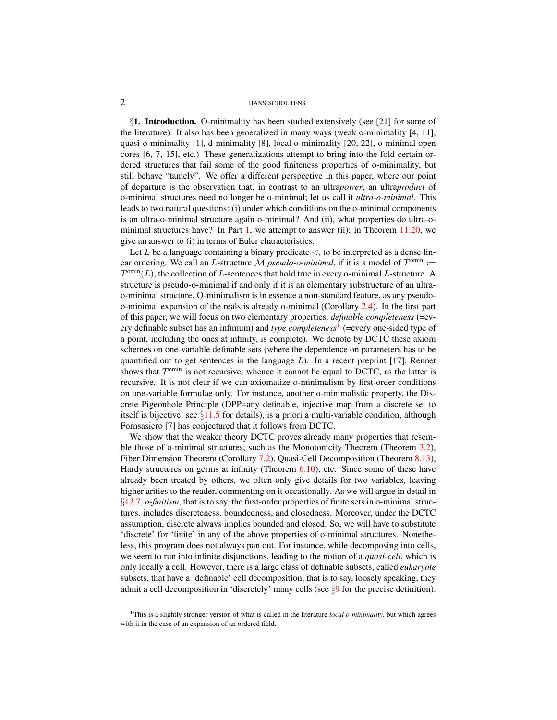<span id="page-1-0"></span>§1. Introduction. O-minimality has been studied extensively (see [21] for some of the literature). It also has been generalized in many ways (weak o-minimality [4, 11], quasi-o-minimality [1], d-minimality [8], local o-minimality [20, 22], o-minimal open cores [6, 7, 15], etc.) These generalizations attempt to bring into the fold certain ordered structures that fail some of the good finiteness properties of o-minimality, but still behave "tamely". We offer a different perspective in this paper, where our point of departure is the observation that, in contrast to an ultra*power*, an ultra*product* of o-minimal structures need no longer be o-minimal; let us call it *ultra-o-minimal*. This leads to two natural questions: (i) under which conditions on the o-minimal components is an ultra-o-minimal structure again o-minimal? And (ii), what properties do ultra-o-minimal structures have? In Part [1,](#page-3-0) we attempt to answer (ii); in Theorem  $11.20$ , we give an answer to (i) in terms of Euler characteristics.

Let L be a language containing a binary predicate  $\lt$ , to be interpreted as a dense linear ordering. We call an L-structure  $M$  *pseudo-o-minimal*, if it is a model of  $T^{omin}$  :=  $T^{omin}(L)$ , the collection of L-sentences that hold true in every o-minimal L-structure. A structure is pseudo-o-minimal if and only if it is an elementary substructure of an ultrao-minimal structure. O-minimalism is in essence a non-standard feature, as any pseudoo-minimal expansion of the reals is already o-minimal (Corollary [2.4\)](#page-5-0). In the first part of this paper, we will focus on two elementary properties, *definable completeness* (=every definable subset has an infimum) and *type completeness*[1](#page-1-1) (=every one-sided type of a point, including the ones at infinity, is complete). We denote by DCTC these axiom schemes on one-variable definable sets (where the dependence on parameters has to be quantified out to get sentences in the language  $L$ ). In a recent preprint [17], Rennet shows that  $T^{\text{omin}}$  is not recursive, whence it cannot be equal to DCTC, as the latter is recursive. It is not clear if we can axiomatize o-minimalism by first-order conditions on one-variable formulae only. For instance, another o-minimalistic property, the Discrete Pigeonhole Principle (DPP=any definable, injective map from a discrete set to itself is bijective; see  $\S11.5$  $\S11.5$  for details), is a priori a multi-variable condition, although Fornsasiero [7] has conjectured that it follows from DCTC.

We show that the weaker theory DCTC proves already many properties that resemble those of o-minimal structures, such as the Monotonicity Theorem (Theorem [3.2\)](#page-7-1), Fiber Dimension Theorem (Corollary [7.2\)](#page-16-1), Quasi-Cell Decomposition (Theorem [8.13\)](#page-22-0), Hardy structures on germs at infinity (Theorem [6.10\)](#page-15-0), etc. Since some of these have already been treated by others, we often only give details for two variables, leaving higher arities to the reader, commenting on it occasionally. As we will argue in detail in §[12.7,](#page-39-0) *o-finitism*, that is to say, the first-order properties of finite sets in o-minimal structures, includes discreteness, boundedness, and closedness. Moreover, under the DCTC assumption, discrete always implies bounded and closed. So, we will have to substitute 'discrete' for 'finite' in any of the above properties of o-minimal structures. Nonetheless, this program does not always pan out. For instance, while decomposing into cells, we seem to run into infinite disjunctions, leading to the notion of a *quasi-cell*, which is only locally a cell. However, there is a large class of definable subsets, called *eukaryote* subsets, that have a 'definable' cell decomposition, that is to say, loosely speaking, they admit a cell decomposition in 'discretely' many cells (see §[9](#page-23-0) for the precise definition).

<span id="page-1-1"></span><sup>1</sup>This is a slightly stronger version of what is called in the literature *local o-minimality*, but which agrees with it in the case of an expansion of an ordered field.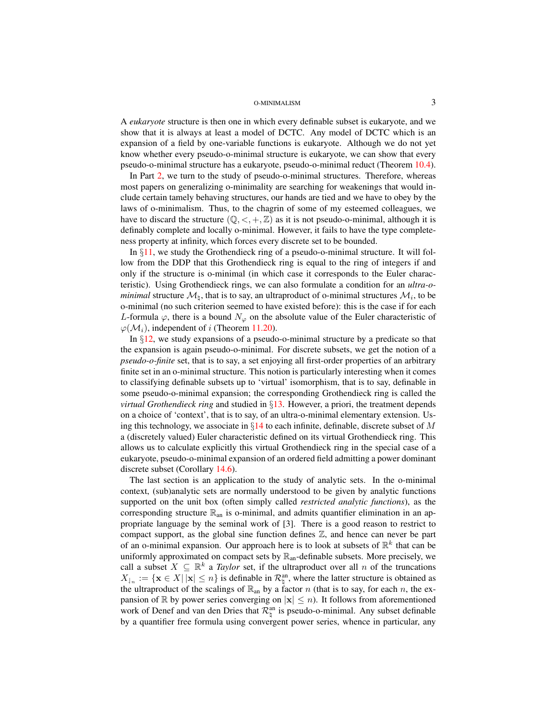A *eukaryote* structure is then one in which every definable subset is eukaryote, and we show that it is always at least a model of DCTC. Any model of DCTC which is an expansion of a field by one-variable functions is eukaryote. Although we do not yet know whether every pseudo-o-minimal structure is eukaryote, we can show that every pseudo-o-minimal structure has a eukaryote, pseudo-o-minimal reduct (Theorem [10.4\)](#page-28-2).

In Part [2,](#page-28-0) we turn to the study of pseudo-o-minimal structures. Therefore, whereas most papers on generalizing o-minimality are searching for weakenings that would include certain tamely behaving structures, our hands are tied and we have to obey by the laws of o-minimalism. Thus, to the chagrin of some of my esteemed colleagues, we have to discard the structure  $(\mathbb{Q}, \leq, +, \mathbb{Z})$  as it is not pseudo-o-minimal, although it is definably complete and locally o-minimal. However, it fails to have the type completeness property at infinity, which forces every discrete set to be bounded.

In  $\S11$ , we study the Grothendieck ring of a pseudo-o-minimal structure. It will follow from the DDP that this Grothendieck ring is equal to the ring of integers if and only if the structure is o-minimal (in which case it corresponds to the Euler characteristic). Using Grothendieck rings, we can also formulate a condition for an *ultra-ominimal* structure  $\mathcal{M}_\natural$ , that is to say, an ultraproduct of o-minimal structures  $\mathcal{M}_i$ , to be o-minimal (no such criterion seemed to have existed before): this is the case if for each L-formula  $\varphi$ , there is a bound  $N_{\varphi}$  on the absolute value of the Euler characteristic of  $\varphi(\mathcal{M}_i)$ , independent of i (Theorem [11.20\)](#page-36-0).

In  $\S12$ , we study expansions of a pseudo-o-minimal structure by a predicate so that the expansion is again pseudo-o-minimal. For discrete subsets, we get the notion of a *pseudo-o-finite* set, that is to say, a set enjoying all first-order properties of an arbitrary finite set in an o-minimal structure. This notion is particularly interesting when it comes to classifying definable subsets up to 'virtual' isomorphism, that is to say, definable in some pseudo-o-minimal expansion; the corresponding Grothendieck ring is called the *virtual Grothendieck ring* and studied in §[13.](#page-41-0) However, a priori, the treatment depends on a choice of 'context', that is to say, of an ultra-o-minimal elementary extension. Using this technology, we associate in  $\S14$  $\S14$  to each infinite, definable, discrete subset of M a (discretely valued) Euler characteristic defined on its virtual Grothendieck ring. This allows us to calculate explicitly this virtual Grothendieck ring in the special case of a eukaryote, pseudo-o-minimal expansion of an ordered field admitting a power dominant discrete subset (Corollary [14.6\)](#page-46-0).

The last section is an application to the study of analytic sets. In the o-minimal context, (sub)analytic sets are normally understood to be given by analytic functions supported on the unit box (often simply called *restricted analytic functions*), as the corresponding structure  $\mathbb{R}_{an}$  is o-minimal, and admits quantifier elimination in an appropriate language by the seminal work of [3]. There is a good reason to restrict to compact support, as the global sine function defines  $\mathbb{Z}$ , and hence can never be part of an o-minimal expansion. Our approach here is to look at subsets of  $\mathbb{R}^k$  that can be uniformly approximated on compact sets by  $\mathbb{R}_{\text{an}}$ -definable subsets. More precisely, we call a subset  $X \subseteq \mathbb{R}^k$  a *Taylor* set, if the ultraproduct over all n of the truncations  $X_{n} := \{ \mathbf{x} \in X | ||\mathbf{x}|| \leq n \}$  is definable in  $\mathcal{R}_{n}^{\text{an}}$ , where the latter structure is obtained as the ultraproduct of the scalings of  $\mathbb{R}_{an}$  by a factor n (that is to say, for each n, the expansion of R by power series converging on  $|x| \leq n$ ). It follows from aforementioned work of Denef and van den Dries that  $\mathcal{R}_{\natural}^{\text{an}}$  is pseudo-o-minimal. Any subset definable by a quantifier free formula using convergent power series, whence in particular, any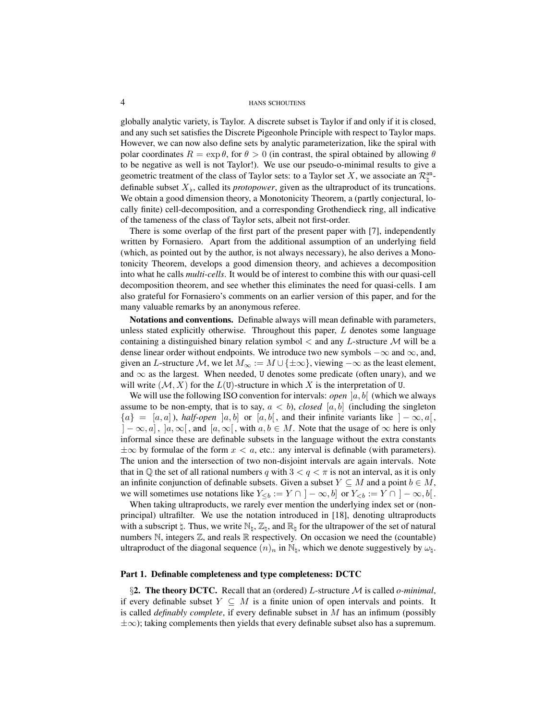globally analytic variety, is Taylor. A discrete subset is Taylor if and only if it is closed, and any such set satisfies the Discrete Pigeonhole Principle with respect to Taylor maps. However, we can now also define sets by analytic parameterization, like the spiral with polar coordinates  $R = \exp \theta$ , for  $\theta > 0$  (in contrast, the spiral obtained by allowing  $\theta$ to be negative as well is not Taylor!). We use our pseudo-o-minimal results to give a geometric treatment of the class of Taylor sets: to a Taylor set X, we associate an  $\mathcal{R}_{\natural}^{\text{an}}$ . definable subset  $X_{\flat}$ , called its *protopower*, given as the ultraproduct of its truncations. We obtain a good dimension theory, a Monotonicity Theorem, a (partly conjectural, locally finite) cell-decomposition, and a corresponding Grothendieck ring, all indicative of the tameness of the class of Taylor sets, albeit not first-order.

There is some overlap of the first part of the present paper with [7], independently written by Fornasiero. Apart from the additional assumption of an underlying field (which, as pointed out by the author, is not always necessary), he also derives a Monotonicity Theorem, develops a good dimension theory, and achieves a decomposition into what he calls *multi-cells*. It would be of interest to combine this with our quasi-cell decomposition theorem, and see whether this eliminates the need for quasi-cells. I am also grateful for Fornasiero's comments on an earlier version of this paper, and for the many valuable remarks by an anonymous referee.

Notations and conventions. Definable always will mean definable with parameters, unless stated explicitly otherwise. Throughout this paper,  $L$  denotes some language containing a distinguished binary relation symbol  $\lt$  and any L-structure M will be a dense linear order without endpoints. We introduce two new symbols  $-\infty$  and  $\infty$ , and, given an L-structure M, we let  $M_{\infty} := M \cup \{\pm \infty\}$ , viewing  $-\infty$  as the least element, and  $\infty$  as the largest. When needed, U denotes some predicate (often unary), and we will write  $(M, X)$  for the  $L(U)$ -structure in which X is the interpretation of U.

We will use the following ISO convention for intervals: *open*  $[a, b]$  (which we always assume to be non-empty, that is to say,  $a < b$ ), *closed* [a, b] (including the singleton  ${a} = [a, a]$ ), *half-open*  $[a, b]$  or  $[a, b]$ , and their infinite variants like  $] - \infty, a[$ ,  $[-\infty, a]$ ,  $[a, \infty]$ , and  $[a, \infty]$ , with  $a, b \in M$ . Note that the usage of  $\infty$  here is only informal since these are definable subsets in the language without the extra constants  $\pm\infty$  by formulae of the form  $x < a$ , etc.: any interval is definable (with parameters). The union and the intersection of two non-disjoint intervals are again intervals. Note that in Q the set of all rational numbers q with  $3 < q < \pi$  is not an interval, as it is only an infinite conjunction of definable subsets. Given a subset  $Y \subseteq M$  and a point  $b \in M$ , we will sometimes use notations like  $Y_{\leq b} := Y \cap ]-\infty, b]$  or  $Y_{\leq b} := Y \cap ]-\infty, b[$ .

When taking ultraproducts, we rarely ever mention the underlying index set or (nonprincipal) ultrafilter. We use the notation introduced in [18], denoting ultraproducts with a subscript  $\natural$ . Thus, we write  $\mathbb{N}_h$ ,  $\mathbb{Z}_h$ , and  $\mathbb{R}_h$  for the ultrapower of the set of natural numbers  $\mathbb N$ , integers  $\mathbb Z$ , and reals  $\mathbb R$  respectively. On occasion we need the (countable) ultraproduct of the diagonal sequence  $(n)_n$  in  $\mathbb{N}_\natural$ , which we denote suggestively by  $\omega_\natural$ .

## <span id="page-3-0"></span>Part 1. Definable completeness and type completeness: DCTC

<span id="page-3-1"></span>§2. The theory DCTC. Recall that an (ordered) L-structure M is called *o-minimal*, if every definable subset  $Y \subseteq M$  is a finite union of open intervals and points. It is called *definably complete*, if every definable subset in M has an infimum (possibly  $\pm\infty$ ); taking complements then yields that every definable subset also has a supremum.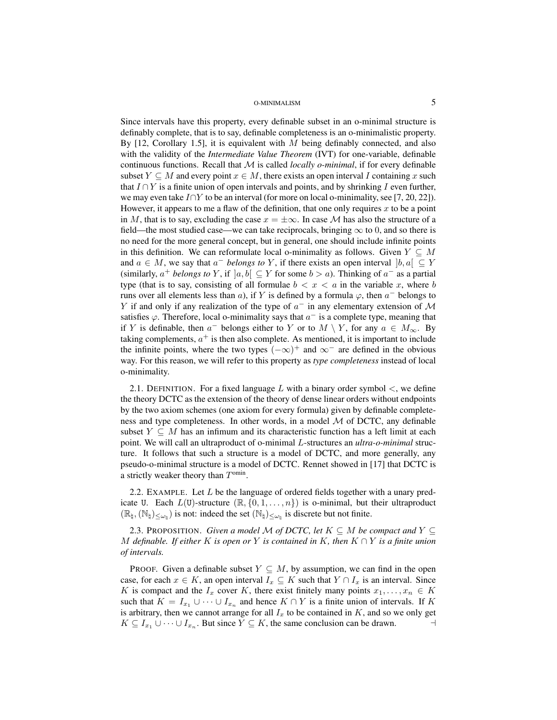Since intervals have this property, every definable subset in an o-minimal structure is definably complete, that is to say, definable completeness is an o-minimalistic property. By  $[12,$  Corollary 1.5], it is equivalent with M being definably connected, and also with the validity of the *Intermediate Value Theorem* (IVT) for one-variable, definable continuous functions. Recall that  $M$  is called *locally o-minimal*, if for every definable subset  $Y \subseteq M$  and every point  $x \in M$ , there exists an open interval I containing x such that  $I \cap Y$  is a finite union of open intervals and points, and by shrinking I even further, we may even take  $I \cap Y$  to be an interval (for more on local o-minimality, see [7, 20, 22]). However, it appears to me a flaw of the definition, that one only requires x to be a point in M, that is to say, excluding the case  $x = \pm \infty$ . In case M has also the structure of a field—the most studied case—we can take reciprocals, bringing  $\infty$  to 0, and so there is no need for the more general concept, but in general, one should include infinite points in this definition. We can reformulate local o-minimality as follows. Given  $Y \subseteq M$ and  $a \in M$ , we say that  $a^-$  *belongs to* Y, if there exists an open interval  $[b, a] \subseteq Y$ (similarly,  $a^+$  *belongs to* Y, if  $[a, b] \subseteq Y$  for some  $b > a$ ). Thinking of  $a^-$  as a partial type (that is to say, consisting of all formulae  $b < x < a$  in the variable x, where b runs over all elements less than a), if Y is defined by a formula  $\varphi$ , then  $a^-$  belongs to Y if and only if any realization of the type of  $a^-$  in any elementary extension of M satisfies  $\varphi$ . Therefore, local o-minimality says that  $a^-$  is a complete type, meaning that if Y is definable, then  $a^-$  belongs either to Y or to  $M \setminus Y$ , for any  $a \in M_\infty$ . By taking complements,  $a^+$  is then also complete. As mentioned, it is important to include the infinite points, where the two types  $(-\infty)^+$  and  $\infty^-$  are defined in the obvious way. For this reason, we will refer to this property as *type completeness* instead of local o-minimality.

2.1. DEFINITION. For a fixed language L with a binary order symbol  $\leq$ , we define the theory DCTC as the extension of the theory of dense linear orders without endpoints by the two axiom schemes (one axiom for every formula) given by definable completeness and type completeness. In other words, in a model  $M$  of DCTC, any definable subset  $Y \subseteq M$  has an infimum and its characteristic function has a left limit at each point. We will call an ultraproduct of o-minimal L-structures an *ultra-o-minimal* structure. It follows that such a structure is a model of DCTC, and more generally, any pseudo-o-minimal structure is a model of DCTC. Rennet showed in [17] that DCTC is a strictly weaker theory than  $T^{\text{omin}}$ .

<span id="page-4-1"></span>2.2. EXAMPLE. Let  $L$  be the language of ordered fields together with a unary predicate U. Each  $L(U)$ -structure  $(\mathbb{R}, \{0, 1, \ldots, n\})$  is o-minimal, but their ultraproduct  $(\mathbb{R}_{\natural},(\mathbb{N}_{\natural})_{\leq\omega_{\natural}})$  is not: indeed the set  $(\mathbb{N}_{\natural})_{\leq\omega_{\natural}}$  is discrete but not finite.

<span id="page-4-0"></span>2.3. PROPOSITION. *Given a model M of DCTC, let*  $K \subseteq M$  *be compact and*  $Y \subseteq$ M *definable. If either* K *is open or* Y *is contained in* K*, then* K ∩ Y *is a finite union of intervals.*

PROOF. Given a definable subset  $Y \subseteq M$ , by assumption, we can find in the open case, for each  $x \in K$ , an open interval  $I_x \subseteq K$  such that  $Y \cap I_x$  is an interval. Since K is compact and the  $I_x$  cover K, there exist finitely many points  $x_1, \ldots, x_n \in K$ such that  $K = I_{x_1} \cup \cdots \cup I_{x_n}$  and hence  $K \cap Y$  is a finite union of intervals. If K is arbitrary, then we cannot arrange for all  $I_x$  to be contained in  $K$ , and so we only get  $K \subseteq I_{x_1} \cup \cdots \cup I_{x_n}$ . But since  $Y \subseteq K$ , the same conclusion can be drawn.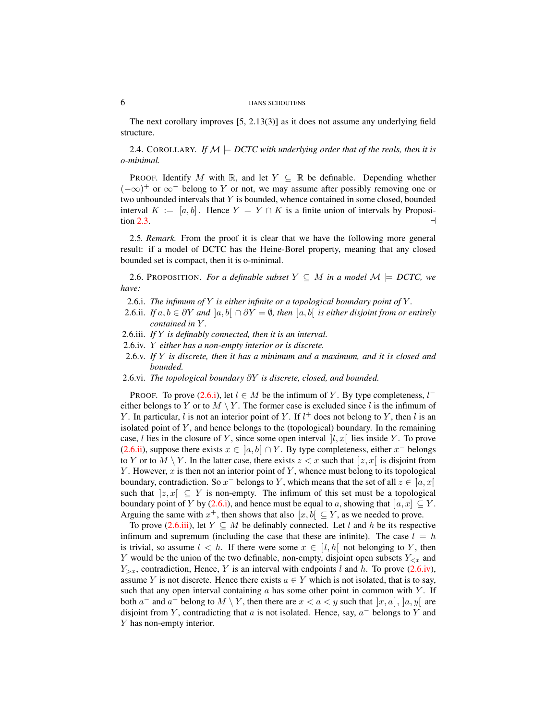The next corollary improves [5, 2.13(3)] as it does not assume any underlying field structure.

<span id="page-5-0"></span>2.4. COROLLARY. *If*  $M \models DCTC$  with underlying order that of the reals, then it is *o-minimal.*

PROOF. Identify M with R, and let  $Y \subseteq \mathbb{R}$  be definable. Depending whether  $(-\infty)^+$  or  $\infty^-$  belong to Y or not, we may assume after possibly removing one or two unbounded intervals that  $Y$  is bounded, whence contained in some closed, bounded interval  $K := [a, b]$ . Hence  $Y = Y \cap K$  is a finite union of intervals by Proposi-tion [2.3.](#page-4-0)

<span id="page-5-8"></span>2.5*. Remark.* From the proof it is clear that we have the following more general result: if a model of DCTC has the Heine-Borel property, meaning that any closed bounded set is compact, then it is o-minimal.

<span id="page-5-7"></span>2.6. PROPOSITION. *For a definable subset*  $Y \subseteq M$  *in a model*  $\mathcal{M} \models DCTC$ , we *have:*

- <span id="page-5-1"></span>2.6.i. *The infimum of* Y *is either infinite or a topological boundary point of* Y *.*
- <span id="page-5-2"></span>2.6.ii. *If*  $a, b \in \partial Y$  *and*  $\vert a, b \vert \cap \partial Y = \emptyset$ , then  $\vert a, b \vert$  *is either disjoint from or entirely contained in* Y *.*
- <span id="page-5-3"></span>2.6.iii. *If* Y *is definably connected, then it is an interval.*
- <span id="page-5-4"></span>2.6.iv. Y *either has a non-empty interior or is discrete.*
- <span id="page-5-5"></span>2.6.v. *If* Y *is discrete, then it has a minimum and a maximum, and it is closed and bounded.*
- <span id="page-5-6"></span>2.6.vi. *The topological boundary* ∂Y *is discrete, closed, and bounded.*

PROOF. To prove [\(2.6.i\)](#page-5-1), let  $l \in M$  be the infimum of Y. By type completeness,  $l^$ either belongs to Y or to  $M \setminus Y$ . The former case is excluded since l is the infimum of Y. In particular, l is not an interior point of Y. If  $l^+$  does not belong to Y, then l is an isolated point of  $Y$ , and hence belongs to the (topological) boundary. In the remaining case, l lies in the closure of Y, since some open interval  $[l, x]$  lies inside Y. To prove [\(2.6.ii\)](#page-5-2), suppose there exists  $x \in [a, b] \cap Y$ . By type completeness, either  $x^-$  belongs to Y or to  $M \setminus Y$ . In the latter case, there exists  $z < x$  such that  $|z, x|$  is disjoint from Y. However,  $x$  is then not an interior point of Y, whence must belong to its topological boundary, contradiction. So  $x^-$  belongs to Y, which means that the set of all  $z \in [a, x[$ such that  $|z, x| \subseteq Y$  is non-empty. The infimum of this set must be a topological boundary point of Y by [\(2.6.i\)](#page-5-1), and hence must be equal to a, showing that  $[a, x] \subseteq Y$ . Arguing the same with  $x^+$ , then shows that also  $[x, b] \subseteq Y$ , as we needed to prove.

To prove [\(2.6.iii\)](#page-5-3), let  $Y \subseteq M$  be definably connected. Let l and h be its respective infimum and supremum (including the case that these are infinite). The case  $l = h$ is trivial, so assume  $l < h$ . If there were some  $x \in [l, h]$  not belonging to Y, then Y would be the union of the two definable, non-empty, disjoint open subsets  $Y_{< x}$  and  $Y_{>x}$ , contradiction, Hence, Y is an interval with endpoints l and h. To prove [\(2.6.iv\)](#page-5-4), assume Y is not discrete. Hence there exists  $a \in Y$  which is not isolated, that is to say, such that any open interval containing  $a$  has some other point in common with  $Y$ . If both  $a^-$  and  $a^+$  belong to  $M \setminus Y$ , then there are  $x < a < y$  such that  $[x, a[, ]a, y[$  are disjoint from Y, contradicting that  $a$  is not isolated. Hence, say,  $a^-$  belongs to Y and Y has non-empty interior.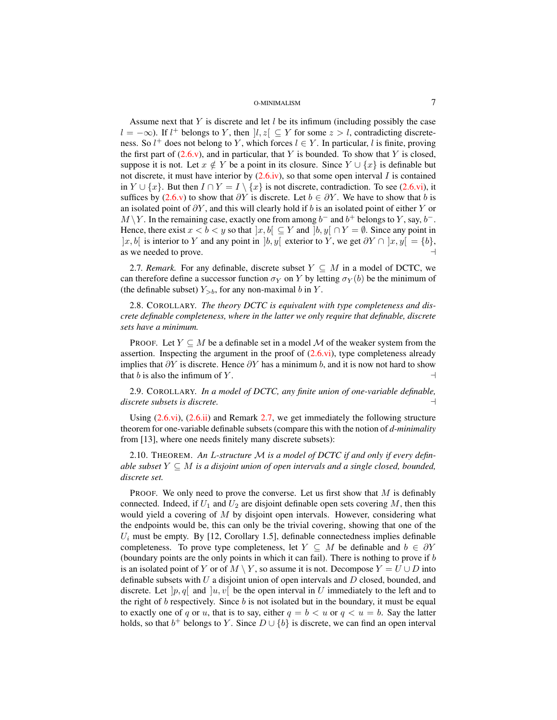Assume next that Y is discrete and let  $l$  be its infimum (including possibly the case  $l = -\infty$ ). If  $l^+$  belongs to Y, then  $l, z \in Y$  for some  $z > l$ , contradicting discreteness. So  $l^+$  does not belong to Y, which forces  $l \in Y$ . In particular, l is finite, proving the first part of  $(2.6 \text{v})$ , and in particular, that Y is bounded. To show that Y is closed, suppose it is not. Let  $x \notin Y$  be a point in its closure. Since  $Y \cup \{x\}$  is definable but not discrete, it must have interior by  $(2.6.iv)$ , so that some open interval I is contained in  $Y \cup \{x\}$ . But then  $I \cap Y = I \setminus \{x\}$  is not discrete, contradiction. To see [\(2.6.vi\)](#page-5-6), it suffices by [\(2.6.v\)](#page-5-5) to show that  $\partial Y$  is discrete. Let  $b \in \partial Y$ . We have to show that b is an isolated point of  $\partial Y$ , and this will clearly hold if b is an isolated point of either Y or  $M \backslash Y$ . In the remaining case, exactly one from among  $b^-$  and  $b^+$  belongs to Y, say,  $b^-$ . Hence, there exist  $x < b < y$  so that  $|x, b| \subseteq Y$  and  $|b, y| \cap Y = \emptyset$ . Since any point in |x, b[ is interior to Y and any point in  $|b, y|$  exterior to Y, we get  $\partial Y \cap |x, y| = \{b\}$ , as we needed to prove.  $\Box$ 

<span id="page-6-0"></span>2.7*. Remark.* For any definable, discrete subset  $Y \subseteq M$  in a model of DCTC, we can therefore define a successor function  $\sigma_Y$  on Y by letting  $\sigma_Y(b)$  be the minimum of (the definable subset)  $Y_{>b}$ , for any non-maximal b in Y.

2.8. COROLLARY. *The theory DCTC is equivalent with type completeness and discrete definable completeness, where in the latter we only require that definable, discrete sets have a minimum.*

PROOF. Let  $Y \subseteq M$  be a definable set in a model M of the weaker system from the assertion. Inspecting the argument in the proof of  $(2.6 \text{ vi})$ , type completeness already implies that  $\partial Y$  is discrete. Hence  $\partial Y$  has a minimum b, and it is now not hard to show that b is also the infimum of Y.

<span id="page-6-2"></span>2.9. COROLLARY. *In a model of DCTC, any finite union of one-variable definable, discrete subsets is discrete.* a

Using  $(2.6.\text{vi})$ ,  $(2.6.\text{ii})$  and Remark [2.7,](#page-6-0) we get immediately the following structure theorem for one-variable definable subsets (compare this with the notion of *d-minimality* from [13], where one needs finitely many discrete subsets):

<span id="page-6-1"></span>2.10. THEOREM. *An* L*-structure* M *is a model of DCTC if and only if every definable subset*  $Y \subseteq M$  *is a disjoint union of open intervals and a single closed, bounded, discrete set.*

PROOF. We only need to prove the converse. Let us first show that  $M$  is definably connected. Indeed, if  $U_1$  and  $U_2$  are disjoint definable open sets covering M, then this would yield a covering of  $M$  by disjoint open intervals. However, considering what the endpoints would be, this can only be the trivial covering, showing that one of the  $U_i$  must be empty. By [12, Corollary 1.5], definable connectedness implies definable completeness. To prove type completeness, let  $Y \subseteq M$  be definable and  $b \in \partial Y$ (boundary points are the only points in which it can fail). There is nothing to prove if  $b$ is an isolated point of Y or of  $M \setminus Y$ , so assume it is not. Decompose  $Y = U \cup D$  into definable subsets with  $U$  a disjoint union of open intervals and  $D$  closed, bounded, and discrete. Let  $[p, q]$  and  $[u, v]$  be the open interval in U immediately to the left and to the right of b respectively. Since b is not isolated but in the boundary, it must be equal to exactly one of q or u, that is to say, either  $q = b < u$  or  $q < u = b$ . Say the latter holds, so that  $b^+$  belongs to Y. Since  $D \cup \{b\}$  is discrete, we can find an open interval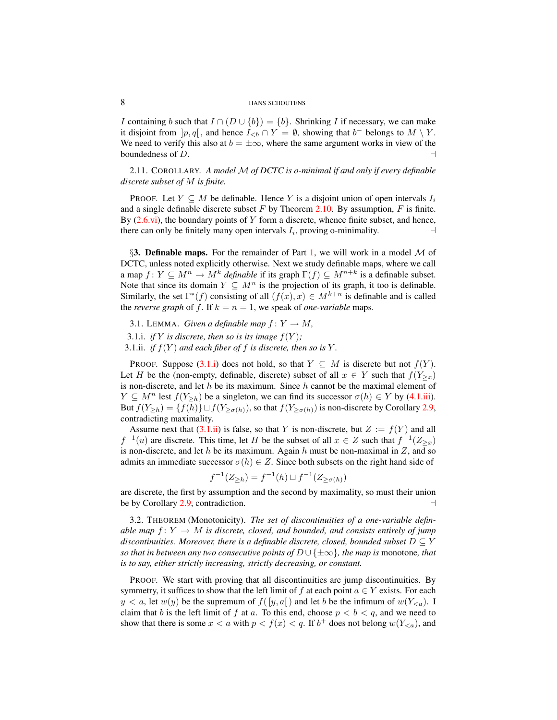I containing b such that  $I \cap (D \cup \{b\}) = \{b\}$ . Shrinking I if necessary, we can make it disjoint from  $[p, q]$ , and hence  $I_{\leq b} \cap Y = \emptyset$ , showing that  $b^-$  belongs to  $M \setminus Y$ . We need to verify this also at  $b = \pm \infty$ , where the same argument works in view of the boundedness of  $D$ .

2.11. COROLLARY. *A model* M *of DCTC is o-minimal if and only if every definable discrete subset of* M *is finite.*

PROOF. Let  $Y \subseteq M$  be definable. Hence Y is a disjoint union of open intervals  $I_i$ and a single definable discrete subset  $F$  by Theorem [2.10.](#page-6-1) By assumption,  $F$  is finite. By  $(2.6.\text{vi})$ , the boundary points of Y form a discrete, whence finite subset, and hence, there can only be finitely many open intervals  $I_i$ , proving o-minimality.

<span id="page-7-0"></span>§3. Definable maps. For the remainder of Part [1,](#page-3-0) we will work in a model  $M$  of DCTC, unless noted explicitly otherwise. Next we study definable maps, where we call a map  $f: Y \subseteq M^n \to M^k$  *definable* if its graph  $\Gamma(f) \subseteq M^{n+k}$  is a definable subset. Note that since its domain  $Y \subseteq M^n$  is the projection of its graph, it too is definable. Similarly, the set  $\Gamma^*(f)$  consisting of all  $(f(x), x) \in M^{k+n}$  is definable and is called the *reverse graph* of f. If  $k = n = 1$ , we speak of *one-variable* maps.

- <span id="page-7-4"></span>3.1. LEMMA. *Given a definable map*  $f: Y \to M$ ,
- <span id="page-7-2"></span>3.1.*i. if* Y *is discrete, then so is its image*  $f(Y)$ ;
- <span id="page-7-3"></span>3.1.ii. *if*  $f(Y)$  *and each fiber of* f *is discrete, then so is* Y.

PROOF. Suppose  $(3.1.1)$  does not hold, so that  $Y \subseteq M$  is discrete but not  $f(Y)$ . Let H be the (non-empty, definable, discrete) subset of all  $x \in Y$  such that  $f(Y_{\geq x})$ is non-discrete, and let  $h$  be its maximum. Since  $h$  cannot be the maximal element of  $Y \subseteq M^n$  lest  $f(Y_{\geq h})$  be a singleton, we can find its successor  $\sigma(h) \in Y$  by [\(4.1.iii\)](#page-10-1). But  $f(Y_{\geq h}) = \{f(h)\}\sqcup f(Y_{\geq \sigma(h)})$ , so that  $f(Y_{\geq \sigma(h)})$  is non-discrete by Corollary [2.9,](#page-6-2) contradicting maximality.

Assume next that  $(3.1.ii)$  is false, so that Y is non-discrete, but  $Z := f(Y)$  and all  $f^{-1}(u)$  are discrete. This time, let H be the subset of all  $x \in Z$  such that  $f^{-1}(Z_{\geq x})$ is non-discrete, and let h be its maximum. Again h must be non-maximal in  $Z$ , and so admits an immediate successor  $\sigma(h) \in Z$ . Since both subsets on the right hand side of

$$
f^{-1}(Z_{\geq h}) = f^{-1}(h) \sqcup f^{-1}(Z_{\geq \sigma(h)})
$$

are discrete, the first by assumption and the second by maximality, so must their union be by Corollary [2.9,](#page-6-2) contradiction.  $\Box$ 

<span id="page-7-1"></span>3.2. THEOREM (Monotonicity). *The set of discontinuities of a one-variable definable map*  $f: Y \to M$  *is discrete, closed, and bounded, and consists entirely of jump discontinuities. Moreover, there is a definable discrete, closed, bounded subset*  $D \subseteq Y$ *so that in between any two consecutive points of*  $D \cup \{\pm \infty\}$ *, the map is monotone, that is to say, either strictly increasing, strictly decreasing, or constant.*

PROOF. We start with proving that all discontinuities are jump discontinuities. By symmetry, it suffices to show that the left limit of f at each point  $a \in Y$  exists. For each  $y < a$ , let  $w(y)$  be the supremum of  $f([y, a])$  and let b be the infimum of  $w(Y_{\leq a})$ . I claim that b is the left limit of f at a. To this end, choose  $p < b < q$ , and we need to show that there is some  $x < a$  with  $p < f(x) < q$ . If  $b<sup>+</sup>$  does not belong  $w(Y_{< a})$ , and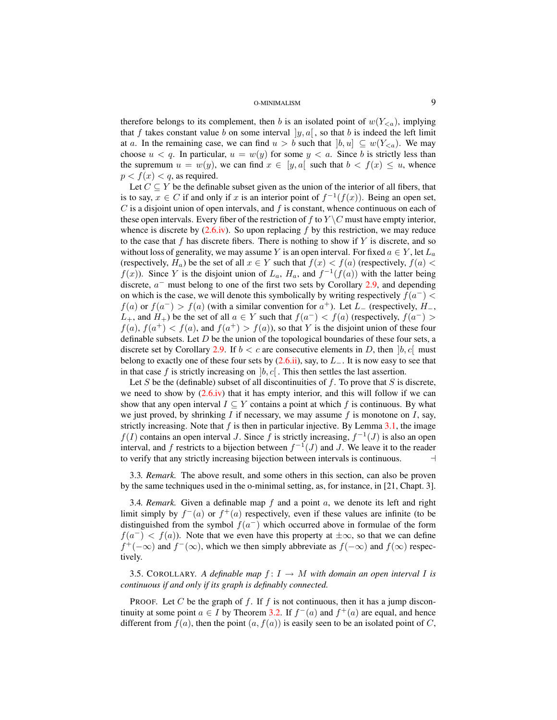therefore belongs to its complement, then b is an isolated point of  $w(Y_{\leq a})$ , implying that f takes constant value b on some interval  $|y, a|$ , so that b is indeed the left limit at a. In the remaining case, we can find  $u > b$  such that  $|b, u| \subseteq w(Y_{\leq a})$ . We may choose  $u < q$ . In particular,  $u = w(y)$  for some  $y < a$ . Since b is strictly less than the supremum  $u = w(y)$ , we can find  $x \in [y, a]$  such that  $b < f(x) \leq u$ , whence  $p < f(x) < q$ , as required.

Let  $C \subseteq Y$  be the definable subset given as the union of the interior of all fibers, that is to say,  $x \in C$  if and only if x is an interior point of  $f^{-1}(f(x))$ . Being an open set,  $C$  is a disjoint union of open intervals, and f is constant, whence continuous on each of these open intervals. Every fiber of the restriction of f to  $Y \setminus C$  must have empty interior, whence is discrete by  $(2.6.iv)$ . So upon replacing f by this restriction, we may reduce to the case that f has discrete fibers. There is nothing to show if Y is discrete, and so without loss of generality, we may assume Y is an open interval. For fixed  $a \in Y$ , let  $L_a$ (respectively,  $H_a$ ) be the set of all  $x \in Y$  such that  $f(x) < f(a)$  (respectively,  $f(a) <$  $f(x)$ ). Since Y is the disjoint union of  $L_a$ ,  $H_a$ , and  $f^{-1}(f(a))$  with the latter being discrete,  $a^-$  must belong to one of the first two sets by Corollary [2.9,](#page-6-2) and depending on which is the case, we will denote this symbolically by writing respectively  $f(a^-)$  <  $f(a)$  or  $f(a^{-}) > f(a)$  (with a similar convention for  $a^{+}$ ). Let  $L_{-}$  (respectively,  $H_{-}$ ,  $L_{+}$ , and  $H_{+}$ ) be the set of all  $a \in Y$  such that  $f(a^{-}) < f(a)$  (respectively,  $f(a^{-}) >$  $f(a)$ ,  $f(a^+) < f(a)$ , and  $f(a^+) > f(a)$ , so that Y is the disjoint union of these four definable subsets. Let  $D$  be the union of the topological boundaries of these four sets, a discrete set by Corollary [2.9.](#page-6-2) If  $b < c$  are consecutive elements in D, then  $[b, c]$  must belong to exactly one of these four sets by  $(2.6.ii)$ , say, to  $L_$ . It is now easy to see that in that case f is strictly increasing on  $[b, c]$ . This then settles the last assertion.

Let S be the (definable) subset of all discontinuities of  $f$ . To prove that S is discrete, we need to show by  $(2.6.iv)$  that it has empty interior, and this will follow if we can show that any open interval  $I \subseteq Y$  contains a point at which f is continuous. By what we just proved, by shrinking  $I$  if necessary, we may assume  $f$  is monotone on  $I$ , say, strictly increasing. Note that  $f$  is then in particular injective. By Lemma [3.1,](#page-7-4) the image  $f(I)$  contains an open interval J. Since f is strictly increasing,  $f^{-1}(J)$  is also an open interval, and f restricts to a bijection between  $f^{-1}(J)$  and J. We leave it to the reader to verify that any strictly increasing bijection between intervals is continuous.  $\Box$ 

3.3*. Remark.* The above result, and some others in this section, can also be proven by the same techniques used in the o-minimal setting, as, for instance, in [21, Chapt. 3].

<span id="page-8-0"></span>3.4. *Remark.* Given a definable map  $f$  and a point  $a$ , we denote its left and right limit simply by  $f^-(a)$  or  $f^+(a)$  respectively, even if these values are infinite (to be distinguished from the symbol  $f(a^-)$  which occurred above in formulae of the form  $f(a^{-}) < f(a)$ ). Note that we even have this property at  $\pm \infty$ , so that we can define  $f^+(-\infty)$  and  $f^-(\infty)$ , which we then simply abbreviate as  $f(-\infty)$  and  $f(\infty)$  respectively.

<span id="page-8-1"></span>3.5. COROLLARY. A definable map  $f: I \to M$  with domain an open interval I is *continuous if and only if its graph is definably connected.*

PROOF. Let C be the graph of f. If f is not continuous, then it has a jump discontinuity at some point  $a \in I$  by Theorem [3.2.](#page-7-1) If  $f^-(a)$  and  $f^+(a)$  are equal, and hence different from  $f(a)$ , then the point  $(a, f(a))$  is easily seen to be an isolated point of C,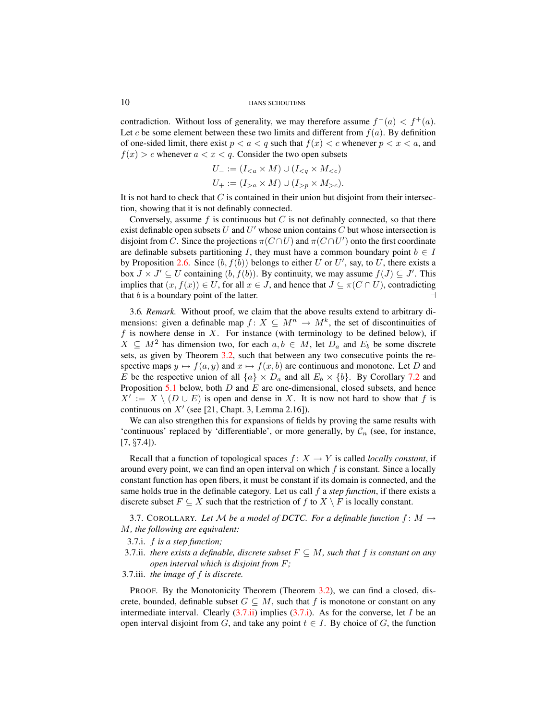contradiction. Without loss of generality, we may therefore assume  $f^-(a) < f^+(a)$ . Let c be some element between these two limits and different from  $f(a)$ . By definition of one-sided limit, there exist  $p < a < q$  such that  $f(x) < c$  whenever  $p < x < a$ , and  $f(x) > c$  whenever  $a < x < q$ . Consider the two open subsets

$$
U_{-} := (I_{  

$$
U_{+} := (I_{>a} \times M) \cup (I_{>p} \times M_{>c}).
$$
$$

It is not hard to check that  $C$  is contained in their union but disjoint from their intersection, showing that it is not definably connected.

Conversely, assume  $f$  is continuous but  $C$  is not definably connected, so that there exist definable open subsets U and  $U'$  whose union contains C but whose intersection is disjoint from C. Since the projections  $\pi(C \cap U)$  and  $\pi(C \cap U')$  onto the first coordinate are definable subsets partitioning I, they must have a common boundary point  $b \in I$ by Proposition [2.6.](#page-5-7) Since  $(b, f(b))$  belongs to either U or U', say, to U, there exists a box  $J \times J' \subseteq U$  containing  $(b, f(b))$ . By continuity, we may assume  $f(J) \subseteq J'$ . This implies that  $(x, f(x)) \in U$ , for all  $x \in J$ , and hence that  $J \subseteq \pi(C \cap U)$ , contradicting that b is a boundary point of the latter.

<span id="page-9-2"></span>3.6*. Remark.* Without proof, we claim that the above results extend to arbitrary dimensions: given a definable map  $f: X \subseteq M^n \to M^k$ , the set of discontinuities of f is nowhere dense in  $X$ . For instance (with terminology to be defined below), if  $X \subseteq M^2$  has dimension two, for each  $a, b \in M$ , let  $D_a$  and  $E_b$  be some discrete sets, as given by Theorem [3.2,](#page-7-1) such that between any two consecutive points the respective maps  $y \mapsto f(a, y)$  and  $x \mapsto f(x, b)$  are continuous and monotone. Let D and E be the respective union of all  $\{a\} \times D_a$  and all  $E_b \times \{b\}$ . By Corollary [7.2](#page-16-1) and Proposition  $5.1$  below, both  $D$  and  $E$  are one-dimensional, closed subsets, and hence  $X' := X \setminus (D \cup E)$  is open and dense in X. It is now not hard to show that f is continuous on  $X'$  (see [21, Chapt. 3, Lemma 2.16]).

We can also strengthen this for expansions of fields by proving the same results with 'continuous' replaced by 'differentiable', or more generally, by  $\mathcal{C}_n$  (see, for instance, [7, §7.4]).

Recall that a function of topological spaces  $f: X \to Y$  is called *locally constant*, if around every point, we can find an open interval on which  $f$  is constant. Since a locally constant function has open fibers, it must be constant if its domain is connected, and the same holds true in the definable category. Let us call f a *step function*, if there exists a discrete subset  $F \subseteq X$  such that the restriction of f to  $X \setminus F$  is locally constant.

3.7. COROLLARY. Let M be a model of DCTC. For a definable function  $f: M \rightarrow$ M*, the following are equivalent:*

<span id="page-9-1"></span>3.7.i. f *is a step function;*

<span id="page-9-0"></span>3.7.ii. *there exists a definable, discrete subset*  $F \subseteq M$ *, such that* f *is constant on any open interval which is disjoint from* F*;*

## 3.7.iii. *the image of* f *is discrete.*

PROOF. By the Monotonicity Theorem (Theorem [3.2\)](#page-7-1), we can find a closed, discrete, bounded, definable subset  $G \subseteq M$ , such that f is monotone or constant on any intermediate interval. Clearly  $(3.7.ii)$  implies  $(3.7.i)$ . As for the converse, let I be an open interval disjoint from G, and take any point  $t \in I$ . By choice of G, the function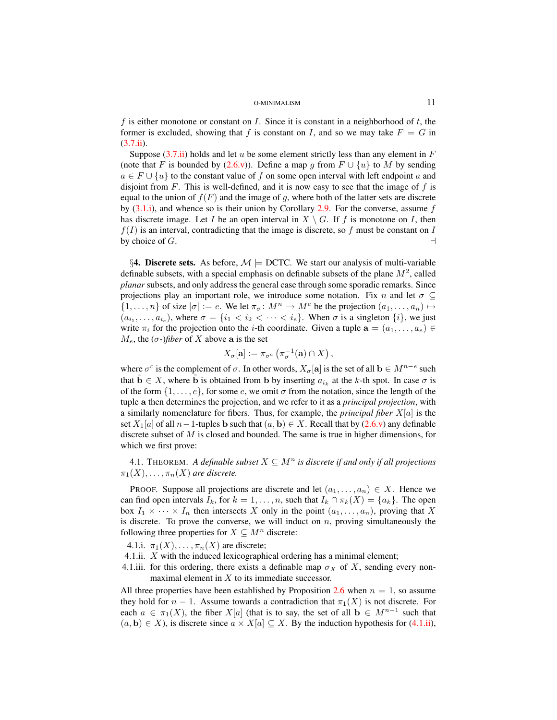f is either monotone or constant on I. Since it is constant in a neighborhood of  $t$ , the former is excluded, showing that f is constant on I, and so we may take  $F = G$  in  $(3.7.ii).$  $(3.7.ii).$ 

Suppose  $(3.7.ii)$  holds and let u be some element strictly less than any element in F (note that F is bounded by [\(2.6.v\)](#page-5-5)). Define a map g from  $F \cup \{u\}$  to M by sending  $a \in F \cup \{u\}$  to the constant value of f on some open interval with left endpoint a and disjoint from F. This is well-defined, and it is now easy to see that the image of f is equal to the union of  $f(F)$  and the image of g, where both of the latter sets are discrete by  $(3.1.i)$ , and whence so is their union by Corollary [2.9.](#page-6-2) For the converse, assume f has discrete image. Let I be an open interval in  $X \setminus G$ . If f is monotone on I, then  $f(I)$  is an interval, contradicting that the image is discrete, so f must be constant on I by choice of  $G$ .

<span id="page-10-0"></span>§4. Discrete sets. As before,  $M \models$  DCTC. We start our analysis of multi-variable definable subsets, with a special emphasis on definable subsets of the plane  $M^2$ , called *planar* subsets, and only address the general case through some sporadic remarks. Since projections play an important role, we introduce some notation. Fix n and let  $\sigma \subseteq$  $\{1,\ldots,n\}$  of size  $|\sigma| := e$ . We let  $\pi_{\sigma} : M^n \to M^e$  be the projection  $(a_1,\ldots,a_n) \mapsto$  $(a_{i_1}, \ldots, a_{i_e})$ , where  $\sigma = \{i_1 < i_2 < \cdots < i_e\}$ . When  $\sigma$  is a singleton  $\{i\}$ , we just write  $\pi_i$  for the projection onto the *i*-th coordinate. Given a tuple  $\mathbf{a} = (a_1, \dots, a_e) \in$  $M_e$ , the  $(\sigma$ -)*fiber* of X above a is the set

$$
X_{\sigma}[\mathbf{a}] := \pi_{\sigma^c} \left( \pi_{\sigma}^{-1}(\mathbf{a}) \cap X \right),
$$

where  $\sigma^c$  is the complement of  $\sigma$ . In other words,  $X_{\sigma}[\mathbf{a}]$  is the set of all  $\mathbf{b} \in M^{n-e}$  such that  $\tilde{\mathbf{b}} \in X$ , where  $\tilde{\mathbf{b}}$  is obtained from b by inserting  $a_{i_k}$  at the k-th spot. In case  $\sigma$  is of the form  $\{1, \ldots, e\}$ , for some e, we omit  $\sigma$  from the notation, since the length of the tuple a then determines the projection, and we refer to it as a *principal projection*, with a similarly nomenclature for fibers. Thus, for example, the *principal fiber* X[a] is the set  $X_1[a]$  of all  $n-1$ -tuples b such that  $(a, b) \in X$ . Recall that by  $(2.6. v)$  any definable discrete subset of  $M$  is closed and bounded. The same is true in higher dimensions, for which we first prove:

<span id="page-10-3"></span>4.1. THEOREM. *A definable subset*  $X \subseteq M^n$  *is discrete if and only if all projections*  $\pi_1(X), \ldots, \pi_n(X)$  are discrete.

PROOF. Suppose all projections are discrete and let  $(a_1, \ldots, a_n) \in X$ . Hence we can find open intervals  $I_k$ , for  $k = 1, \ldots, n$ , such that  $I_k \cap \pi_k(X) = \{a_k\}$ . The open box  $I_1 \times \cdots \times I_n$  then intersects X only in the point  $(a_1, \ldots, a_n)$ , proving that X is discrete. To prove the converse, we will induct on  $n$ , proving simultaneously the following three properties for  $X \subseteq M^n$  discrete:

- 4.1.i.  $\pi_1(X), \ldots, \pi_n(X)$  are discrete;
- <span id="page-10-2"></span>4.1.ii. X with the induced lexicographical ordering has a minimal element;
- <span id="page-10-1"></span>4.1.iii. for this ordering, there exists a definable map  $\sigma_X$  of X, sending every nonmaximal element in X to its immediate successor.

All three properties have been established by Proposition [2.6](#page-5-7) when  $n = 1$ , so assume they hold for  $n-1$ . Assume towards a contradiction that  $\pi_1(X)$  is not discrete. For each  $a \in \pi_1(X)$ , the fiber  $X[a]$  (that is to say, the set of all  $b \in M^{n-1}$  such that  $(a, b) \in X$ ), is discrete since  $a \times X[a] \subseteq X$ . By the induction hypothesis for [\(4.1.ii\)](#page-10-2),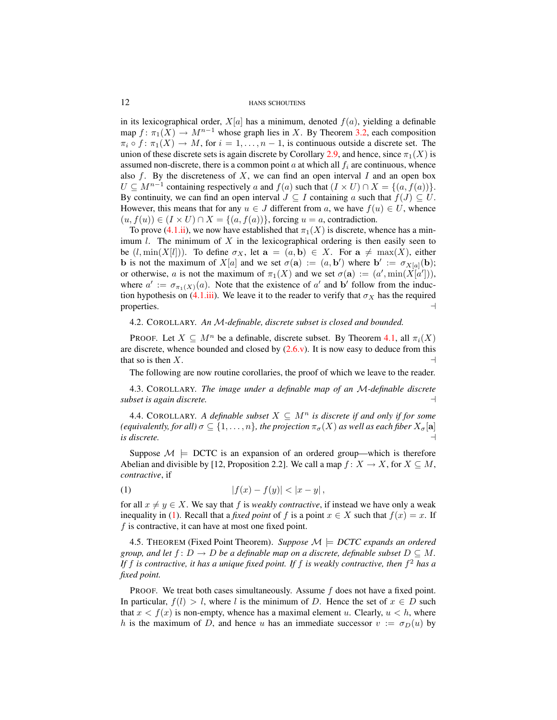in its lexicographical order,  $X[a]$  has a minimum, denoted  $f(a)$ , yielding a definable map  $f: \pi_1(X) \to M^{n-1}$  whose graph lies in X. By Theorem [3.2,](#page-7-1) each composition  $\pi_i \circ f : \pi_1(X) \to M$ , for  $i = 1, \ldots, n-1$ , is continuous outside a discrete set. The union of these discrete sets is again discrete by Corollary [2.9,](#page-6-2) and hence, since  $\pi_1(X)$  is assumed non-discrete, there is a common point a at which all  $f_i$  are continuous, whence also  $f$ . By the discreteness of  $X$ , we can find an open interval  $I$  and an open box  $U \subseteq M^{n-1}$  containing respectively a and  $f(a)$  such that  $(I \times U) \cap X = \{(a, f(a))\}.$ By continuity, we can find an open interval  $J \subseteq I$  containing a such that  $f(J) \subseteq U$ . However, this means that for any  $u \in J$  different from a, we have  $f(u) \in U$ , whence  $(u, f(u)) \in (I \times U) \cap X = \{(a, f(a))\}$ , forcing  $u = a$ , contradiction.

To prove [\(4.1.ii\)](#page-10-2), we now have established that  $\pi_1(X)$  is discrete, whence has a minimum  $l$ . The minimum of  $X$  in the lexicographical ordering is then easily seen to be  $(l, \min(X[l]))$ . To define  $\sigma_X$ , let  $\mathbf{a} = (a, \mathbf{b}) \in X$ . For  $\mathbf{a} \neq \max(X)$ , either **b** is not the maximum of  $X[a]$  and we set  $\sigma(\mathbf{a}) := (a, \mathbf{b}')$  where  $\mathbf{b}' := \sigma_{X[a]}(\mathbf{b});$ or otherwise, a is not the maximum of  $\pi_1(X)$  and we set  $\sigma(\mathbf{a}) := (a', \min(X[a'])),$ where  $a' := \sigma_{\pi_1(X)}(a)$ . Note that the existence of  $a'$  and b' follow from the induc-tion hypothesis on [\(4.1.iii\)](#page-10-1). We leave it to the reader to verify that  $\sigma_X$  has the required properties.  $\Box$ 

## <span id="page-11-2"></span>4.2. COROLLARY. *An* M*-definable, discrete subset is closed and bounded.*

PROOF. Let  $X \subseteq M^n$  be a definable, discrete subset. By Theorem [4.1,](#page-10-3) all  $\pi_i(X)$ are discrete, whence bounded and closed by  $(2.6 \text{v})$ . It is now easy to deduce from this that so is then  $X$ .

The following are now routine corollaries, the proof of which we leave to the reader.

4.3. COROLLARY. *The image under a definable map of an* M*-definable discrete subset is again discrete.* a

<span id="page-11-1"></span>4.4. COROLLARY. *A definable subset*  $X \subseteq M^n$  *is discrete if and only if for some (equivalently, for all)*  $\sigma \subseteq \{1, \ldots, n\}$ *, the projection*  $\pi_{\sigma}(X)$  *as well as each fiber*  $X_{\sigma}[\mathbf{a}]$  $i$ *s* discrete.

Suppose  $\mathcal{M} \models$  DCTC is an expansion of an ordered group—which is therefore Abelian and divisible by [12, Proposition 2.2]. We call a map  $f: X \to X$ , for  $X \subseteq M$ , *contractive*, if

<span id="page-11-0"></span>(1) 
$$
|f(x) - f(y)| < |x - y|,
$$

for all  $x \neq y \in X$ . We say that f is *weakly contractive*, if instead we have only a weak inequality in [\(1\)](#page-11-0). Recall that a *fixed point* of f is a point  $x \in X$  such that  $f(x) = x$ . If f is contractive, it can have at most one fixed point.

4.5. THEOREM (Fixed Point Theorem). *Suppose*  $\mathcal{M} \models DCTC$  expands an ordered *group, and let*  $f: D \to D$  *be a definable map on a discrete, definable subset*  $D \subseteq M$ . *If* f *is contractive, it has a unique fixed point. If* f *is weakly contractive, then* f <sup>2</sup> *has a fixed point.*

PROOF. We treat both cases simultaneously. Assume  $f$  does not have a fixed point. In particular,  $f(l) > l$ , where l is the minimum of D. Hence the set of  $x \in D$  such that  $x < f(x)$  is non-empty, whence has a maximal element u. Clearly,  $u < h$ , where h is the maximum of D, and hence u has an immediate successor  $v := \sigma_D(u)$  by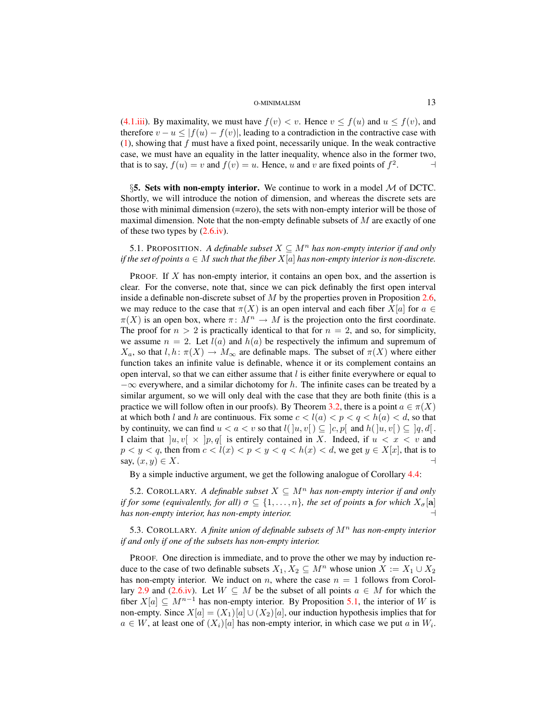[\(4.1.iii\)](#page-10-1). By maximality, we must have  $f(v) < v$ . Hence  $v \le f(u)$  and  $u \le f(v)$ , and therefore  $v - u \le |f(u) - f(v)|$ , leading to a contradiction in the contractive case with  $(1)$ , showing that f must have a fixed point, necessarily unique. In the weak contractive case, we must have an equality in the latter inequality, whence also in the former two, that is to say,  $f(u) = v$  and  $f(v) = u$ . Hence, u and v are fixed points of  $f^2$ . **4** 

<span id="page-12-0"></span>§5. Sets with non-empty interior. We continue to work in a model  $M$  of DCTC. Shortly, we will introduce the notion of dimension, and whereas the discrete sets are those with minimal dimension (=zero), the sets with non-empty interior will be those of maximal dimension. Note that the non-empty definable subsets of  $M$  are exactly of one of these two types by  $(2.6 \text{iv})$ .

<span id="page-12-1"></span>5.1. PROPOSITION. A definable subset  $X \subseteq M^n$  has non-empty interior if and only *if the set of points*  $a \in M$  *such that the fiber*  $X[a]$  *has non-empty interior is non-discrete.* 

PROOF. If X has non-empty interior, it contains an open box, and the assertion is clear. For the converse, note that, since we can pick definably the first open interval inside a definable non-discrete subset of  $M$  by the properties proven in Proposition [2.6,](#page-5-7) we may reduce to the case that  $\pi(X)$  is an open interval and each fiber  $X[a]$  for  $a \in$  $\pi(X)$  is an open box, where  $\pi: M^n \to M$  is the projection onto the first coordinate. The proof for  $n > 2$  is practically identical to that for  $n = 2$ , and so, for simplicity, we assume  $n = 2$ . Let  $l(a)$  and  $h(a)$  be respectively the infimum and supremum of  $X_a$ , so that  $l, h: \pi(X) \to M_\infty$  are definable maps. The subset of  $\pi(X)$  where either function takes an infinite value is definable, whence it or its complement contains an open interval, so that we can either assume that  $l$  is either finite everywhere or equal to  $-\infty$  everywhere, and a similar dichotomy for h. The infinite cases can be treated by a similar argument, so we will only deal with the case that they are both finite (this is a practice we will follow often in our proofs). By Theorem [3.2,](#page-7-1) there is a point  $a \in \pi(X)$ at which both l and h are continuous. Fix some  $c < l(a) < p < q < h(a) < d$ , so that by continuity, we can find  $u < a < v$  so that  $l( \, ] u, v[ \, ) \subseteq ] c, p[ \, ]$  and  $h( \, ] u, v[ \, ) \subseteq ] q, d[$ . I claim that  $|u, v| \times |p, q|$  is entirely contained in X. Indeed, if  $u < x < v$  and  $p < y < q$ , then from  $c < l(x) < p < y < q < h(x) < d$ , we get  $y \in X[x]$ , that is to say,  $(x, y) \in X$ .

By a simple inductive argument, we get the following analogue of Corollary [4.4:](#page-11-1)

5.2. COROLLARY. *A definable subset*  $X \subseteq M^n$  *has non-empty interior if and only if for some (equivalently, for all)*  $\sigma \subseteq \{1, \ldots, n\}$ *, the set of points* **a** *for which*  $X_{\sigma}[\textbf{a}]$ *has non-empty interior, has non-empty interior.* a

<span id="page-12-2"></span>5.3. COROLLARY. A finite union of definable subsets of  $M<sup>n</sup>$  has non-empty interior *if and only if one of the subsets has non-empty interior.*

PROOF. One direction is immediate, and to prove the other we may by induction reduce to the case of two definable subsets  $X_1, X_2 \subseteq M^n$  whose union  $X := X_1 \cup X_2$ has non-empty interior. We induct on n, where the case  $n = 1$  follows from Corol-lary [2.9](#page-6-2) and [\(2.6.iv\)](#page-5-4). Let  $W \subseteq M$  be the subset of all points  $a \in M$  for which the fiber  $X[a] \subseteq M^{n-1}$  has non-empty interior. By Proposition [5.1,](#page-12-1) the interior of W is non-empty. Since  $X[a] = (X_1)[a] \cup (X_2)[a]$ , our induction hypothesis implies that for  $a \in W$ , at least one of  $(X_i)[a]$  has non-empty interior, in which case we put a in  $W_i$ .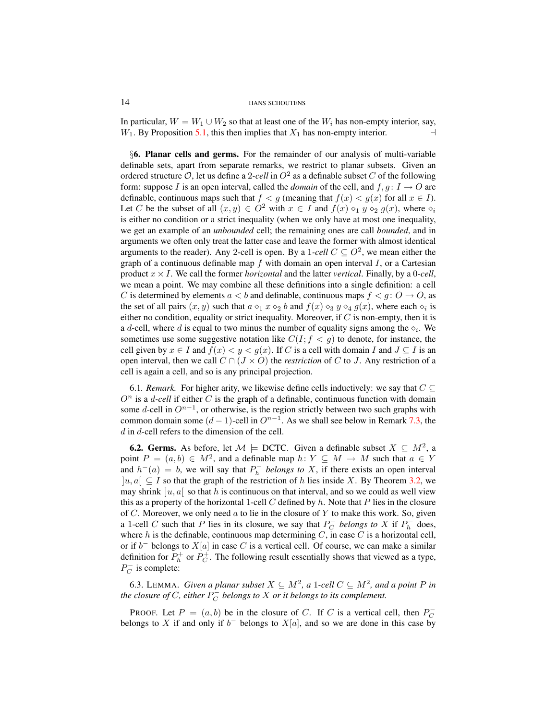In particular,  $W = W_1 \cup W_2$  so that at least one of the  $W_i$  has non-empty interior, say,  $W_1$ . By Proposition [5.1,](#page-12-1) this then implies that  $X_1$  has non-empty interior.

<span id="page-13-0"></span>§6. Planar cells and germs. For the remainder of our analysis of multi-variable definable sets, apart from separate remarks, we restrict to planar subsets. Given an ordered structure  $\mathcal{O}$ , let us define a 2-cell in  $O^2$  as a definable subset C of the following form: suppose I is an open interval, called the *domain* of the cell, and  $f, g: I \to O$  are definable, continuous maps such that  $f < g$  (meaning that  $f(x) < g(x)$  for all  $x \in I$ ). Let C be the subset of all  $(x, y) \in O^2$  with  $x \in I$  and  $f(x) \circ_1 y \circ_2 g(x)$ , where  $\circ_i$ is either no condition or a strict inequality (when we only have at most one inequality, we get an example of an *unbounded* cell; the remaining ones are call *bounded*, and in arguments we often only treat the latter case and leave the former with almost identical arguments to the reader). Any 2-cell is open. By a 1-cell  $C \subseteq O^2$ , we mean either the graph of a continuous definable map  $f$  with domain an open interval  $I$ , or a Cartesian product  $x \times I$ . We call the former *horizontal* and the latter *vertical*. Finally, by a 0-cell, we mean a point. We may combine all these definitions into a single definition: a cell C is determined by elements  $a < b$  and definable, continuous maps  $f < g : O \rightarrow O$ , as the set of all pairs  $(x, y)$  such that  $a \diamond_1 x \diamond_2 b$  and  $f(x) \diamond_3 y \diamond_4 g(x)$ , where each  $\diamond_i$  is either no condition, equality or strict inequality. Moreover, if  $C$  is non-empty, then it is a *d*-cell, where *d* is equal to two minus the number of equality signs among the  $\diamond_i$ . We sometimes use some suggestive notation like  $C(I; f \lt g)$  to denote, for instance, the cell given by  $x \in I$  and  $f(x) < y < g(x)$ . If C is a cell with domain I and  $J \subseteq I$  is an open interval, then we call  $C \cap (J \times O)$  the *restriction* of C to J. Any restriction of a cell is again a cell, and so is any principal projection.

<span id="page-13-1"></span>6.1. Remark. For higher arity, we likewise define cells inductively: we say that  $C \subseteq$  $O<sup>n</sup>$  is a *d-cell* if either C is the graph of a definable, continuous function with domain some d-cell in  $O^{n-1}$ , or otherwise, is the region strictly between two such graphs with common domain some  $(d-1)$ -cell in  $O^{n-1}$ . As we shall see below in Remark [7.3,](#page-16-2) the  $d$  in  $d$ -cell refers to the dimension of the cell.

**6.2. Germs.** As before, let  $\mathcal{M} \models$  DCTC. Given a definable subset  $X \subseteq M^2$ , a point  $P = (a, b) \in M^2$ , and a definable map  $h: Y \subseteq M \rightarrow M$  such that  $a \in Y$ and  $h^{-}(a) = b$ , we will say that  $P_h^{-}$  belongs to X, if there exists an open interval |u, a $\vert$  ⊆ I so that the graph of the restriction of h lies inside X. By Theorem [3.2,](#page-7-1) we may shrink  $|u, a|$  so that h is continuous on that interval, and so we could as well view this as a property of the horizontal 1-cell  $C$  defined by  $h$ . Note that  $P$  lies in the closure of  $C$ . Moreover, we only need  $a$  to lie in the closure of  $Y$  to make this work. So, given a 1-cell C such that P lies in its closure, we say that  $P_C^-$  belongs to X if  $P_h^-$  does, where  $h$  is the definable, continuous map determining  $C$ , in case  $C$  is a horizontal cell, or if  $b^-$  belongs to  $X[a]$  in case C is a vertical cell. Of course, we can make a similar definition for  $P_h^+$  or  $P_C^+$ . The following result essentially shows that viewed as a type,  $P_C^-$  is complete:

6.3. LEMMA. *Given a planar subset*  $X \subseteq M^2$ , a 1-cell  $C \subseteq M^2$ , and a point P in *the closure of C, either*  $P_C^{\perp}$  *belongs to X or it belongs to its complement.* 

PROOF. Let  $P = (a, b)$  be in the closure of C. If C is a vertical cell, then  $P_C^$ belongs to X if and only if  $b^-$  belongs to  $X[a]$ , and so we are done in this case by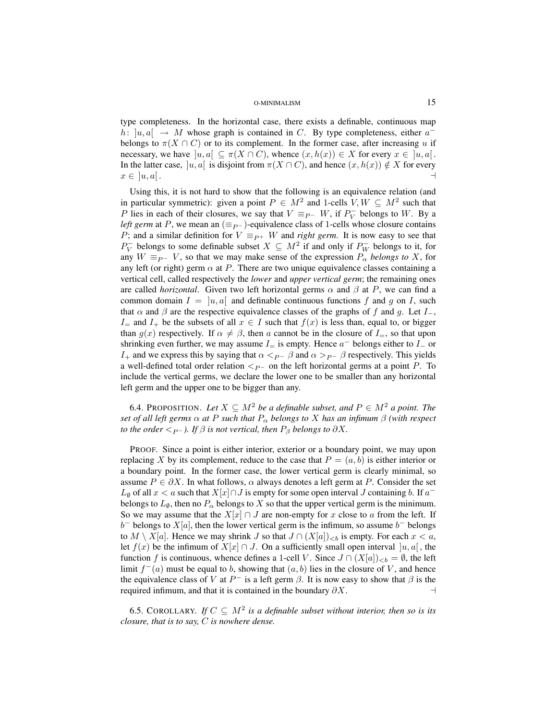type completeness. In the horizontal case, there exists a definable, continuous map h:  $|u, a| \rightarrow M$  whose graph is contained in C. By type completeness, either  $a^$ belongs to  $\pi(X \cap C)$  or to its complement. In the former case, after increasing u if necessary, we have  $|u, a| \subseteq \pi(X \cap C)$ , whence  $(x, h(x)) \in X$  for every  $x \in [u, a]$ . In the latter case,  $|u, a|$  is disjoint from  $\pi(X \cap C)$ , and hence  $(x, h(x)) \notin X$  for every  $x \in [u, a]$ .

Using this, it is not hard to show that the following is an equivalence relation (and in particular symmetric): given a point  $P \in M^2$  and 1-cells  $V, W \subseteq M^2$  such that P lies in each of their closures, we say that  $V \equiv_{P^-} W$ , if  $P_V^-$  belongs to W. By a *left germ* at P, we mean an  $(\equiv_{P^-})$ -equivalence class of 1-cells whose closure contains P; and a similar definition for  $V \equiv_{P^+} W$  and *right germ*. It is now easy to see that  $P_V^-$  belongs to some definable subset  $X \subseteq M^2$  if and only if  $P_W^-$  belongs to it, for any  $W \equiv_{P^-} V$ , so that we may make sense of the expression  $P_\alpha$  *belongs to* X, for any left (or right) germ  $\alpha$  at P. There are two unique equivalence classes containing a vertical cell, called respectively the *lower* and *upper vertical germ*; the remaining ones are called *horizontal*. Given two left horizontal germs  $\alpha$  and  $\beta$  at P, we can find a common domain  $I = [u, a]$  and definable continuous functions f and g on I, such that  $\alpha$  and  $\beta$  are the respective equivalence classes of the graphs of f and q. Let  $I_-,$ I= and I<sub>+</sub> be the subsets of all  $x \in I$  such that  $f(x)$  is less than, equal to, or bigger than  $g(x)$  respectively. If  $\alpha \neq \beta$ , then a cannot be in the closure of  $I_{=}$ , so that upon shrinking even further, we may assume  $I_{=}$  is empty. Hence  $a^{-}$  belongs either to  $I_{-}$  or  $I_+$  and we express this by saying that  $\alpha <_{P^-} \beta$  and  $\alpha >_{P^-} \beta$  respectively. This yields a well-defined total order relation  $\lt_{P^-}$  on the left horizontal germs at a point P. To include the vertical germs, we declare the lower one to be smaller than any horizontal left germ and the upper one to be bigger than any.

<span id="page-14-0"></span>6.4. PROPOSITION. Let  $X \subseteq M^2$  be a definable subset, and  $P \in M^2$  a point. The *set of all left germs*  $\alpha$  *at* P *such that*  $P_{\alpha}$  *belongs to* X *has an infimum*  $\beta$  *(with respect to the order*  $\langle P_P \rangle$ *. If*  $\beta$  *is not vertical, then*  $P_\beta$  *belongs to*  $\partial X$ *.* 

PROOF. Since a point is either interior, exterior or a boundary point, we may upon replacing X by its complement, reduce to the case that  $P = (a, b)$  is either interior or a boundary point. In the former case, the lower vertical germ is clearly minimal, so assume  $P \in \partial X$ . In what follows,  $\alpha$  always denotes a left germ at P. Consider the set  $L_{\emptyset}$  of all  $x < a$  such that  $X[x] \cap J$  is empty for some open interval  $J$  containing  $b$ . If  $a^$ belongs to  $L_{\emptyset}$ , then no  $P_{\alpha}$  belongs to X so that the upper vertical germ is the minimum. So we may assume that the  $X[x] \cap J$  are non-empty for x close to a from the left. If  $b^-$  belongs to  $X[a]$ , then the lower vertical germ is the infimum, so assume  $b^-$  belongs to  $M \setminus X[a]$ . Hence we may shrink  $J$  so that  $J \cap (X[a])_{< b}$  is empty. For each  $x < a$ , let  $f(x)$  be the infimum of  $X[x] \cap J$ . On a sufficiently small open interval  $[u, a]$ , the function f is continuous, whence defines a 1-cell V. Since  $J \cap (X|a|)_{\leq b} = \emptyset$ , the left limit  $f^-(a)$  must be equal to b, showing that  $(a, b)$  lies in the closure of V, and hence the equivalence class of V at  $P^-$  is a left germ  $\beta$ . It is now easy to show that  $\beta$  is the required infimum, and that it is contained in the boundary  $\partial X$ .

<span id="page-14-1"></span>6.5. COROLLARY. *If*  $C \subseteq M^2$  is a definable subset without interior, then so is its *closure, that is to say,* C *is nowhere dense.*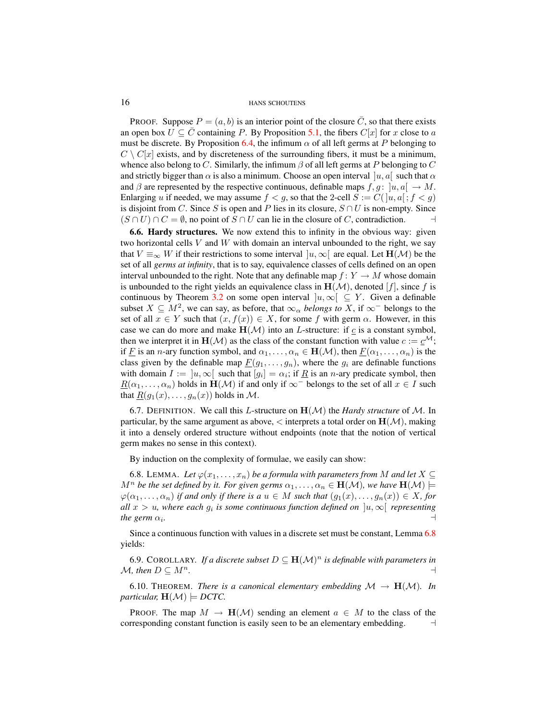PROOF. Suppose  $P = (a, b)$  is an interior point of the closure  $\overline{C}$ , so that there exists an open box  $U \subseteq \overline{C}$  containing P. By Proposition [5.1,](#page-12-1) the fibers  $C[x]$  for x close to a must be discrete. By Proposition [6.4,](#page-14-0) the infimum  $\alpha$  of all left germs at P belonging to  $C \setminus C[x]$  exists, and by discreteness of the surrounding fibers, it must be a minimum, whence also belong to C. Similarly, the infimum  $\beta$  of all left germs at P belonging to C and strictly bigger than  $\alpha$  is also a minimum. Choose an open interval  $[u, a]$  such that  $\alpha$ and  $\beta$  are represented by the respective continuous, definable maps  $f, g : [u, a] \rightarrow M$ . Enlarging u if needed, we may assume  $f < g$ , so that the 2-cell  $S := C(|u, a|; f < g)$ is disjoint from C. Since S is open and P lies in its closure,  $S \cap U$  is non-empty. Since  $(S \cap U) \cap C = \emptyset$ , no point of  $S \cap U$  can lie in the closure of C, contradiction.

6.6. Hardy structures. We now extend this to infinity in the obvious way: given two horizontal cells  $V$  and  $W$  with domain an interval unbounded to the right, we say that  $V \equiv_{\infty} W$  if their restrictions to some interval  $|u, \infty|$  are equal. Let  $H(\mathcal{M})$  be the set of all *germs at infinity*, that is to say, equivalence classes of cells defined on an open interval unbounded to the right. Note that any definable map  $f: Y \to M$  whose domain is unbounded to the right yields an equivalence class in  $H(\mathcal{M})$ , denoted  $[f]$ , since f is continuous by Theorem [3.2](#page-7-1) on some open interval  $]u, \infty[ \subseteq Y$ . Given a definable subset  $X \subseteq M^2$ , we can say, as before, that  $\infty_\alpha$  *belongs to* X, if  $\infty^-$  belongs to the set of all  $x \in Y$  such that  $(x, f(x)) \in X$ , for some f with germ  $\alpha$ . However, in this case we can do more and make  $H(\mathcal{M})$  into an *L*-structure: if  $\mathcal{L}$  is a constant symbol, then we interpret it in  $H(\mathcal{M})$  as the class of the constant function with value  $c := \underline{c}^{\mathcal{M}}$ ; if F is an n-ary function symbol, and  $\alpha_1, \ldots, \alpha_n \in \mathbf{H}(\mathcal{M})$ , then  $F(\alpha_1, \ldots, \alpha_n)$  is the class given by the definable map  $\underline{F}(g_1, \ldots, g_n)$ , where the  $g_i$  are definable functions with domain  $I := [u, \infty)$  such that  $[g_i] = \alpha_i$ ; if  $\underline{R}$  is an *n*-ary predicate symbol, then  $\underline{R}(\alpha_1,\ldots,\alpha_n)$  holds in  $\mathbf{H}(\mathcal{M})$  if and only if  $\infty^-$  belongs to the set of all  $x \in I$  such that  $\underline{R}(g_1(x), \ldots, g_n(x))$  holds in M.

6.7. DEFINITION. We call this L-structure on  $H(\mathcal{M})$  the *Hardy structure* of M. In particular, by the same argument as above,  $\lt$  interprets a total order on  $H(\mathcal{M})$ , making it into a densely ordered structure without endpoints (note that the notion of vertical germ makes no sense in this context).

By induction on the complexity of formulae, we easily can show:

<span id="page-15-1"></span>6.8. LEMMA. Let  $\varphi(x_1,\ldots,x_n)$  be a formula with parameters from M and let  $X \subseteq$  $M^n$  be the set defined by it. For given germs  $\alpha_1, \ldots, \alpha_n \in \mathbf{H}(\mathcal{M})$ , we have  $\mathbf{H}(\mathcal{M}) \models$  $\varphi(\alpha_1, \ldots, \alpha_n)$  *if and only if there is a*  $u \in M$  *such that*  $(g_1(x), \ldots, g_n(x)) \in X$ *, for all*  $x > u$ , where each  $g_i$  is some continuous function defined on  $]u, \infty[$  representing *the germ*  $\alpha_i$ *. .* a

Since a continuous function with values in a discrete set must be constant, Lemma [6.8](#page-15-1) yields:

6.9. COROLLARY. If a discrete subset  $D \subseteq \mathbf{H}(\mathcal{M})^n$  is definable with parameters in  $M$ , then  $D \subseteq M^n$ .

<span id="page-15-0"></span>6.10. THEOREM. *There is a canonical elementary embedding*  $\mathcal{M} \rightarrow H(\mathcal{M})$ . *In particular,*  $H(M) \models DCTC$ .

PROOF. The map  $M \to H(\mathcal{M})$  sending an element  $a \in M$  to the class of the corresponding constant function is easily seen to be an elementary embedding.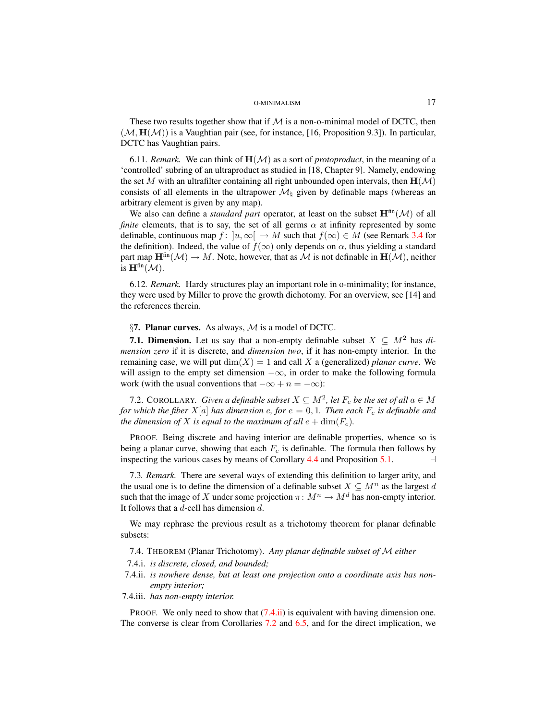These two results together show that if  $M$  is a non-o-minimal model of DCTC, then  $(M, H(M))$  is a Vaughtian pair (see, for instance, [16, Proposition 9.3]). In particular, DCTC has Vaughtian pairs.

6.11. Remark. We can think of  $H(M)$  as a sort of *protoproduct*, in the meaning of a 'controlled' subring of an ultraproduct as studied in [18, Chapter 9]. Namely, endowing the set M with an ultrafilter containing all right unbounded open intervals, then  $H(\mathcal{M})$ consists of all elements in the ultrapower  $\mathcal{M}_h$  given by definable maps (whereas an arbitrary element is given by any map).

We also can define a *standard part* operator, at least on the subset  $H^{\text{fin}}(\mathcal{M})$  of all *finite* elements, that is to say, the set of all germs  $\alpha$  at infinity represented by some definable, continuous map  $f: [u, \infty) \to M$  such that  $f(\infty) \in M$  (see Remark [3.4](#page-8-0) for the definition). Indeed, the value of  $f(\infty)$  only depends on  $\alpha$ , thus yielding a standard part map  $\mathbf{H}^{\text{fin}}(\mathcal{M}) \to M$ . Note, however, that as M is not definable in  $\mathbf{H}(\mathcal{M})$ , neither is  $\mathbf{H}^{\text{fin}}(\mathcal{M}).$ 

6.12*. Remark.* Hardy structures play an important role in o-minimality; for instance, they were used by Miller to prove the growth dichotomy. For an overview, see [14] and the references therein.

<span id="page-16-0"></span>§7. Planar curves. As always,  $M$  is a model of DCTC.

**7.1. Dimension.** Let us say that a non-empty definable subset  $X \subseteq M^2$  has *dimension zero* if it is discrete, and *dimension two*, if it has non-empty interior. In the remaining case, we will put  $\dim(X) = 1$  and call X a (generalized) *planar curve*. We will assign to the empty set dimension  $-\infty$ , in order to make the following formula work (with the usual conventions that  $-\infty + n = -\infty$ ):

<span id="page-16-1"></span>7.2. COROLLARY. *Given a definable subset*  $X \subseteq M^2$ , let  $F_e$  be the set of all  $a \in M$ *for which the fiber*  $X[a]$  *has dimension*  $e$ *, for*  $e = 0, 1$ *. Then each*  $F_e$  *is definable and the dimension of* X *is equal to the maximum of all*  $e + \dim(F_e)$ *.* 

PROOF. Being discrete and having interior are definable properties, whence so is being a planar curve, showing that each  $F_e$  is definable. The formula then follows by inspecting the various cases by means of Corollary 4.4 and Proposition 5.1. inspecting the various cases by means of Corollary  $4.4$  and Proposition  $5.1$ .

<span id="page-16-2"></span>7.3*. Remark.* There are several ways of extending this definition to larger arity, and the usual one is to define the dimension of a definable subset  $X \subseteq M^n$  as the largest d such that the image of X under some projection  $\pi \colon M^n \to M^d$  has non-empty interior. It follows that a  $d$ -cell has dimension  $d$ .

We may rephrase the previous result as a trichotomy theorem for planar definable subsets:

<span id="page-16-4"></span>7.4. THEOREM (Planar Trichotomy). *Any planar definable subset of* M *either*

7.4.i. *is discrete, closed, and bounded;*

- <span id="page-16-3"></span>7.4.ii. *is nowhere dense, but at least one projection onto a coordinate axis has nonempty interior;*
- 7.4.iii. *has non-empty interior.*

PROOF. We only need to show that  $(7.4.ii)$  is equivalent with having dimension one. The converse is clear from Corollaries [7.2](#page-16-1) and [6.5,](#page-14-1) and for the direct implication, we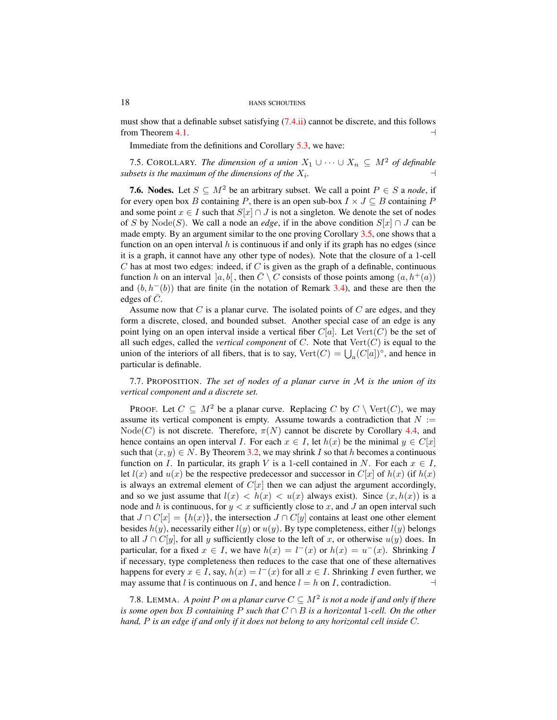must show that a definable subset satisfying [\(7.4.ii\)](#page-16-3) cannot be discrete, and this follows from Theorem [4.1.](#page-10-3)  $\Box$ 

Immediate from the definitions and Corollary [5.3,](#page-12-2) we have:

7.5. COROLLARY. *The dimension of a union*  $X_1 \cup \cdots \cup X_n \subseteq M^2$  *of definable subsets is the maximum of the dimensions of the*  $X_i$ . *.* a

**7.6. Nodes.** Let  $S \subseteq M^2$  be an arbitrary subset. We call a point  $P \in S$  a *node*, if for every open box B containing P, there is an open sub-box  $I \times J \subseteq B$  containing P and some point  $x \in I$  such that  $S[x] \cap J$  is not a singleton. We denote the set of nodes of S by Node(S). We call a node an *edge*, if in the above condition  $S[x] \cap J$  can be made empty. By an argument similar to the one proving Corollary  $3.5$ , one shows that a function on an open interval h is continuous if and only if its graph has no edges (since it is a graph, it cannot have any other type of nodes). Note that the closure of a 1-cell C has at most two edges: indeed, if C is given as the graph of a definable, continuous function h on an interval  $[a, b]$ , then  $\overline{C} \setminus C$  consists of those points among  $(a, h^+(a))$ and  $(b, h^{-}(b))$  that are finite (in the notation of Remark [3.4\)](#page-8-0), and these are then the edges of  $\overline{C}$ .

Assume now that  $C$  is a planar curve. The isolated points of  $C$  are edges, and they form a discrete, closed, and bounded subset. Another special case of an edge is any point lying on an open interval inside a vertical fiber  $C[a]$ . Let  $Vert(C)$  be the set of all such edges, called the *vertical component* of  $C$ . Note that  $Vert(C)$  is equal to the union of the interiors of all fibers, that is to say,  $Vert(C) = \bigcup_a (C[a])^{\circ}$ , and hence in particular is definable.

<span id="page-17-0"></span>7.7. PROPOSITION. *The set of nodes of a planar curve in* M *is the union of its vertical component and a discrete set.*

PROOF. Let  $C \subseteq M^2$  be a planar curve. Replacing C by  $C \setminus \text{Vert}(C)$ , we may assume its vertical component is empty. Assume towards a contradiction that  $N :=$  $Node(C)$  is not discrete. Therefore,  $\pi(N)$  cannot be discrete by Corollary [4.4,](#page-11-1) and hence contains an open interval I. For each  $x \in I$ , let  $h(x)$  be the minimal  $y \in C[x]$ such that  $(x, y) \in N$ . By Theorem [3.2,](#page-7-1) we may shrink I so that h becomes a continuous function on I. In particular, its graph V is a 1-cell contained in N. For each  $x \in I$ , let  $l(x)$  and  $u(x)$  be the respective predecessor and successor in  $C[x]$  of  $h(x)$  (if  $h(x)$ ) is always an extremal element of  $C[x]$  then we can adjust the argument accordingly, and so we just assume that  $l(x) < h(x) < u(x)$  always exist). Since  $(x, h(x))$  is a node and h is continuous, for  $y < x$  sufficiently close to x, and J an open interval such that  $J \cap C[x] = \{h(x)\}\$ , the intersection  $J \cap C[y]$  contains at least one other element besides  $h(y)$ , necessarily either  $l(y)$  or  $u(y)$ . By type completeness, either  $l(y)$  belongs to all  $J \cap C[y]$ , for all y sufficiently close to the left of x, or otherwise  $u(y)$  does. In particular, for a fixed  $x \in I$ , we have  $h(x) = l^-(x)$  or  $h(x) = u^-(x)$ . Shrinking I if necessary, type completeness then reduces to the case that one of these alternatives happens for every  $x \in I$ , say,  $h(x) = l^-(x)$  for all  $x \in I$ . Shrinking I even further, we may assume that l is continuous on I, and hence  $l = h$  on I, contradiction.

<span id="page-17-1"></span>7.8. LEMMA. A point P on a planar curve  $C \subseteq M^2$  is not a node if and only if there *is some open box* B *containing* P *such that* C ∩ B *is a horizontal* 1*-cell. On the other hand,* P *is an edge if and only if it does not belong to any horizontal cell inside* C*.*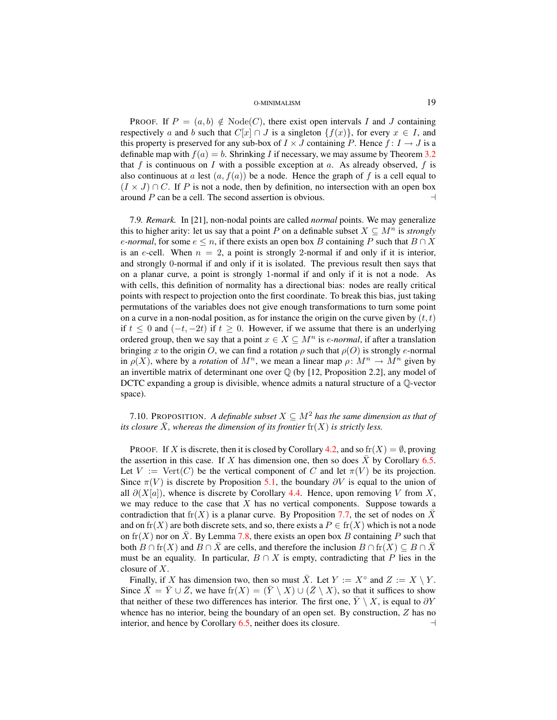**PROOF.** If  $P = (a, b) \notin Node(C)$ , there exist open intervals I and J containing respectively a and b such that  $C[x] \cap J$  is a singleton  $\{f(x)\}\text{, for every } x \in I$ , and this property is preserved for any sub-box of  $I \times J$  containing P. Hence  $f: I \rightarrow J$  is a definable map with  $f(a) = b$ . Shrinking I if necessary, we may assume by Theorem [3.2](#page-7-1) that f is continuous on I with a possible exception at a. As already observed, f is also continuous at a lest  $(a, f(a))$  be a node. Hence the graph of f is a cell equal to  $(I \times J) \cap C$ . If P is not a node, then by definition, no intersection with an open box around P can be a cell. The second assertion is obvious.  $\Box$ 

7.9*. Remark.* In [21], non-nodal points are called *normal* points. We may generalize this to higher arity: let us say that a point P on a definable subset  $X \subseteq M^n$  is *strongly e-normal*, for some  $e \le n$ , if there exists an open box B containing P such that  $B \cap X$ is an e-cell. When  $n = 2$ , a point is strongly 2-normal if and only if it is interior, and strongly 0-normal if and only if it is isolated. The previous result then says that on a planar curve, a point is strongly 1-normal if and only if it is not a node. As with cells, this definition of normality has a directional bias: nodes are really critical points with respect to projection onto the first coordinate. To break this bias, just taking permutations of the variables does not give enough transformations to turn some point on a curve in a non-nodal position, as for instance the origin on the curve given by  $(t, t)$ if  $t \leq 0$  and  $(-t, -2t)$  if  $t \geq 0$ . However, if we assume that there is an underlying ordered group, then we say that a point  $x \in X \subseteq M^n$  is *e-normal*, if after a translation bringing x to the origin O, we can find a rotation  $\rho$  such that  $\rho(O)$  is strongly e-normal in  $\rho(X)$ , where by a *rotation* of  $M^n$ , we mean a linear map  $\rho: M^n \to M^n$  given by an invertible matrix of determinant one over  $\mathbb Q$  (by [12, Proposition 2.2], any model of DCTC expanding a group is divisible, whence admits a natural structure of a  $\mathbb{Q}$ -vector space).

<span id="page-18-0"></span>7.10. PROPOSITION. *A definable subset*  $X \subseteq M^2$  *has the same dimension as that of its closure*  $\overline{X}$ *, whereas the dimension of its frontier*  $\text{fr}(X)$  *is strictly less.* 

PROOF. If X is discrete, then it is closed by Corollary [4.2,](#page-11-2) and so  $\text{fr}(X) = \emptyset$ , proving the assertion in this case. If X has dimension one, then so does  $\bar{X}$  by Corollary [6.5.](#page-14-1) Let  $V := \text{Vert}(C)$  be the vertical component of C and let  $\pi(V)$  be its projection. Since  $\pi(V)$  is discrete by Proposition [5.1,](#page-12-1) the boundary  $\partial V$  is equal to the union of all  $\partial(X[a])$ , whence is discrete by Corollary [4.4.](#page-11-1) Hence, upon removing V from X, we may reduce to the case that  $X$  has no vertical components. Suppose towards a contradiction that fr(X) is a planar curve. By Proposition [7.7,](#page-17-0) the set of nodes on  $\bar{X}$ and on  $\text{fr}(X)$  are both discrete sets, and so, there exists a  $P \in \text{fr}(X)$  which is not a node on fr(X) nor on X. By Lemma [7.8,](#page-17-1) there exists an open box B containing P such that both  $B \cap fr(X)$  and  $B \cap X$  are cells, and therefore the inclusion  $B \cap fr(X) \subseteq B \cap X$ must be an equality. In particular,  $B \cap X$  is empty, contradicting that P lies in the closure of X.

Finally, if X has dimension two, then so must  $\overline{X}$ . Let  $Y := X^{\circ}$  and  $Z := X \setminus Y$ . Since  $\bar{X} = \bar{Y} \cup \bar{Z}$ , we have  $\text{fr}(X) = (\bar{Y} \setminus X) \cup (\bar{Z} \setminus X)$ , so that it suffices to show that neither of these two differences has interior. The first one,  $\overline{Y} \setminus \overline{X}$ , is equal to  $\partial Y$ whence has no interior, being the boundary of an open set. By construction,  $Z$  has no interior, and hence by Corollary  $6.5$ , neither does its closure.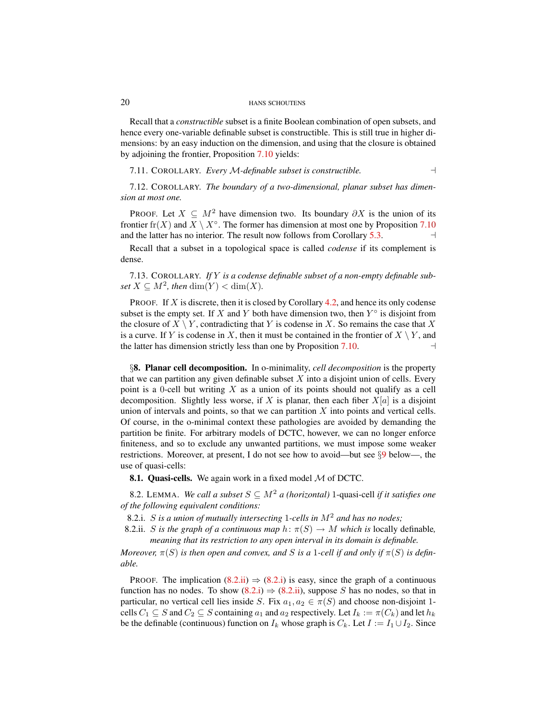Recall that a *constructible* subset is a finite Boolean combination of open subsets, and hence every one-variable definable subset is constructible. This is still true in higher dimensions: by an easy induction on the dimension, and using that the closure is obtained by adjoining the frontier, Proposition [7.10](#page-18-0) yields:

<span id="page-19-5"></span>7.11. COROLLARY. *Every* M*-definable subset is constructible.* a

<span id="page-19-4"></span>7.12. COROLLARY. *The boundary of a two-dimensional, planar subset has dimension at most one.*

PROOF. Let  $X \subseteq M^2$  have dimension two. Its boundary  $\partial X$  is the union of its frontier fr(X) and  $X \setminus X^\circ$ . The former has dimension at most one by Proposition [7.10](#page-18-0) and the latter has no interior. The result now follows from Corollary [5.3.](#page-12-2)

Recall that a subset in a topological space is called *codense* if its complement is dense.

7.13. COROLLARY. *If* Y *is a codense definable subset of a non-empty definable subset*  $X \subseteq M^2$ *, then* dim(Y) < dim(X)*.* 

**PROOF.** If X is discrete, then it is closed by Corollary [4.2,](#page-11-2) and hence its only codense subset is the empty set. If X and Y both have dimension two, then  $Y^{\circ}$  is disjoint from the closure of  $X \setminus Y$ , contradicting that Y is codense in X. So remains the case that X is a curve. If Y is codense in X, then it must be contained in the frontier of  $X \setminus Y$ , and the latter has dimension strictly less than one by Proposition [7.10.](#page-18-0)  $\Box$ 

<span id="page-19-0"></span>§8. Planar cell decomposition. In o-minimality, *cell decomposition* is the property that we can partition any given definable subset  $X$  into a disjoint union of cells. Every point is a 0-cell but writing  $X$  as a union of its points should not qualify as a cell decomposition. Slightly less worse, if X is planar, then each fiber  $X[a]$  is a disjoint union of intervals and points, so that we can partition  $X$  into points and vertical cells. Of course, in the o-minimal context these pathologies are avoided by demanding the partition be finite. For arbitrary models of DCTC, however, we can no longer enforce finiteness, and so to exclude any unwanted partitions, we must impose some weaker restrictions. Moreover, at present, I do not see how to avoid—but see  $\S$ [9](#page-23-0) below—, the use of quasi-cells:

**8.1. Quasi-cells.** We again work in a fixed model  $M$  of DCTC.

<span id="page-19-3"></span>8.2. LEMMA. *We call a subset*  $S \subseteq M^2$  *a (horizontal)* 1-quasi-cell *if it satisfies one of the following equivalent conditions:*

<span id="page-19-2"></span>8.2.i. S *is a union of mutually intersecting* 1*-cells in* M<sup>2</sup> *and has no nodes;*

<span id="page-19-1"></span>8.2.ii. S is the graph of a continuous map  $h: \pi(S) \to M$  which is locally definable, *meaning that its restriction to any open interval in its domain is definable.*

*Moreover,*  $\pi(S)$  *is then open and convex, and S is a* 1-cell *if and only if*  $\pi(S)$  *is definable.*

PROOF. The implication  $(8.2.ii) \Rightarrow (8.2.1)$  $(8.2.ii) \Rightarrow (8.2.1)$  is easy, since the graph of a continuous function has no nodes. To show  $(8.2.i) \Rightarrow (8.2.i)$  $(8.2.i) \Rightarrow (8.2.i)$ , suppose S has no nodes, so that in particular, no vertical cell lies inside S. Fix  $a_1, a_2 \in \pi(S)$  and choose non-disjoint 1cells  $C_1 \subseteq S$  and  $C_2 \subseteq S$  containing  $a_1$  and  $a_2$  respectively. Let  $I_k := \pi(C_k)$  and let  $h_k$ be the definable (continuous) function on  $I_k$  whose graph is  $C_k$ . Let  $I := I_1 \cup I_2$ . Since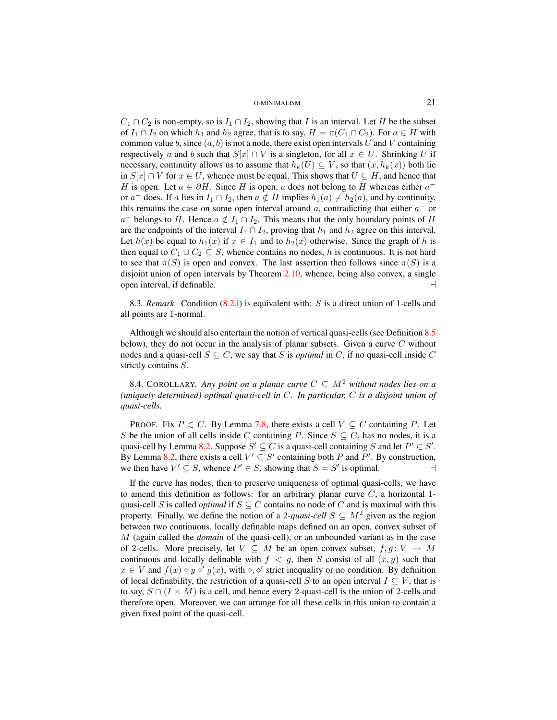$C_1 \cap C_2$  is non-empty, so is  $I_1 \cap I_2$ , showing that I is an interval. Let H be the subset of  $I_1 \cap I_2$  on which  $h_1$  and  $h_2$  agree, that is to say,  $H = \pi(C_1 \cap C_2)$ . For  $a \in H$  with common value b, since  $(a, b)$  is not a node, there exist open intervals U and V containing respectively a and b such that  $S[x] \cap V$  is a singleton, for all  $x \in U$ . Shrinking U if necessary, continuity allows us to assume that  $h_k(U) \subseteq V$ , so that  $(x, h_k(x))$  both lie in  $S[x] ∩ V$  for  $x ∈ U$ , whence must be equal. This shows that  $U ⊆ H$ , and hence that H is open. Let  $a \in \partial H$ . Since H is open, a does not belong to H whereas either  $a^$ or  $a^+$  does. If a lies in  $I_1 \cap I_2$ , then  $a \notin H$  implies  $h_1(a) \neq h_2(a)$ , and by continuity, this remains the case on some open interval around  $a$ , contradicting that either  $a^-$  or  $a^+$  belongs to H. Hence  $a \notin I_1 \cap I_2$ . This means that the only boundary points of H are the endpoints of the interval  $I_1 \cap I_2$ , proving that  $h_1$  and  $h_2$  agree on this interval. Let  $h(x)$  be equal to  $h_1(x)$  if  $x \in I_1$  and to  $h_2(x)$  otherwise. Since the graph of h is then equal to  $C_1 \cup C_2 \subseteq S$ , whence contains no nodes, h is continuous. It is not hard to see that  $\pi(S)$  is open and convex. The last assertion then follows since  $\pi(S)$  is a disjoint union of open intervals by Theorem [2.10,](#page-6-1) whence, being also convex, a single open interval, if definable.  $\Box$ 

8.3*. Remark.* Condition [\(8.2.i\)](#page-19-2) is equivalent with: S is a direct union of 1-cells and all points are 1-normal.

Although we should also entertain the notion of vertical quasi-cells (see Definition [8.5](#page-20-0) below), they do not occur in the analysis of planar subsets. Given a curve  $C$  without nodes and a quasi-cell  $S \subseteq C$ , we say that S is *optimal* in C, if no quasi-cell inside C strictly contains S.

<span id="page-20-1"></span>8.4. COROLLARY. Any point on a planar curve  $C \subseteq M^2$  without nodes lies on a *(uniquely determined) optimal quasi-cell in* C*. In particular,* C *is a disjoint union of quasi-cells.*

PROOF. Fix  $P \in C$ . By Lemma [7.8,](#page-17-1) there exists a cell  $V \subseteq C$  containing P. Let S be the union of all cells inside C containing P. Since  $S \subseteq C$ , has no nodes, it is a quasi-cell by Lemma [8.2.](#page-19-3) Suppose  $S' \subseteq C$  is a quasi-cell containing S and let  $P' \in S'$ . By Lemma [8.2,](#page-19-3) there exists a cell  $V' \subseteq S'$  containing both P and P'. By construction, we then have  $V' \subseteq S$ , whence  $P' \in S$ , showing that  $S = S'$  is optimal.

<span id="page-20-0"></span>If the curve has nodes, then to preserve uniqueness of optimal quasi-cells, we have to amend this definition as follows: for an arbitrary planar curve  $C$ , a horizontal 1quasi-cell S is called *optimal* if  $S \subseteq C$  contains no node of C and is maximal with this property. Finally, we define the notion of a 2-*quasi-cell*  $S \subseteq M^2$  given as the region between two continuous, locally definable maps defined on an open, convex subset of M (again called the *domain* of the quasi-cell), or an unbounded variant as in the case of 2-cells. More precisely, let  $V \subseteq M$  be an open convex subset,  $f, g \colon V \to M$ continuous and locally definable with  $f < g$ , then S consist of all  $(x, y)$  such that  $x \in V$  and  $f(x) \diamond y \diamond' g(x)$ , with  $\diamond, \diamond'$  strict inequality or no condition. By definition of local definability, the restriction of a quasi-cell S to an open interval  $I \subseteq V$ , that is to say,  $S \cap (I \times M)$  is a cell, and hence every 2-quasi-cell is the union of 2-cells and therefore open. Moreover, we can arrange for all these cells in this union to contain a given fixed point of the quasi-cell.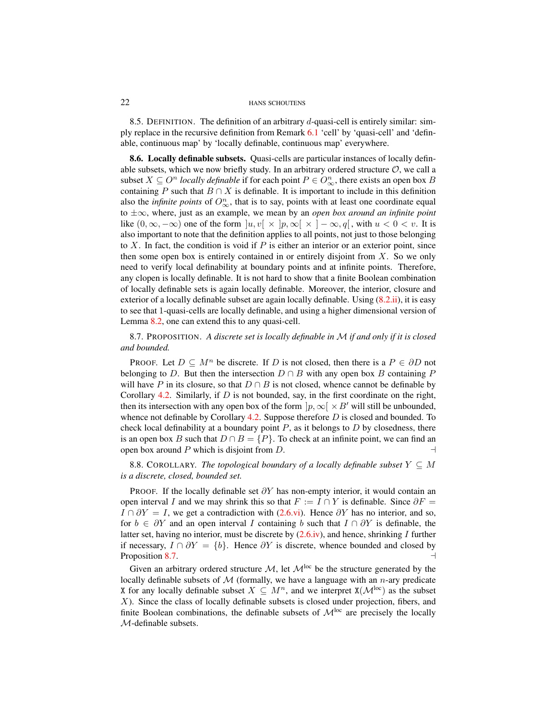8.5. DEFINITION. The definition of an arbitrary  $d$ -quasi-cell is entirely similar: simply replace in the recursive definition from Remark [6.1](#page-13-1) 'cell' by 'quasi-cell' and 'definable, continuous map' by 'locally definable, continuous map' everywhere.

<span id="page-21-1"></span>8.6. Locally definable subsets. Quasi-cells are particular instances of locally definable subsets, which we now briefly study. In an arbitrary ordered structure  $O$ , we call a subset  $X \subseteq O^n$  *locally definable* if for each point  $P \in O^n_{\infty}$ , there exists an open box B containing P such that  $B \cap X$  is definable. It is important to include in this definition also the *infinite points* of  $O_{\infty}^n$ , that is to say, points with at least one coordinate equal to ±∞, where, just as an example, we mean by an *open box around an infinite point* like  $(0, \infty, -\infty)$  one of the form  $|u, v| \times |p, \infty| \times |- \infty, q|$ , with  $u < 0 < v$ . It is also important to note that the definition applies to all points, not just to those belonging to  $X$ . In fact, the condition is void if  $P$  is either an interior or an exterior point, since then some open box is entirely contained in or entirely disjoint from  $X$ . So we only need to verify local definability at boundary points and at infinite points. Therefore, any clopen is locally definable. It is not hard to show that a finite Boolean combination of locally definable sets is again locally definable. Moreover, the interior, closure and exterior of a locally definable subset are again locally definable. Using  $(8.2.ii)$ , it is easy to see that 1-quasi-cells are locally definable, and using a higher dimensional version of Lemma [8.2,](#page-19-3) one can extend this to any quasi-cell.

<span id="page-21-0"></span>8.7. PROPOSITION. *A discrete set is locally definable in* M *if and only if it is closed and bounded.*

PROOF. Let  $D \subseteq M^n$  be discrete. If D is not closed, then there is a  $P \in \partial D$  not belonging to D. But then the intersection  $D \cap B$  with any open box B containing P will have P in its closure, so that  $D \cap B$  is not closed, whence cannot be definable by Corollary [4.2.](#page-11-2) Similarly, if  $D$  is not bounded, say, in the first coordinate on the right, then its intersection with any open box of the form  $|p, \infty| \times B'$  will still be unbounded, whence not definable by Corollary [4.2.](#page-11-2) Suppose therefore  $D$  is closed and bounded. To check local definability at a boundary point  $P$ , as it belongs to  $D$  by closedness, there is an open box B such that  $D \cap B = \{P\}$ . To check at an infinite point, we can find an open box around P which is disjoint from D.  $\Box$ 

8.8. COROLLARY. *The topological boundary of a locally definable subset*  $Y \subseteq M$ *is a discrete, closed, bounded set.*

PROOF. If the locally definable set  $\partial Y$  has non-empty interior, it would contain an open interval I and we may shrink this so that  $F := I \cap Y$  is definable. Since  $\partial F =$  $I \cap \partial Y = I$ , we get a contradiction with [\(2.6.vi\)](#page-5-6). Hence  $\partial Y$  has no interior, and so, for  $b \in \partial Y$  and an open interval I containing b such that  $I \cap \partial Y$  is definable, the latter set, having no interior, must be discrete by  $(2.6.iv)$ , and hence, shrinking I further if necessary,  $I \cap \partial Y = \{b\}$ . Hence  $\partial Y$  is discrete, whence bounded and closed by Proposition [8.7.](#page-21-0)  $\Box$ 

Given an arbitrary ordered structure  $M$ , let  $M^{\text{loc}}$  be the structure generated by the locally definable subsets of  $M$  (formally, we have a language with an *n*-ary predicate X for any locally definable subset  $X \subseteq M^n$ , and we interpret  $X(\mathcal{M}^{loc})$  as the subset X). Since the class of locally definable subsets is closed under projection, fibers, and finite Boolean combinations, the definable subsets of  $\mathcal{M}^{loc}$  are precisely the locally M-definable subsets.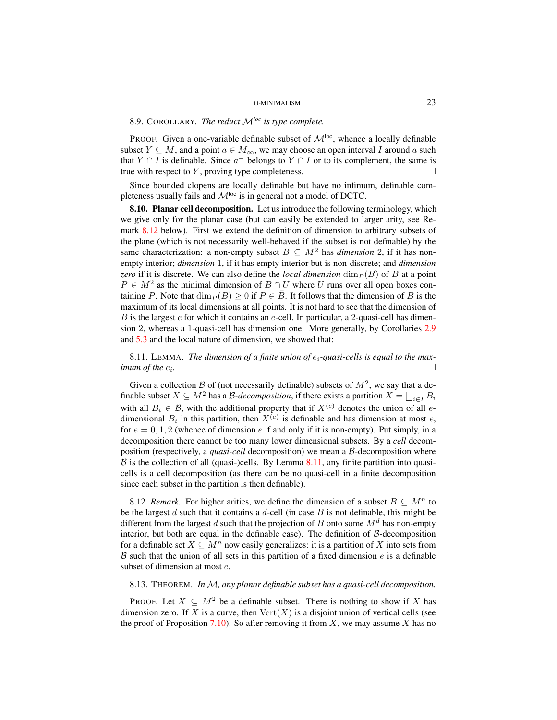# 8.9. COROLLARY. *The reduct* M*loc is type complete.*

PROOF. Given a one-variable definable subset of  $\mathcal{M}^{loc}$ , whence a locally definable subset  $Y \subseteq M$ , and a point  $a \in M_{\infty}$ , we may choose an open interval I around a such that  $Y \cap I$  is definable. Since  $a^-$  belongs to  $Y \cap I$  or to its complement, the same is true with respect to  $Y$ , proving type completeness.

Since bounded clopens are locally definable but have no infimum, definable completeness usually fails and  $\mathcal{M}^{loc}$  is in general not a model of DCTC.

8.10. Planar cell decomposition. Let us introduce the following terminology, which we give only for the planar case (but can easily be extended to larger arity, see Remark [8.12](#page-22-1) below). First we extend the definition of dimension to arbitrary subsets of the plane (which is not necessarily well-behaved if the subset is not definable) by the same characterization: a non-empty subset  $B \subseteq M^2$  has *dimension* 2, if it has nonempty interior; *dimension* 1, if it has empty interior but is non-discrete; and *dimension zero* if it is discrete. We can also define the *local dimension*  $\dim_P(B)$  of B at a point  $P \in M^2$  as the minimal dimension of  $B \cap U$  where U runs over all open boxes containing P. Note that  $\dim_P (B) \geq 0$  if  $P \in \overline{B}$ . It follows that the dimension of B is the maximum of its local dimensions at all points. It is not hard to see that the dimension of  $B$  is the largest  $e$  for which it contains an  $e$ -cell. In particular, a 2-quasi-cell has dimension 2, whereas a 1-quasi-cell has dimension one. More generally, by Corollaries [2.9](#page-6-2) and [5.3](#page-12-2) and the local nature of dimension, we showed that:

<span id="page-22-2"></span>8.11. LEMMA. *The dimension of a finite union of* ei*-quasi-cells is equal to the maximum of the*  $e_i$ *. .* a

Given a collection B of (not necessarily definable) subsets of  $M^2$ , we say that a definable subset  $X \subseteq M^2$  has a *B-decomposition*, if there exists a partition  $X = \bigsqcup_{i \in I} B_i$ with all  $B_i \in \mathcal{B}$ , with the additional property that if  $X^{(e)}$  denotes the union of all edimensional  $B_i$  in this partition, then  $X^{(e)}$  is definable and has dimension at most e, for  $e = 0, 1, 2$  (whence of dimension e if and only if it is non-empty). Put simply, in a decomposition there cannot be too many lower dimensional subsets. By a *cell* decomposition (respectively, a *quasi-cell* decomposition) we mean a B-decomposition where  $\beta$  is the collection of all (quasi-)cells. By Lemma [8.11,](#page-22-2) any finite partition into quasicells is a cell decomposition (as there can be no quasi-cell in a finite decomposition since each subset in the partition is then definable).

<span id="page-22-1"></span>8.12*. Remark*. For higher arities, we define the dimension of a subset  $B \subseteq M^n$  to be the largest  $d$  such that it contains a  $d$ -cell (in case  $B$  is not definable, this might be different from the largest d such that the projection of B onto some  $M<sup>d</sup>$  has non-empty interior, but both are equal in the definable case). The definition of  $B$ -decomposition for a definable set  $X \subseteq M^n$  now easily generalizes: it is a partition of X into sets from B such that the union of all sets in this partition of a fixed dimension  $e$  is a definable subset of dimension at most  $e$ .

# <span id="page-22-0"></span>8.13. THEOREM. *In* M*, any planar definable subset has a quasi-cell decomposition.*

PROOF. Let  $X \subseteq M^2$  be a definable subset. There is nothing to show if X has dimension zero. If X is a curve, then  $Vert(X)$  is a disjoint union of vertical cells (see the proof of Proposition [7.10\)](#page-18-0). So after removing it from  $X$ , we may assume X has no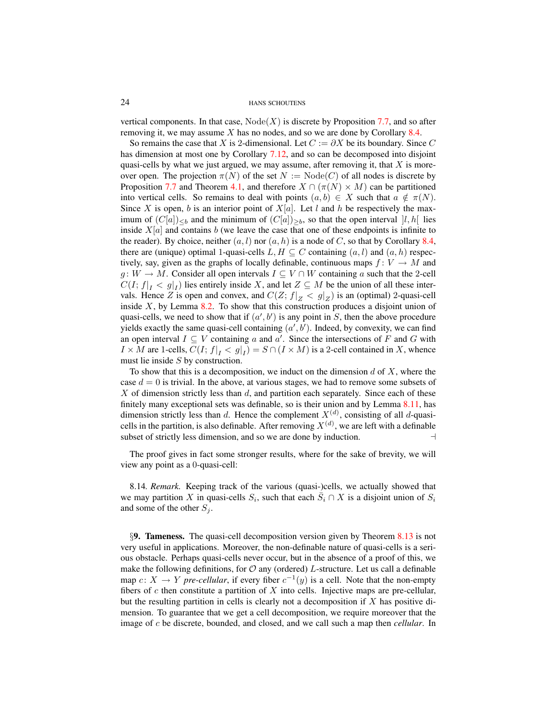vertical components. In that case,  $Node(X)$  is discrete by Proposition [7.7,](#page-17-0) and so after removing it, we may assume  $X$  has no nodes, and so we are done by Corollary [8.4.](#page-20-1)

So remains the case that X is 2-dimensional. Let  $C := \partial X$  be its boundary. Since C has dimension at most one by Corollary [7.12,](#page-19-4) and so can be decomposed into disjoint quasi-cells by what we just argued, we may assume, after removing it, that  $X$  is moreover open. The projection  $\pi(N)$  of the set  $N := \text{Node}(C)$  of all nodes is discrete by Proposition [7.7](#page-17-0) and Theorem [4.1,](#page-10-3) and therefore  $X \cap (\pi(N) \times M)$  can be partitioned into vertical cells. So remains to deal with points  $(a, b) \in X$  such that  $a \notin \pi(N)$ . Since X is open, b is an interior point of  $X[a]$ . Let l and h be respectively the maximum of  $(C[a])_{\leq b}$  and the minimum of  $(C[a])_{\geq b}$ , so that the open interval  $]l, h[$  lies inside  $X[a]$  and contains b (we leave the case that one of these endpoints is infinite to the reader). By choice, neither  $(a, l)$  nor  $(a, h)$  is a node of C, so that by Corollary [8.4,](#page-20-1) there are (unique) optimal 1-quasi-cells  $L, H \subseteq C$  containing  $(a, l)$  and  $(a, h)$  respectively, say, given as the graphs of locally definable, continuous maps  $f: V \to M$  and  $g: W \to M$ . Consider all open intervals  $I \subseteq V \cap W$  containing a such that the 2-cell  $C(I; f|_I < g|_I)$  lies entirely inside X, and let  $Z \subseteq M$  be the union of all these intervals. Hence Z is open and convex, and  $C(Z; f|_Z < g|_Z)$  is an (optimal) 2-quasi-cell inside  $X$ , by Lemma [8.2.](#page-19-3) To show that this construction produces a disjoint union of quasi-cells, we need to show that if  $(a', b')$  is any point in S, then the above procedure yields exactly the same quasi-cell containing  $(a', b')$ . Indeed, by convexity, we can find an open interval  $I \subseteq V$  containing a and a'. Since the intersections of F and G with  $I \times M$  are 1-cells,  $C(I; f|_I < g|_I) = S \cap (I \times M)$  is a 2-cell contained in X, whence must lie inside S by construction.

To show that this is a decomposition, we induct on the dimension d of  $X$ , where the case  $d = 0$  is trivial. In the above, at various stages, we had to remove some subsets of X of dimension strictly less than  $d$ , and partition each separately. Since each of these finitely many exceptional sets was definable, so is their union and by Lemma [8.11,](#page-22-2) has dimension strictly less than d. Hence the complement  $X^{(d)}$ , consisting of all d-quasicells in the partition, is also definable. After removing  $X^{(d)}$ , we are left with a definable subset of strictly less dimension, and so we are done by induction.  $\Box$ 

The proof gives in fact some stronger results, where for the sake of brevity, we will view any point as a 0-quasi-cell:

8.14*. Remark.* Keeping track of the various (quasi-)cells, we actually showed that we may partition X in quasi-cells  $S_i$ , such that each  $\overline{S}_i \cap X$  is a disjoint union of  $S_i$ and some of the other  $S_j$ .

<span id="page-23-0"></span>§9. Tameness. The quasi-cell decomposition version given by Theorem [8.13](#page-22-0) is not very useful in applications. Moreover, the non-definable nature of quasi-cells is a serious obstacle. Perhaps quasi-cells never occur, but in the absence of a proof of this, we make the following definitions, for  $\mathcal O$  any (ordered) L-structure. Let us call a definable map  $c: X \to Y$  *pre-cellular*, if every fiber  $c^{-1}(y)$  is a cell. Note that the non-empty fibers of  $c$  then constitute a partition of  $X$  into cells. Injective maps are pre-cellular, but the resulting partition in cells is clearly not a decomposition if  $X$  has positive dimension. To guarantee that we get a cell decomposition, we require moreover that the image of c be discrete, bounded, and closed, and we call such a map then *cellular*. In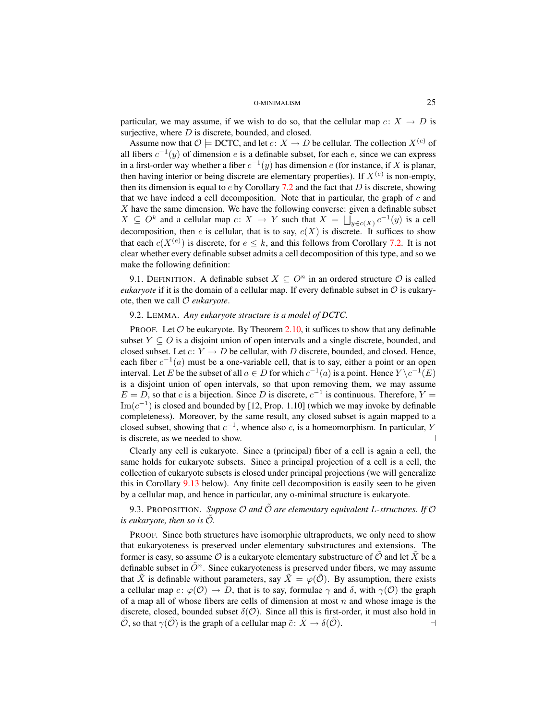particular, we may assume, if we wish to do so, that the cellular map  $c: X \to D$  is surjective, where  $D$  is discrete, bounded, and closed.

Assume now that  $\mathcal{O} \models$  DCTC, and let  $c: X \rightarrow D$  be cellular. The collection  $X^{(e)}$  of all fibers  $c^{-1}(y)$  of dimension e is a definable subset, for each e, since we can express in a first-order way whether a fiber  $c^{-1}(y)$  has dimension e (for instance, if X is planar, then having interior or being discrete are elementary properties). If  $X^{(e)}$  is non-empty, then its dimension is equal to  $e$  by Corollary [7.2](#page-16-1) and the fact that D is discrete, showing that we have indeed a cell decomposition. Note that in particular, the graph of  $c$  and  $X$  have the same dimension. We have the following converse: given a definable subset  $X \subseteq O^k$  and a cellular map  $c: X \to Y$  such that  $X = \bigsqcup_{y \in c(X)} c^{-1}(y)$  is a cell decomposition, then c is cellular, that is to say,  $c(X)$  is discrete. It suffices to show that each  $c(X^{(e)})$  is discrete, for  $e \leq k$ , and this follows from Corollary [7.2.](#page-16-1) It is not clear whether every definable subset admits a cell decomposition of this type, and so we make the following definition:

9.1. DEFINITION. A definable subset  $X \subseteq O<sup>n</sup>$  in an ordered structure  $O$  is called *eukaryote* if it is the domain of a cellular map. If every definable subset in  $\mathcal O$  is eukaryote, then we call O *eukaryote*.

# <span id="page-24-0"></span>9.2. LEMMA. *Any eukaryote structure is a model of DCTC.*

PROOF. Let  $O$  be eukaryote. By Theorem [2.10,](#page-6-1) it suffices to show that any definable subset  $Y \subseteq O$  is a disjoint union of open intervals and a single discrete, bounded, and closed subset. Let  $c: Y \to D$  be cellular, with D discrete, bounded, and closed. Hence, each fiber  $c^{-1}(a)$  must be a one-variable cell, that is to say, either a point or an open interval. Let E be the subset of all  $a \in D$  for which  $c^{-1}(a)$  is a point. Hence  $Y \setminus c^{-1}(E)$ is a disjoint union of open intervals, so that upon removing them, we may assume  $E = D$ , so that c is a bijection. Since D is discrete,  $c^{-1}$  is continuous. Therefore,  $Y =$  $\text{Im}(c^{-1})$  is closed and bounded by [12, Prop. 1.10] (which we may invoke by definable completeness). Moreover, by the same result, any closed subset is again mapped to a closed subset, showing that  $c^{-1}$ , whence also c, is a homeomorphism. In particular, Y is discrete, as we needed to show.  $\Box$ 

Clearly any cell is eukaryote. Since a (principal) fiber of a cell is again a cell, the same holds for eukaryote subsets. Since a principal projection of a cell is a cell, the collection of eukaryote subsets is closed under principal projections (we will generalize this in Corollary [9.13](#page-27-0) below). Any finite cell decomposition is easily seen to be given by a cellular map, and hence in particular, any o-minimal structure is eukaryote.

# <span id="page-24-1"></span>9.3. PROPOSITION. *Suppose O and*  $\tilde{\mathcal{O}}$  *are elementary equivalent* L-structures. If O *is eukaryote, then so is*  $\mathcal{O}$ *.*

PROOF. Since both structures have isomorphic ultraproducts, we only need to show that eukaryoteness is preserved under elementary substructures and extensions. The former is easy, so assume  $\mathcal O$  is a eukaryote elementary substructure of  $\mathcal O$  and let X be a definable subset in  $\tilde{O}^n$ . Since eukaryoteness is preserved under fibers, we may assume that  $\tilde{X}$  is definable without parameters, say  $\tilde{X} = \varphi(\tilde{O})$ . By assumption, there exists a cellular map  $c: \varphi(\mathcal{O}) \to D$ , that is to say, formulae  $\gamma$  and  $\delta$ , with  $\gamma(\mathcal{O})$  the graph of a map all of whose fibers are cells of dimension at most  $n$  and whose image is the discrete, closed, bounded subset  $\delta(\mathcal{O})$ . Since all this is first-order, it must also hold in  $\hat{\mathcal{O}}$ , so that  $\gamma(\hat{\mathcal{O}})$  is the graph of a cellular map  $\tilde{c} \colon \tilde{X} \to \delta(\hat{\mathcal{O}})$ .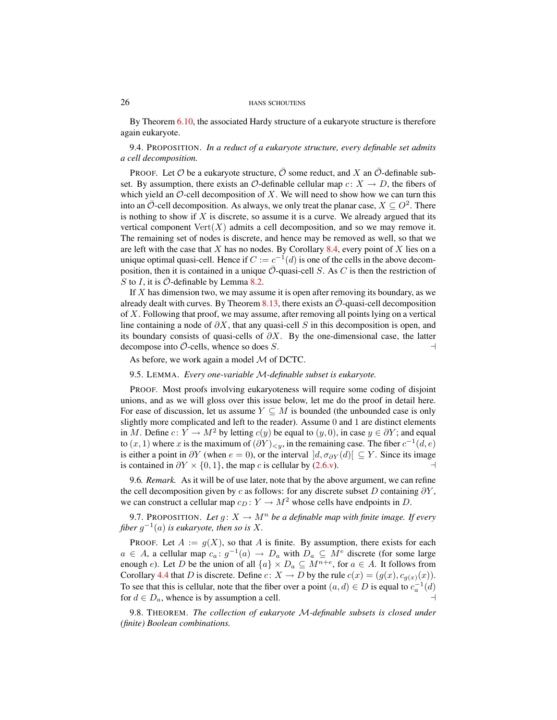By Theorem [6.10,](#page-15-0) the associated Hardy structure of a eukaryote structure is therefore again eukaryote.

9.4. PROPOSITION. *In a reduct of a eukaryote structure, every definable set admits a cell decomposition.*

PROOF. Let  $\mathcal O$  be a eukaryote structure,  $\mathcal O$  some reduct, and X an  $\mathcal O$ -definable subset. By assumption, there exists an  $\mathcal{O}$ -definable cellular map  $c: X \rightarrow D$ , the fibers of which yield an  $\mathcal{O}\text{-cell decomposition of } X$ . We will need to show how we can turn this into an  $\overline{O}$ -cell decomposition. As always, we only treat the planar case,  $X \subseteq O^2$ . There is nothing to show if  $X$  is discrete, so assume it is a curve. We already argued that its vertical component  $Vert(X)$  admits a cell decomposition, and so we may remove it. The remaining set of nodes is discrete, and hence may be removed as well, so that we are left with the case that X has no nodes. By Corollary [8.4,](#page-20-1) every point of X lies on a unique optimal quasi-cell. Hence if  $C := c^{-1}(d)$  is one of the cells in the above decomposition, then it is contained in a unique  $\mathcal{O}$ -quasi-cell S. As C is then the restriction of S to I, it is  $\mathcal O$ -definable by Lemma [8.2.](#page-19-3)

If  $X$  has dimension two, we may assume it is open after removing its boundary, as we already dealt with curves. By Theorem [8.13,](#page-22-0) there exists an  $\overline{O}$ -quasi-cell decomposition of  $X$ . Following that proof, we may assume, after removing all points lying on a vertical line containing a node of  $\partial X$ , that any quasi-cell S in this decomposition is open, and its boundary consists of quasi-cells of  $\partial X$ . By the one-dimensional case, the latter decompose into  $\overline{O}$ -cells, whence so does S.  $\Box$ 

As before, we work again a model  $M$  of DCTC.

<span id="page-25-1"></span>9.5. LEMMA. *Every one-variable* M*-definable subset is eukaryote.*

PROOF. Most proofs involving eukaryoteness will require some coding of disjoint unions, and as we will gloss over this issue below, let me do the proof in detail here. For ease of discussion, let us assume  $Y \subseteq M$  is bounded (the unbounded case is only slightly more complicated and left to the reader). Assume 0 and 1 are distinct elements in M. Define  $c: Y \to M^2$  by letting  $c(y)$  be equal to  $(y, 0)$ , in case  $y \in \partial Y$ ; and equal to  $(x, 1)$  where x is the maximum of  $(\partial Y)_{\leq y}$ , in the remaining case. The fiber  $c^{-1}(d, e)$ is either a point in  $\partial Y$  (when  $e = 0$ ), or the interval  $|d, \sigma_{\partial Y}(d)| \subseteq Y$ . Since its image is contained in  $\partial Y \times \{0, 1\}$ , the map c is cellular by [\(2.6.v\)](#page-5-5). →

9.6*. Remark.* As it will be of use later, note that by the above argument, we can refine the cell decomposition given by c as follows: for any discrete subset D containing  $\partial Y$ , we can construct a cellular map  $c_D : Y \to M^2$  whose cells have endpoints in D.

<span id="page-25-0"></span>9.7. PROPOSITION. Let  $g: X \to M^n$  be a definable map with finite image. If every fiber  $g^{-1}(a)$  is eukaryote, then so is X.

PROOF. Let  $A := g(X)$ , so that A is finite. By assumption, there exists for each  $a \in A$ , a cellular map  $c_a: g^{-1}(a) \to D_a$  with  $D_a \subseteq M^e$  discrete (for some large enough *e*). Let *D* be the union of all  $\{a\} \times D_a \subseteq M^{n+e}$ , for  $a \in A$ . It follows from Corollary [4.4](#page-11-1) that D is discrete. Define  $c: X \to D$  by the rule  $c(x) = (g(x), c_{g(x)}(x))$ . To see that this is cellular, note that the fiber over a point  $(a, d) \in D$  is equal to  $c_a^{-1}(d)$ for  $d \in D_a$ , whence is by assumption a cell.

<span id="page-25-2"></span>9.8. THEOREM. *The collection of eukaryote* M*-definable subsets is closed under (finite) Boolean combinations.*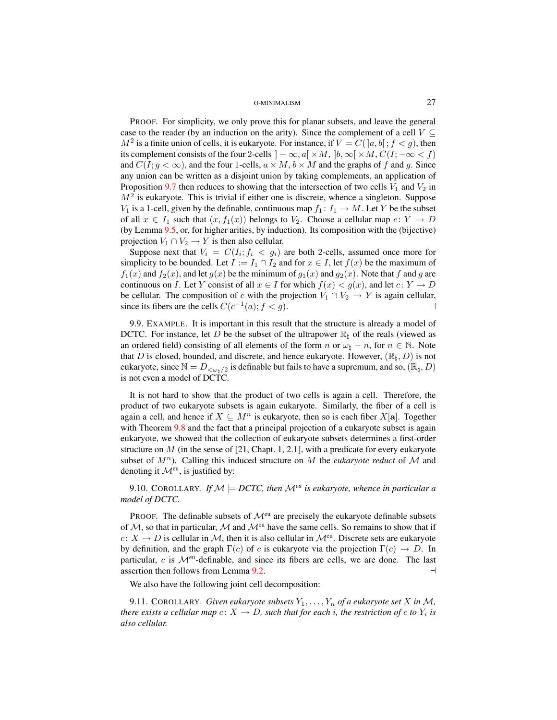PROOF. For simplicity, we only prove this for planar subsets, and leave the general case to the reader (by an induction on the arity). Since the complement of a cell  $V \subseteq$  $M^2$  is a finite union of cells, it is eukaryote. For instance, if  $V = C([a, b]; f < g)$ , then its complement consists of the four 2-cells  $] - \infty$ ,  $a[ \times M, ]b, \infty[ \times M, C(I; -\infty < f)$ and  $C(I; q < \infty)$ , and the four 1-cells,  $a \times M$ ,  $b \times M$  and the graphs of f and q. Since any union can be written as a disjoint union by taking complements, an application of Proposition [9.7](#page-25-0) then reduces to showing that the intersection of two cells  $V_1$  and  $V_2$  in  $M<sup>2</sup>$  is eukaryote. This is trivial if either one is discrete, whence a singleton. Suppose  $V_1$  is a 1-cell, given by the definable, continuous map  $f_1: I_1 \to M$ . Let Y be the subset of all  $x \in I_1$  such that  $(x, f_1(x))$  belongs to  $V_2$ . Choose a cellular map  $c: Y \to D$ (by Lemma [9.5,](#page-25-1) or, for higher arities, by induction). Its composition with the (bijective) projection  $V_1 \cap V_2 \to Y$  is then also cellular.

Suppose next that  $V_i = C(I_i; f_i < g_i)$  are both 2-cells, assumed once more for simplicity to be bounded. Let  $I := I_1 \cap I_2$  and for  $x \in I$ , let  $f(x)$  be the maximum of  $f_1(x)$  and  $f_2(x)$ , and let  $g(x)$  be the minimum of  $g_1(x)$  and  $g_2(x)$ . Note that f and g are continuous on I. Let Y consist of all  $x \in I$  for which  $f(x) < g(x)$ , and let  $c: Y \to D$ be cellular. The composition of c with the projection  $V_1 \cap V_2 \to Y$  is again cellular, since its fibers are the cells  $C(c^{-1}(a); f < g)$ .

9.9. EXAMPLE. It is important in this result that the structure is already a model of DCTC. For instance, let D be the subset of the ultrapower  $\mathbb{R}_{\mathfrak{b}}$  of the reals (viewed as an ordered field) consisting of all elements of the form n or  $\omega_{\natural} - n$ , for  $n \in \mathbb{N}$ . Note that D is closed, bounded, and discrete, and hence eukaryote. However,  $(\mathbb{R}_1, D)$  is not eukaryote, since  $\mathbb{N} = D_{\langle \omega_h/2 \rangle}$  is definable but fails to have a supremum, and so,  $(\mathbb{R}, D)$ is not even a model of DCTC.

It is not hard to show that the product of two cells is again a cell. Therefore, the product of two eukaryote subsets is again eukaryote. Similarly, the fiber of a cell is again a cell, and hence if  $X \subseteq M^n$  is eukaryote, then so is each fiber  $X[\mathbf{a}]$ . Together with Theorem [9.8](#page-25-2) and the fact that a principal projection of a eukaryote subset is again eukaryote, we showed that the collection of eukaryote subsets determines a first-order structure on  $M$  (in the sense of [21, Chapt. 1, 2.1], with a predicate for every eukaryote subset of  $M^n$ ). Calling this induced structure on M the *eukaryote reduct* of M and denoting it  $\mathcal{M}^{eu}$ , is justified by:

<span id="page-26-0"></span>9.10. COROLLARY. *If*  $M \models DCTC$ , then  $M^{eu}$  is eukaryote, whence in particular a *model of DCTC.*

PROOF. The definable subsets of  $\mathcal{M}^{\text{eu}}$  are precisely the eukaryote definable subsets of  $M$ , so that in particular,  $M$  and  $M^{eu}$  have the same cells. So remains to show that if  $c: X \to D$  is cellular in M, then it is also cellular in  $\mathcal{M}^{eu}$ . Discrete sets are eukaryote by definition, and the graph  $\Gamma(c)$  of c is eukaryote via the projection  $\Gamma(c) \to D$ . In particular,  $c$  is  $\mathcal{M}^{eu}$ -definable, and since its fibers are cells, we are done. The last assertion then follows from Lemma  $9.2$ .

We also have the following joint cell decomposition:

9.11. COROLLARY. *Given eukaryote subsets*  $Y_1, \ldots, Y_n$  *of a eukaryote set* X *in* M, *there exists a cellular map*  $c\colon X\to D$ *, such that for each*  $i$ *, the restriction of*  $c$  *to*  $Y_i$  *is also cellular.*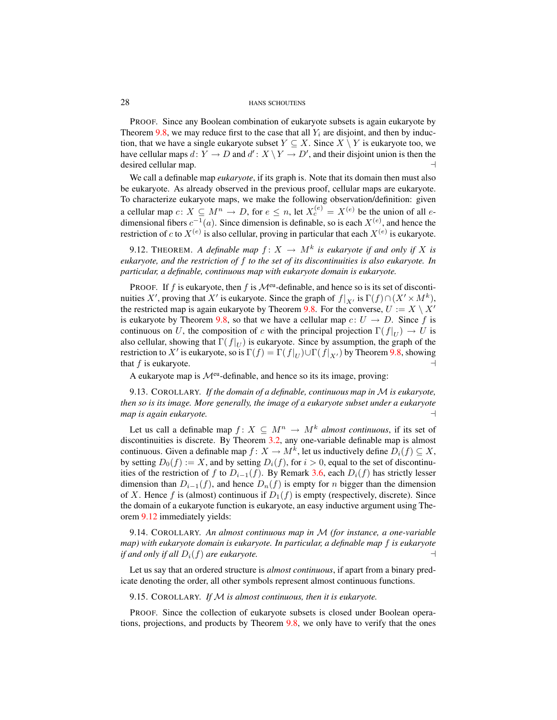PROOF. Since any Boolean combination of eukaryote subsets is again eukaryote by Theorem [9.8,](#page-25-2) we may reduce first to the case that all  $Y_i$  are disjoint, and then by induction, that we have a single eukaryote subset  $Y \subseteq X$ . Since  $X \setminus Y$  is eukaryote too, we have cellular maps  $d: Y \to D$  and  $d': X \setminus Y \to D'$ , and their disjoint union is then the desired cellular map.  $\Box$ 

We call a definable map *eukaryote*, if its graph is. Note that its domain then must also be eukaryote. As already observed in the previous proof, cellular maps are eukaryote. To characterize eukaryote maps, we make the following observation/definition: given a cellular map  $c: X \subseteq M^n \to D$ , for  $e \leq n$ , let  $X_c^{(e)} = X^{(e)}$  be the union of all  $e$ dimensional fibers  $c^{-1}(a)$ . Since dimension is definable, so is each  $X^{(e)}$ , and hence the restriction of c to  $X^{(e)}$  is also cellular, proving in particular that each  $X^{(e)}$  is eukaryote.

<span id="page-27-1"></span>9.12. THEOREM. A definable map  $f: X \to M^k$  is eukaryote if and only if X is *eukaryote, and the restriction of* f *to the set of its discontinuities is also eukaryote. In particular, a definable, continuous map with eukaryote domain is eukaryote.*

PROOF. If f is eukaryote, then f is  $\mathcal{M}^{\text{eu}}$ -definable, and hence so is its set of discontinuities X', proving that X' is eukaryote. Since the graph of  $f|_{X}$ , is  $\Gamma(f) \cap (X' \times M^k)$ , the restricted map is again eukaryote by Theorem [9.8.](#page-25-2) For the converse,  $U := X \setminus X'$ is eukaryote by Theorem [9.8,](#page-25-2) so that we have a cellular map  $c: U \rightarrow D$ . Since f is continuous on U, the composition of c with the principal projection  $\Gamma(f|_{U}) \to U$  is also cellular, showing that  $\Gamma(f|_U)$  is eukaryote. Since by assumption, the graph of the restriction to X' is eukaryote, so is  $\Gamma(f) = \Gamma(f|_U) \cup \Gamma(f|_{X'})$  by Theorem [9.8,](#page-25-2) showing that f is eukaryote.  $\Box$ 

A eukaryote map is  $\mathcal{M}^{\text{eu}}$ -definable, and hence so its its image, proving:

<span id="page-27-0"></span>9.13. COROLLARY. *If the domain of a definable, continuous map in* M *is eukaryote, then so is its image. More generally, the image of a eukaryote subset under a eukaryote*  $map$  is again eukaryote.

Let us call a definable map  $f: X \subseteq M^n \to M^k$  *almost continuous*, if its set of discontinuities is discrete. By Theorem [3.2,](#page-7-1) any one-variable definable map is almost continuous. Given a definable map  $f: X \to M^k$ , let us inductively define  $D_i(f) \subseteq X$ , by setting  $D_0(f) := X$ , and by setting  $D_i(f)$ , for  $i > 0$ , equal to the set of discontinuities of the restriction of f to  $D_{i-1}(f)$ . By Remark [3.6,](#page-9-2) each  $D_i(f)$  has strictly lesser dimension than  $D_{i-1}(f)$ , and hence  $D_n(f)$  is empty for n bigger than the dimension of X. Hence f is (almost) continuous if  $D_1(f)$  is empty (respectively, discrete). Since the domain of a eukaryote function is eukaryote, an easy inductive argument using Theorem [9.12](#page-27-1) immediately yields:

<span id="page-27-2"></span>9.14. COROLLARY. *An almost continuous map in* M *(for instance, a one-variable map) with eukaryote domain is eukaryote. In particular, a definable map* f *is eukaryote if and only if all*  $D_i(f)$  *are eukaryote.*  $\qquad \qquad \qquad \Box$ 

Let us say that an ordered structure is *almost continuous*, if apart from a binary predicate denoting the order, all other symbols represent almost continuous functions.

<span id="page-27-3"></span>9.15. COROLLARY. *If* M *is almost continuous, then it is eukaryote.*

PROOF. Since the collection of eukaryote subsets is closed under Boolean operations, projections, and products by Theorem [9.8,](#page-25-2) we only have to verify that the ones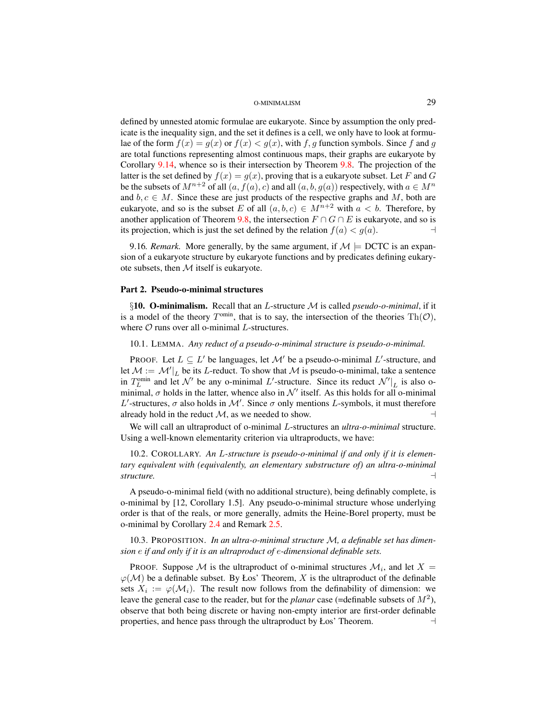defined by unnested atomic formulae are eukaryote. Since by assumption the only predicate is the inequality sign, and the set it defines is a cell, we only have to look at formulae of the form  $f(x) = g(x)$  or  $f(x) < g(x)$ , with f, g function symbols. Since f and g are total functions representing almost continuous maps, their graphs are eukaryote by Corollary [9.14,](#page-27-2) whence so is their intersection by Theorem [9.8.](#page-25-2) The projection of the latter is the set defined by  $f(x) = g(x)$ , proving that is a eukaryote subset. Let F and G be the subsets of  $M^{n+2}$  of all  $(a, f(a), c)$  and all  $(a, b, q(a))$  respectively, with  $a \in M^n$ and  $b, c \in M$ . Since these are just products of the respective graphs and M, both are eukaryote, and so is the subset E of all  $(a, b, c) \in M^{n+2}$  with  $a < b$ . Therefore, by another application of Theorem [9.8,](#page-25-2) the intersection  $F \cap G \cap E$  is eukaryote, and so is its projection, which is just the set defined by the relation  $f(a) < g(a)$ .

<span id="page-28-5"></span>9.16*. Remark.* More generally, by the same argument, if  $\mathcal{M} \models$  DCTC is an expansion of a eukaryote structure by eukaryote functions and by predicates defining eukaryote subsets, then  $M$  itself is eukaryote.

## <span id="page-28-0"></span>Part 2. Pseudo-o-minimal structures

<span id="page-28-1"></span>§10. O-minimalism. Recall that an L-structure M is called *pseudo-o-minimal*, if it is a model of the theory  $T^{omin}$ , that is to say, the intersection of the theories  $\text{Th}(\mathcal{O})$ , where  $O$  runs over all o-minimal  $L$ -structures.

<span id="page-28-3"></span>10.1. LEMMA. *Any reduct of a pseudo-o-minimal structure is pseudo-o-minimal.*

PROOF. Let  $L \subseteq L'$  be languages, let  $\mathcal{M}'$  be a pseudo-o-minimal  $L'$ -structure, and let  $\mathcal{M} := \mathcal{M}'|_L$  be its L-reduct. To show that  $\mathcal M$  is pseudo-o-minimal, take a sentence in  $T_L^{\text{omin}}$  and let  $\mathcal{N}'$  be any o-minimal L'-structure. Since its reduct  $\mathcal{N}'|_L$  is also ominimal,  $\sigma$  holds in the latter, whence also in  $\mathcal{N}'$  itself. As this holds for all o-minimal L'-structures,  $\sigma$  also holds in M'. Since  $\sigma$  only mentions L-symbols, it must therefore already hold in the reduct  $M$ , as we needed to show.

We will call an ultraproduct of o-minimal L-structures an *ultra-o-minimal* structure. Using a well-known elementarity criterion via ultraproducts, we have:

<span id="page-28-4"></span>10.2. COROLLARY. *An* L*-structure is pseudo-o-minimal if and only if it is elementary equivalent with (equivalently, an elementary substructure of) an ultra-o-minimal structure.* a

A pseudo-o-minimal field (with no additional structure), being definably complete, is o-minimal by [12, Corollary 1.5]. Any pseudo-o-minimal structure whose underlying order is that of the reals, or more generally, admits the Heine-Borel property, must be o-minimal by Corollary [2.4](#page-5-0) and Remark [2.5.](#page-5-8)

<span id="page-28-6"></span>10.3. PROPOSITION. *In an ultra-o-minimal structure* M*, a definable set has dimension* e *if and only if it is an ultraproduct of* e*-dimensional definable sets.*

<span id="page-28-2"></span>PROOF. Suppose M is the ultraproduct of o-minimal structures  $\mathcal{M}_i$ , and let  $X =$  $\varphi(\mathcal{M})$  be a definable subset. By Łos' Theorem, X is the ultraproduct of the definable sets  $X_i := \varphi(\mathcal{M}_i)$ . The result now follows from the definability of dimension: we leave the general case to the reader, but for the *planar* case (=definable subsets of  $M^2$ ), observe that both being discrete or having non-empty interior are first-order definable properties, and hence pass through the ultraproduct by Łos' Theorem.  $\Box$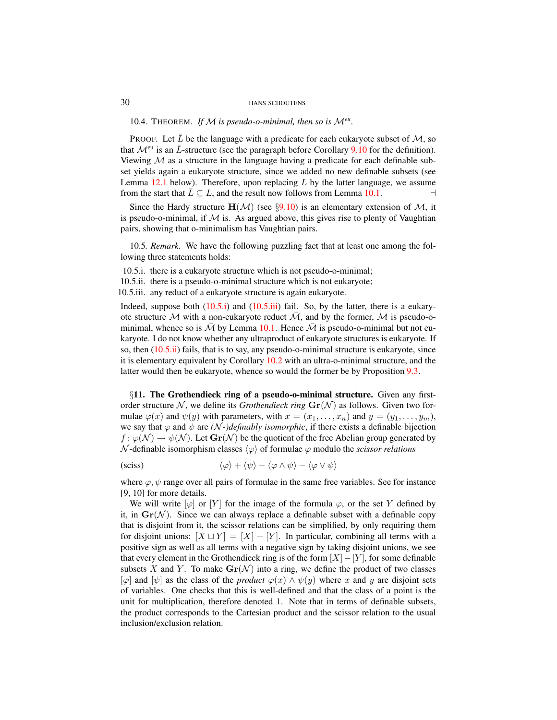10.4. THEOREM. If  $M$  is pseudo-o-minimal, then so is  $M^{eu}$ .

PROOF. Let  $\overline{L}$  be the language with a predicate for each eukaryote subset of M, so that  $\mathcal{M}^{eu}$  is an  $\bar{L}$ -structure (see the paragraph before Corollary [9.10](#page-26-0) for the definition). Viewing  $M$  as a structure in the language having a predicate for each definable subset yields again a eukaryote structure, since we added no new definable subsets (see Lemma  $12.1$  below). Therefore, upon replacing L by the latter language, we assume from the start that  $\overline{L} \subseteq L$ , and the result now follows from Lemma [10.1.](#page-28-3)  $\Box$ 

Since the Hardy structure  $H(\mathcal{M})$  (see §[9.10\)](#page-26-0) is an elementary extension of  $\mathcal{M}$ , it is pseudo-o-minimal, if  $\mathcal M$  is. As argued above, this gives rise to plenty of Vaughtian pairs, showing that o-minimalism has Vaughtian pairs.

10.5*. Remark.* We have the following puzzling fact that at least one among the following three statements holds:

<span id="page-29-1"></span>10.5.i. there is a eukaryote structure which is not pseudo-o-minimal;

<span id="page-29-3"></span>10.5.ii. there is a pseudo-o-minimal structure which is not eukaryote;

<span id="page-29-2"></span>10.5.iii. any reduct of a eukaryote structure is again eukaryote.

Indeed, suppose both  $(10.5.1)$  and  $(10.5.1)$  fail. So, by the latter, there is a eukaryote structure M with a non-eukaryote reduct  $\overline{\mathcal{M}}$ , and by the former, M is pseudo-ominimal, whence so is  $\overline{\mathcal{M}}$  by Lemma [10.1.](#page-28-3) Hence  $\overline{\mathcal{M}}$  is pseudo-o-minimal but not eukaryote. I do not know whether any ultraproduct of eukaryote structures is eukaryote. If so, then [\(10.5.ii\)](#page-29-3) fails, that is to say, any pseudo-o-minimal structure is eukaryote, since it is elementary equivalent by Corollary [10.2](#page-28-4) with an ultra-o-minimal structure, and the latter would then be eukaryote, whence so would the former be by Proposition [9.3.](#page-24-1)

<span id="page-29-0"></span>§11. The Grothendieck ring of a pseudo-o-minimal structure. Given any firstorder structure N, we define its *Grothendieck ring*  $\mathbf{Gr}(\mathcal{N})$  as follows. Given two formulae  $\varphi(x)$  and  $\psi(y)$  with parameters, with  $x = (x_1, \ldots, x_n)$  and  $y = (y_1, \ldots, y_m)$ , we say that  $\varphi$  and  $\psi$  are *(N-)definably isomorphic*, if there exists a definable bijection  $f: \varphi(\mathcal{N}) \to \psi(\mathcal{N})$ . Let  $\mathbf{Gr}(\mathcal{N})$  be the quotient of the free Abelian group generated by N-definable isomorphism classes  $\langle \varphi \rangle$  of formulae  $\varphi$  modulo the *scissor relations* 

<span id="page-29-4"></span>
$$
\langle \varphi \rangle + \langle \psi \rangle - \langle \varphi \wedge \psi \rangle - \langle \varphi \vee \psi \rangle
$$

where  $\varphi, \psi$  range over all pairs of formulae in the same free variables. See for instance [9, 10] for more details.

We will write  $[\varphi]$  or  $[Y]$  for the image of the formula  $\varphi$ , or the set Y defined by it, in  $\mathbf{Gr}(\mathcal{N})$ . Since we can always replace a definable subset with a definable copy that is disjoint from it, the scissor relations can be simplified, by only requiring them for disjoint unions:  $[X \sqcup Y] = [X] + [Y]$ . In particular, combining all terms with a positive sign as well as all terms with a negative sign by taking disjoint unions, we see that every element in the Grothendieck ring is of the form  $[X]-[Y]$ , for some definable subsets X and Y. To make  $\mathbf{Gr}(\mathcal{N})$  into a ring, we define the product of two classes  $[\varphi]$  and  $[\psi]$  as the class of the *product*  $\varphi(x) \wedge \psi(y)$  where x and y are disjoint sets of variables. One checks that this is well-defined and that the class of a point is the unit for multiplication, therefore denoted 1. Note that in terms of definable subsets, the product corresponds to the Cartesian product and the scissor relation to the usual inclusion/exclusion relation.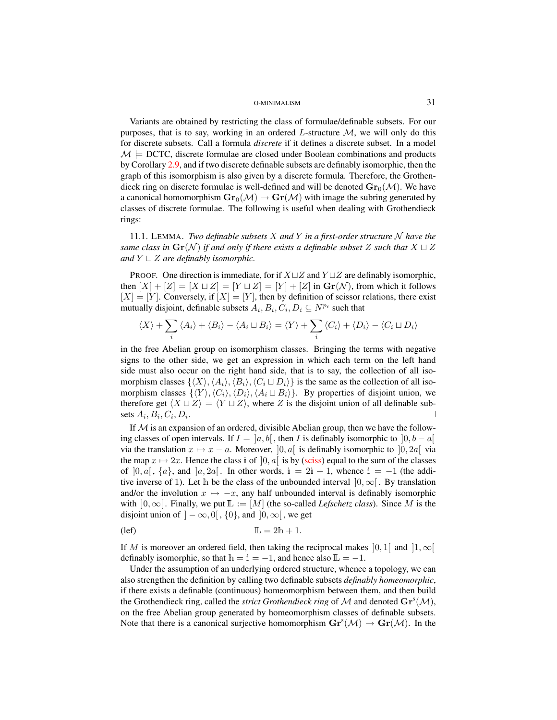Variants are obtained by restricting the class of formulae/definable subsets. For our purposes, that is to say, working in an ordered  $L$ -structure  $M$ , we will only do this for discrete subsets. Call a formula *discrete* if it defines a discrete subset. In a model  $\mathcal{M} \models$  DCTC, discrete formulae are closed under Boolean combinations and products by Corollary [2.9,](#page-6-2) and if two discrete definable subsets are definably isomorphic, then the graph of this isomorphism is also given by a discrete formula. Therefore, the Grothendieck ring on discrete formulae is well-defined and will be denoted  $\mathbf{Gr}_0(\mathcal{M})$ . We have a canonical homomorphism  $\mathbf{Gr}_0(\mathcal{M}) \to \mathbf{Gr}(\mathcal{M})$  with image the subring generated by classes of discrete formulae. The following is useful when dealing with Grothendieck rings:

<span id="page-30-0"></span>11.1. LEMMA. *Two definable subsets* X and Y in a first-order structure  $\mathcal N$  have the *same class in*  $\mathbf{Gr}(\mathcal{N})$  *if and only if there exists a definable subset* Z *such that*  $X \sqcup Z$ *and*  $Y \sqcup Z$  *are definably isomorphic.* 

PROOF. One direction is immediate, for if  $X \sqcup Z$  and  $Y \sqcup Z$  are definably isomorphic, then  $[X] + [Z] = [X \sqcup Z] = [Y \sqcup Z] = [Y] + [Z]$  in  $\mathbf{Gr}(\mathcal{N})$ , from which it follows  $[X] = [Y]$ . Conversely, if  $[X] = [Y]$ , then by definition of scissor relations, there exist mutually disjoint, definable subsets  $A_i, B_i, C_i, D_i \subseteq N^{p_i}$  such that

$$
\langle X \rangle + \sum_{i} \langle A_i \rangle + \langle B_i \rangle - \langle A_i \sqcup B_i \rangle = \langle Y \rangle + \sum_{i} \langle C_i \rangle + \langle D_i \rangle - \langle C_i \sqcup D_i \rangle
$$

in the free Abelian group on isomorphism classes. Bringing the terms with negative signs to the other side, we get an expression in which each term on the left hand side must also occur on the right hand side, that is to say, the collection of all isomorphism classes  $\{\langle X \rangle,\langle A_i \rangle,\langle B_i \rangle,\langle C_i \sqcup D_i \rangle\}$  is the same as the collection of all isomorphism classes  $\{ \langle Y \rangle, \langle C_i \rangle, \langle D_i \rangle, \langle A_i \sqcup B_i \rangle \}$ . By properties of disjoint union, we therefore get  $\langle X \sqcup Z \rangle = \langle Y \sqcup Z \rangle$ , where Z is the disjoint union of all definable subsets  $A_i, B_i, C_i, D_i$ . A construction of the construction of the construction of the construction of the construction of the construction of the construction of the construction of the construction of the construction of the construction of th

If  $M$  is an expansion of an ordered, divisible Abelian group, then we have the following classes of open intervals. If  $I = [a, b]$ , then I is definably isomorphic to  $[0, b - a]$ via the translation  $x \mapsto x - a$ . Moreover,  $]0, a[$  is definably isomorphic to  $]0, 2a[$  via the map  $x \mapsto 2x$ . Hence the class i of  $]0, a[$  is by [\(sciss\)](#page-29-4) equal to the sum of the classes of  $]0, a[$ ,  $\{a\}$ , and  $]a, 2a[$ . In other words,  $i = 2i + 1$ , whence  $i = -1$  (the additive inverse of 1). Let h be the class of the unbounded interval  $[0, \infty)$ . By translation and/or the involution  $x \mapsto -x$ , any half unbounded interval is definably isomorphic with  $]0,\infty[$ . Finally, we put  $\mathbb{L} := [M]$  (the so-called *Lefschetz class*). Since M is the disjoint union of  $]-\infty, 0[$ ,  $\{0\}$ , and  $]0, \infty[$ , we get

$$
\mathbb{L} = 2\mathbb{h} + 1.
$$

If M is moreover an ordered field, then taking the reciprocal makes [0, 1] and [1,  $\infty$ [ definably isomorphic, so that  $h = i = -1$ , and hence also  $L = -1$ .

Under the assumption of an underlying ordered structure, whence a topology, we can also strengthen the definition by calling two definable subsets *definably homeomorphic*, if there exists a definable (continuous) homeomorphism between them, and then build the Grothendieck ring, called the *strict Grothendieck ring* of  $M$  and denoted  $\mathbf{Gr}^{s}(\mathcal{M})$ , on the free Abelian group generated by homeomorphism classes of definable subsets. Note that there is a canonical surjective homomorphism  $\mathbf{Gr}^s(\mathcal{M}) \to \mathbf{Gr}(\mathcal{M})$ . In the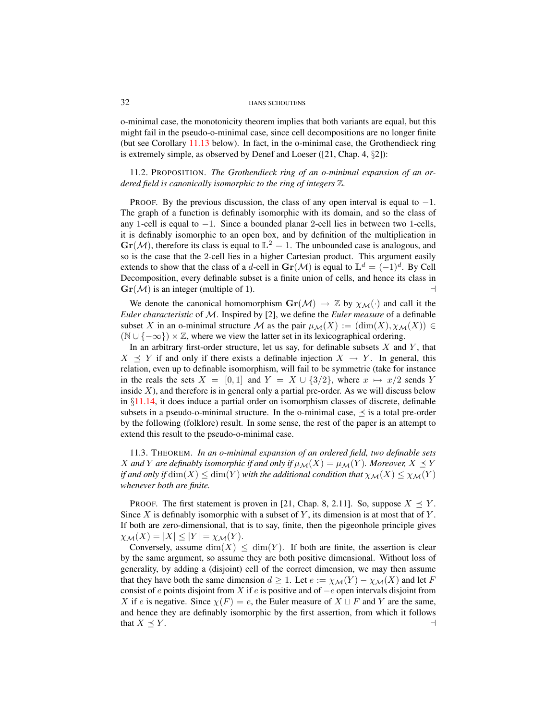o-minimal case, the monotonicity theorem implies that both variants are equal, but this might fail in the pseudo-o-minimal case, since cell decompositions are no longer finite (but see Corollary [11.13](#page-35-0) below). In fact, in the o-minimal case, the Grothendieck ring is extremely simple, as observed by Denef and Loeser ([21, Chap. 4, §2]):

<span id="page-31-0"></span>11.2. PROPOSITION. *The Grothendieck ring of an o-minimal expansion of an ordered field is canonically isomorphic to the ring of integers* Z*.*

PROOF. By the previous discussion, the class of any open interval is equal to  $-1$ . The graph of a function is definably isomorphic with its domain, and so the class of any 1-cell is equal to −1. Since a bounded planar 2-cell lies in between two 1-cells, it is definably isomorphic to an open box, and by definition of the multiplication in  $\text{Gr}(\mathcal{M})$ , therefore its class is equal to  $\mathbb{L}^2 = 1$ . The unbounded case is analogous, and so is the case that the 2-cell lies in a higher Cartesian product. This argument easily extends to show that the class of a d-cell in  $\mathbf{Gr}(\mathcal{M})$  is equal to  $\mathbb{L}^d = (-1)^d$ . By Cell Decomposition, every definable subset is a finite union of cells, and hence its class in  $\text{Gr}(\mathcal{M})$  is an integer (multiple of 1).

We denote the canonical homomorphism  $\mathbf{Gr}(\mathcal{M}) \to \mathbb{Z}$  by  $\chi_{\mathcal{M}}(\cdot)$  and call it the *Euler characteristic* of M. Inspired by [2], we define the *Euler measure* of a definable subset X in an o-minimal structure M as the pair  $\mu_{\mathcal{M}}(X) := (\dim(X), \chi_{\mathcal{M}}(X)) \in$  $(N \cup \{-\infty\}) \times \mathbb{Z}$ , where we view the latter set in its lexicographical ordering.

In an arbitrary first-order structure, let us say, for definable subsets  $X$  and  $Y$ , that  $X \preceq Y$  if and only if there exists a definable injection  $X \rightarrow Y$ . In general, this relation, even up to definable isomorphism, will fail to be symmetric (take for instance in the reals the sets  $X = [0, 1]$  and  $Y = X \cup \{3/2\}$ , where  $x \mapsto x/2$  sends Y inside  $X$ ), and therefore is in general only a partial pre-order. As we will discuss below in §[11.14,](#page-35-1) it does induce a partial order on isomorphism classes of discrete, definable subsets in a pseudo-o-minimal structure. In the o-minimal case,  $\prec$  is a total pre-order by the following (folklore) result. In some sense, the rest of the paper is an attempt to extend this result to the pseudo-o-minimal case.

<span id="page-31-1"></span>11.3. THEOREM. *In an o-minimal expansion of an ordered field, two definable sets* X and Y are definably isomorphic if and only if  $\mu_{\mathcal{M}}(X) = \mu_{\mathcal{M}}(Y)$ *. Moreover,*  $X \preceq Y$ *if and only if*  $\dim(X) \leq \dim(Y)$  *with the additional condition that*  $\chi_{\mathcal{M}}(X) \leq \chi_{\mathcal{M}}(Y)$ *whenever both are finite.*

PROOF. The first statement is proven in [21, Chap. 8, 2.11]. So, suppose  $X \prec Y$ . Since  $X$  is definably isomorphic with a subset of  $Y$ , its dimension is at most that of  $Y$ . If both are zero-dimensional, that is to say, finite, then the pigeonhole principle gives  $\chi_{\mathcal{M}}(X) = |X| \leq |Y| = \chi_{\mathcal{M}}(Y).$ 

Conversely, assume  $\dim(X) \leq \dim(Y)$ . If both are finite, the assertion is clear by the same argument, so assume they are both positive dimensional. Without loss of generality, by adding a (disjoint) cell of the correct dimension, we may then assume that they have both the same dimension  $d \geq 1$ . Let  $e := \chi_{\mathcal{M}}(Y) - \chi_{\mathcal{M}}(X)$  and let F consist of e points disjoint from X if e is positive and of  $-e$  open intervals disjoint from X if e is negative. Since  $\chi(F) = e$ , the Euler measure of  $X \sqcup F$  and Y are the same, and hence they are definably isomorphic by the first assertion, from which it follows that  $X \preceq Y$ .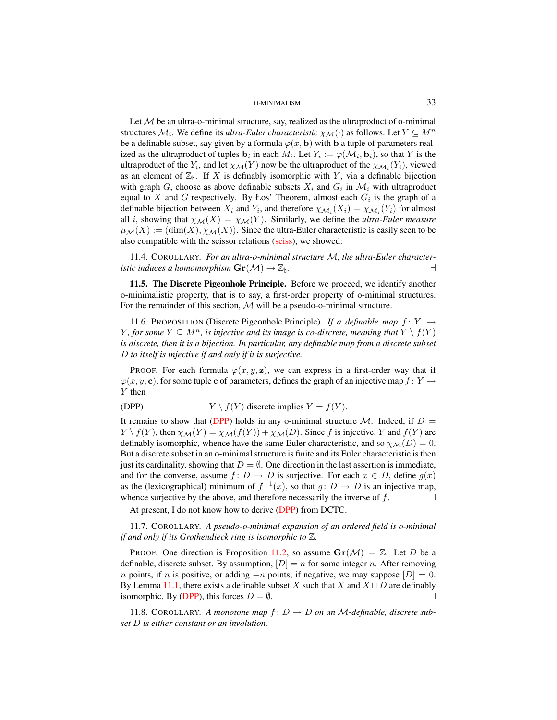Let  $M$  be an ultra-o-minimal structure, say, realized as the ultraproduct of o-minimal structures  $\mathcal{M}_i.$  We define its *ultra-Euler characteristic*  $\chi_\mathcal{M}(\cdot)$  as follows. Let  $Y\subseteq M^n$ be a definable subset, say given by a formula  $\varphi(x, \mathbf{b})$  with b a tuple of parameters realized as the ultraproduct of tuples  $\mathbf{b}_i$  in each  $M_i$ . Let  $Y_i := \varphi(\mathcal{M}_i, \mathbf{b}_i)$ , so that Y is the ultraproduct of the  $Y_i$ , and let  $\chi_{\mathcal{M}}(Y)$  now be the ultraproduct of the  $\chi_{\mathcal{M}_i}(Y_i)$ , viewed as an element of  $\mathbb{Z}_h$ . If X is definably isomorphic with Y, via a definable bijection with graph G, choose as above definable subsets  $X_i$  and  $G_i$  in  $\mathcal{M}_i$  with ultraproduct equal to X and G respectively. By Los' Theorem, almost each  $G_i$  is the graph of a definable bijection between  $X_i$  and  $Y_i$ , and therefore  $\chi_{\mathcal{M}_i}(X_i) = \chi_{\mathcal{M}_i}(Y_i)$  for almost all *i*, showing that  $\chi_{\mathcal{M}}(X) = \chi_{\mathcal{M}}(Y)$ . Similarly, we define the *ultra-Euler measure*  $\mu_{\mathcal{M}}(X) := (\dim(X), \chi_{\mathcal{M}}(X)).$  Since the ultra-Euler characteristic is easily seen to be also compatible with the scissor relations [\(sciss\)](#page-29-4), we showed:

<span id="page-32-2"></span>11.4. COROLLARY. *For an ultra-o-minimal structure* M*, the ultra-Euler characteristic induces a homomorphism*  $\mathbf{Gr}(\mathcal{M}) \to \mathbb{Z}_h$ .

<span id="page-32-0"></span>11.5. The Discrete Pigeonhole Principle. Before we proceed, we identify another o-minimalistic property, that is to say, a first-order property of o-minimal structures. For the remainder of this section,  $M$  will be a pseudo-o-minimal structure.

<span id="page-32-1"></span>11.6. PROPOSITION (Discrete Pigeonhole Principle). *If a definable map*  $f: Y \rightarrow$ *Y*, for some  $Y ⊆ M<sup>n</sup>$ , is injective and its image is co-discrete, meaning that  $Y \setminus f(Y)$ *is discrete, then it is a bijection. In particular, any definable map from a discrete subset* D *to itself is injective if and only if it is surjective.*

PROOF. For each formula  $\varphi(x, y, z)$ , we can express in a first-order way that if  $\varphi(x, y, c)$ , for some tuple c of parameters, defines the graph of an injective map  $f: Y \to Y$ Y then

$$
(DPP) \t Y \setminus f(Y) \t{discrete implies } Y = f(Y).
$$

It remains to show that [\(DPP\)](#page-29-4) holds in any o-minimal structure M. Indeed, if  $D =$  $Y \setminus f(Y)$ , then  $\chi_{\mathcal{M}}(Y) = \chi_{\mathcal{M}}(f(Y)) + \chi_{\mathcal{M}}(D)$ . Since f is injective, Y and  $f(Y)$  are definably isomorphic, whence have the same Euler characteristic, and so  $\chi_{\mathcal{M}}(D) = 0$ . But a discrete subset in an o-minimal structure is finite and its Euler characteristic is then just its cardinality, showing that  $D = \emptyset$ . One direction in the last assertion is immediate, and for the converse, assume  $f: D \to D$  is surjective. For each  $x \in D$ , define  $g(x)$ as the (lexicographical) minimum of  $f^{-1}(x)$ , so that  $g: D \to D$  is an injective map, whence surjective by the above, and therefore necessarily the inverse of  $f$ .

At present, I do not know how to derive [\(DPP\)](#page-29-4) from DCTC.

11.7. COROLLARY. *A pseudo-o-minimal expansion of an ordered field is o-minimal if and only if its Grothendieck ring is isomorphic to* Z*.*

PROOF. One direction is Proposition [11.2,](#page-31-0) so assume  $\text{Gr}(\mathcal{M}) = \mathbb{Z}$ . Let D be a definable, discrete subset. By assumption,  $[D] = n$  for some integer n. After removing *n* points, if *n* is positive, or adding  $-n$  points, if negative, we may suppose  $[D] = 0$ . By Lemma [11.1,](#page-30-0) there exists a definable subset X such that X and  $X \sqcup D$  are definably isomorphic. By [\(DPP\)](#page-29-4), this forces  $D = \emptyset$ .

11.8. COROLLARY. A monotone map  $f: D \to D$  on an M-definable, discrete sub*set* D *is either constant or an involution.*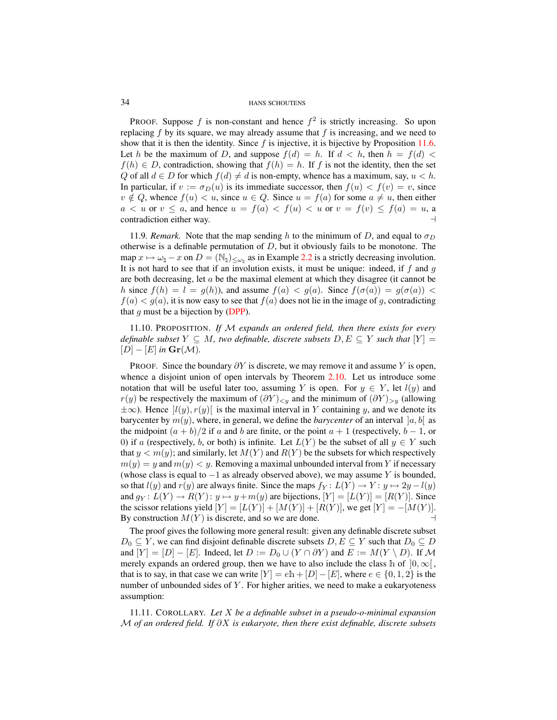PROOF. Suppose f is non-constant and hence  $f^2$  is strictly increasing. So upon replacing  $f$  by its square, we may already assume that  $f$  is increasing, and we need to show that it is then the identity. Since  $f$  is injective, it is bijective by Proposition [11.6.](#page-32-1) Let h be the maximum of D, and suppose  $f(d) = h$ . If  $d < h$ , then  $h = f(d)$  $f(h) \in D$ , contradiction, showing that  $f(h) = h$ . If f is not the identity, then the set Q of all  $d \in D$  for which  $f(d) \neq d$  is non-empty, whence has a maximum, say,  $u < h$ . In particular, if  $v := \sigma_D(u)$  is its immediate successor, then  $f(u) < f(v) = v$ , since  $v \notin Q$ , whence  $f(u) < u$ , since  $u \in Q$ . Since  $u = f(a)$  for some  $a \neq u$ , then either  $a < u$  or  $v \le a$ , and hence  $u = f(a) < f(u) < u$  or  $v = f(v) \le f(a) = u$ , a  $\Box$ contradiction either way.

11.9*. Remark.* Note that the map sending h to the minimum of D, and equal to  $\sigma_D$ otherwise is a definable permutation of  $D$ , but it obviously fails to be monotone. The map  $x \mapsto \omega_{\natural} - x$  on  $D = (\mathbb{N}_{\natural})_{\leq \omega_{\natural}}$  as in Example [2.2](#page-4-1) is a strictly decreasing involution. It is not hard to see that if an involution exists, it must be unique: indeed, if  $f$  and  $g$ are both decreasing, let  $a$  be the maximal element at which they disagree (it cannot be h since  $f(h) = l = g(h)$ , and assume  $f(a) < g(a)$ . Since  $f(\sigma(a)) = g(\sigma(a))$  $f(a) < g(a)$ , it is now easy to see that  $f(a)$  does not lie in the image of g, contradicting that g must be a bijection by  $(DPP)$ .

<span id="page-33-0"></span>11.10. PROPOSITION. *If* M *expands an ordered field, then there exists for every definable subset*  $Y \subseteq M$ , two definable, discrete subsets  $D, E \subseteq Y$  such that  $[Y] =$  $[D] - [E]$  *in*  $\mathbf{Gr}(\mathcal{M})$ .

PROOF. Since the boundary  $\partial Y$  is discrete, we may remove it and assume Y is open, whence a disjoint union of open intervals by Theorem [2.10.](#page-6-1) Let us introduce some notation that will be useful later too, assuming Y is open. For  $y \in Y$ , let  $l(y)$  and  $r(y)$  be respectively the maximum of  $(\partial Y)_{< y}$  and the minimum of  $(\partial Y)_{> y}$  (allowing  $\pm\infty$ ). Hence  $|l(y), r(y)|$  is the maximal interval in Y containing y, and we denote its barycenter by  $m(y)$ , where, in general, we define the *barycenter* of an interval  $[a, b]$  as the midpoint  $(a + b)/2$  if a and b are finite, or the point  $a + 1$  (respectively,  $b - 1$ , or 0) if a (respectively, b, or both) is infinite. Let  $L(Y)$  be the subset of all  $y \in Y$  such that  $y < m(y)$ ; and similarly, let  $M(Y)$  and  $R(Y)$  be the subsets for which respectively  $m(y) = y$  and  $m(y) < y$ . Removing a maximal unbounded interval from Y if necessary (whose class is equal to  $-1$  as already observed above), we may assume Y is bounded, so that  $l(y)$  and  $r(y)$  are always finite. Since the maps  $f_Y : L(Y) \to Y : y \mapsto 2y - l(y)$ and  $g_Y: L(Y) \to R(Y): y \mapsto y + m(y)$  are bijections,  $[Y] = [L(Y)] = [R(Y)]$ . Since the scissor relations yield  $[Y] = [L(Y)] + [M(Y)] + [R(Y)]$ , we get  $[Y] = -[M(Y)]$ . By construction  $M(Y)$  is discrete, and so we are done.

The proof gives the following more general result: given any definable discrete subset  $D_0 \subseteq Y$ , we can find disjoint definable discrete subsets  $D, E \subseteq Y$  such that  $D_0 \subseteq D$ and  $[Y] = [D] - [E]$ . Indeed, let  $D := D_0 \cup (Y \cap \partial Y)$  and  $E := M(Y \setminus D)$ . If M merely expands an ordered group, then we have to also include the class h of  $]0, \infty[$ , that is to say, in that case we can write  $[Y] = e\mathbb{h} + [D] - [E]$ , where  $e \in \{0, 1, 2\}$  is the number of unbounded sides of  $Y$ . For higher arities, we need to make a eukaryoteness assumption:

<span id="page-33-1"></span>11.11. COROLLARY. *Let* X *be a definable subset in a pseudo-o-minimal expansion* M *of an ordered field. If* ∂X *is eukaryote, then there exist definable, discrete subsets*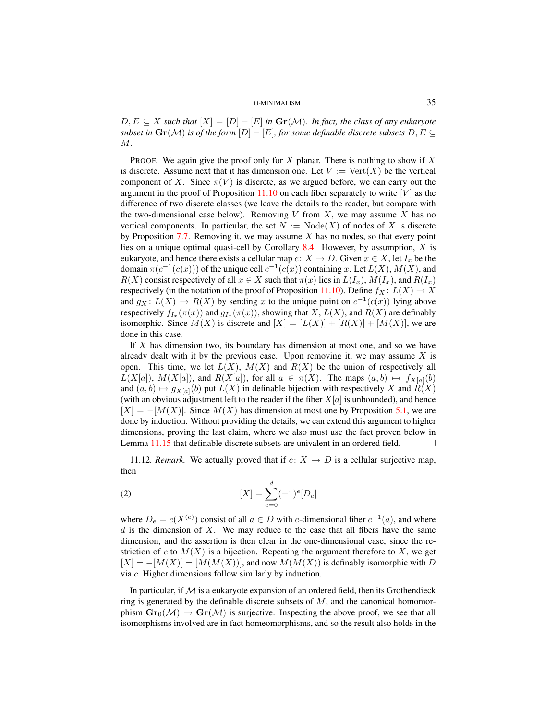$D, E \subseteq X$  such that  $|X| = |D| - |E|$  in  $\mathbf{Gr}(\mathcal{M})$ . In fact, the class of any eukaryote *subset in*  $\mathbf{Gr}(\mathcal{M})$  *is of the form*  $[D] - [E]$ *, for some definable discrete subsets*  $D, E \subseteq$ M*.*

PROOF. We again give the proof only for X planar. There is nothing to show if X is discrete. Assume next that it has dimension one. Let  $V := \text{Vert}(X)$  be the vertical component of X. Since  $\pi(V)$  is discrete, as we argued before, we can carry out the argument in the proof of Proposition [11.10](#page-33-0) on each fiber separately to write  $[V]$  as the difference of two discrete classes (we leave the details to the reader, but compare with the two-dimensional case below). Removing  $V$  from  $X$ , we may assume  $X$  has no vertical components. In particular, the set  $N := Node(X)$  of nodes of X is discrete by Proposition [7.7.](#page-17-0) Removing it, we may assume  $X$  has no nodes, so that every point lies on a unique optimal quasi-cell by Corollary [8.4.](#page-20-1) However, by assumption,  $X$  is eukaryote, and hence there exists a cellular map  $c: X \to D$ . Given  $x \in X$ , let  $I_x$  be the domain  $\pi(c^{-1}(c(x)))$  of the unique cell  $c^{-1}(c(x))$  containing x. Let  $L(X)$ ,  $M(X)$ , and  $R(X)$  consist respectively of all  $x \in X$  such that  $\pi(x)$  lies in  $L(I_x)$ ,  $M(I_x)$ , and  $R(I_x)$ respectively (in the notation of the proof of Proposition [11.10\)](#page-33-0). Define  $f_X : L(X) \to X$ and  $g_X: L(X) \to R(X)$  by sending x to the unique point on  $c^{-1}(c(x))$  lying above respectively  $f_{I_x}(\pi(x))$  and  $g_{I_x}(\pi(x))$ , showing that  $X$ ,  $L(X)$ , and  $R(X)$  are definably isomorphic. Since  $M(X)$  is discrete and  $|X| = |L(X)| + |R(X)| + |M(X)|$ , we are done in this case.

If X has dimension two, its boundary has dimension at most one, and so we have already dealt with it by the previous case. Upon removing it, we may assume  $X$  is open. This time, we let  $L(X)$ ,  $M(X)$  and  $R(X)$  be the union of respectively all  $L(X[a]), M(X[a]),$  and  $R(X[a]),$  for all  $a \in \pi(X)$ . The maps  $(a, b) \mapsto f_{X[a]}(b)$ and  $(a, b) \mapsto g_{X[a]}(b)$  put  $L(X)$  in definable bijection with respectively X and  $R(X)$ (with an obvious adjustment left to the reader if the fiber  $X[a]$  is unbounded), and hence  $[X] = -[M(X)]$ . Since  $M(X)$  has dimension at most one by Proposition [5.1,](#page-12-1) we are done by induction. Without providing the details, we can extend this argument to higher dimensions, proving the last claim, where we also must use the fact proven below in Lemma [11.15](#page-35-2) that definable discrete subsets are univalent in an ordered field.  $\Box$ 

11.12*. Remark.* We actually proved that if  $c: X \rightarrow D$  is a cellular surjective map, then

(2) 
$$
[X] = \sum_{e=0}^{d} (-1)^{e} [D_e]
$$

where  $D_e = c(X^{(e)})$  consist of all  $a \in D$  with e-dimensional fiber  $c^{-1}(a)$ , and where  $d$  is the dimension of  $X$ . We may reduce to the case that all fibers have the same dimension, and the assertion is then clear in the one-dimensional case, since the restriction of c to  $M(X)$  is a bijection. Repeating the argument therefore to X, we get  $[X] = -[M(X)] = [M(M(X))]$ , and now  $M(M(X))$  is definably isomorphic with D via c. Higher dimensions follow similarly by induction.

In particular, if  $M$  is a eukaryote expansion of an ordered field, then its Grothendieck ring is generated by the definable discrete subsets of  $M$ , and the canonical homomorphism  $\mathbf{Gr}_0(\mathcal{M}) \to \mathbf{Gr}(\mathcal{M})$  is surjective. Inspecting the above proof, we see that all isomorphisms involved are in fact homeomorphisms, and so the result also holds in the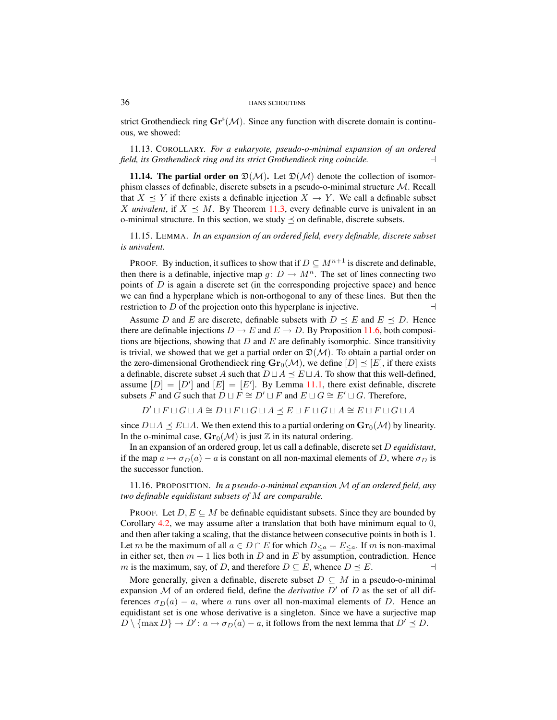strict Grothendieck ring  $\mathbf{Gr}^{s}(\mathcal{M})$ . Since any function with discrete domain is continuous, we showed:

<span id="page-35-0"></span>11.13. COROLLARY. *For a eukaryote, pseudo-o-minimal expansion of an ordered field, its Grothendieck ring and its strict Grothendieck ring coincide.* a

<span id="page-35-1"></span>**11.14. The partial order on**  $\mathfrak{D}(\mathcal{M})$ . Let  $\mathfrak{D}(\mathcal{M})$  denote the collection of isomorphism classes of definable, discrete subsets in a pseudo-o-minimal structure M. Recall that  $X \preceq Y$  if there exists a definable injection  $X \to Y$ . We call a definable subset X *univalent*, if  $X \preceq M$ . By Theorem [11.3,](#page-31-1) every definable curve is univalent in an o-minimal structure. In this section, we study  $\preceq$  on definable, discrete subsets.

<span id="page-35-2"></span>11.15. LEMMA. *In an expansion of an ordered field, every definable, discrete subset is univalent.*

PROOF. By induction, it suffices to show that if  $D \subseteq M^{n+1}$  is discrete and definable, then there is a definable, injective map  $g: D \to M^n$ . The set of lines connecting two points of  $D$  is again a discrete set (in the corresponding projective space) and hence we can find a hyperplane which is non-orthogonal to any of these lines. But then the restriction to D of the projection onto this hyperplane is injective.

Assume D and E are discrete, definable subsets with  $D \preceq E$  and  $E \preceq D$ . Hence there are definable injections  $D \to E$  and  $E \to D$ . By Proposition [11.6,](#page-32-1) both compositions are bijections, showing that  $D$  and  $E$  are definably isomorphic. Since transitivity is trivial, we showed that we get a partial order on  $\mathfrak{D}(\mathcal{M})$ . To obtain a partial order on the zero-dimensional Grothendieck ring  $\mathbf{Gr}_0(\mathcal{M})$ , we define  $[D] \preceq [E]$ , if there exists a definable, discrete subset A such that  $D \sqcup A \preceq E \sqcup A$ . To show that this well-defined, assume  $[D] = [D']$  and  $[E] = [E']$ . By Lemma [11.1,](#page-30-0) there exist definable, discrete subsets F and G such that  $D \sqcup F \cong D' \sqcup F$  and  $E \sqcup G \cong E' \sqcup G$ . Therefore,

 $D' \sqcup F \sqcup G \sqcup A \cong D \sqcup F \sqcup G \sqcup A \preceq E \sqcup F \sqcup G \sqcup A \cong E \sqcup F \sqcup G \sqcup A$ 

since  $D \sqcup A \preceq E \sqcup A$ . We then extend this to a partial ordering on  $\mathbf{Gr}_0(\mathcal{M})$  by linearity. In the o-minimal case,  $\mathbf{Gr}_0(\mathcal{M})$  is just  $\mathbb Z$  in its natural ordering.

In an expansion of an ordered group, let us call a definable, discrete set D *equidistant*, if the map  $a \mapsto \sigma_D(a) - a$  is constant on all non-maximal elements of D, where  $\sigma_D$  is the successor function.

11.16. PROPOSITION. *In a pseudo-o-minimal expansion* M *of an ordered field, any two definable equidistant subsets of* M *are comparable.*

PROOF. Let  $D, E \subseteq M$  be definable equidistant subsets. Since they are bounded by Corollary [4.2,](#page-11-2) we may assume after a translation that both have minimum equal to 0, and then after taking a scaling, that the distance between consecutive points in both is 1. Let m be the maximum of all  $a \in D \cap E$  for which  $D_{\leq a} = E_{\leq a}$ . If m is non-maximal in either set, then  $m + 1$  lies both in D and in E by assumption, contradiction. Hence m is the maximum, say, of D, and therefore  $D \subseteq E$ , whence  $D \preceq E$ .

<span id="page-35-3"></span>More generally, given a definable, discrete subset  $D \subseteq M$  in a pseudo-o-minimal expansion  $M$  of an ordered field, define the *derivative*  $D'$  of  $D$  as the set of all differences  $\sigma_D(a) - a$ , where a runs over all non-maximal elements of D. Hence an equidistant set is one whose derivative is a singleton. Since we have a surjective map  $D \setminus {\text{max } D} \rightarrow D' : a \mapsto \sigma_D(a) - a$ , it follows from the next lemma that  $D' \preceq D$ .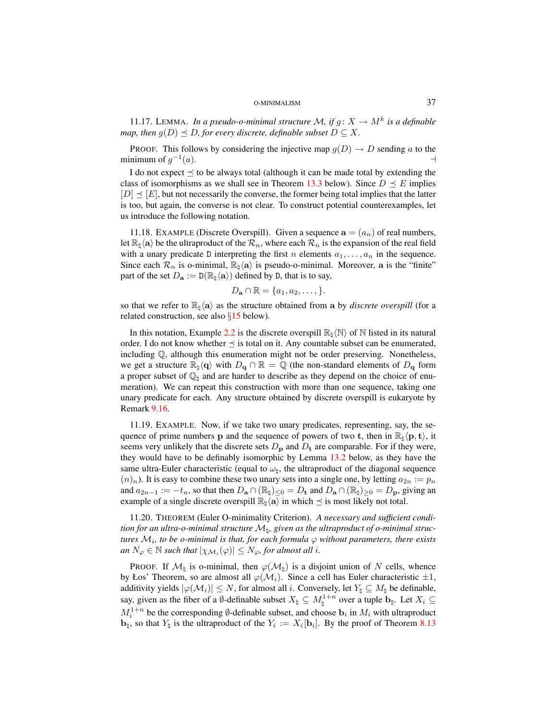11.17. LEMMA. In a pseudo-o-minimal structure M, if  $g: X \to M^k$  is a definable *map, then*  $g(D) \preceq D$ *, for every discrete, definable subset*  $D \subseteq X$ *.* 

PROOF. This follows by considering the injective map  $g(D) \rightarrow D$  sending a to the minimum of  $g^{-1}$  $(a)$ .

I do not expect  $\prec$  to be always total (although it can be made total by extending the class of isomorphisms as we shall see in Theorem [13.3](#page-41-1) below). Since  $D \preceq E$  implies  $[D] \prec [E]$ , but not necessarily the converse, the former being total implies that the latter is too, but again, the converse is not clear. To construct potential counterexamples, let us introduce the following notation.

11.18. EXAMPLE (Discrete Overspill). Given a sequence  $\mathbf{a} = (a_n)$  of real numbers, let  $\mathbb{R}_\natural$   $\langle a \rangle$  be the ultraproduct of the  $\mathcal{R}_n$ , where each  $\mathcal{R}_n$  is the expansion of the real field with a unary predicate D interpreting the first n elements  $a_1, \ldots, a_n$  in the sequence. Since each  $\mathcal{R}_n$  is o-minimal,  $\mathbb{R}_\natural \langle \mathbf{a} \rangle$  is pseudo-o-minimal. Moreover, a is the "finite" part of the set  $D_{\mathbf{a}} := D(\mathbb{R}_{\natural} \langle \mathbf{a} \rangle)$  defined by D, that is to say,

$$
D_{\mathbf{a}} \cap \mathbb{R} = \{a_1, a_2, \dots, \}.
$$

so that we refer to  $\mathbb{R}_{\natural} \langle a \rangle$  as the structure obtained from a by *discrete overspill* (for a related construction, see also §[15](#page-47-0) below).

In this notation, Example [2.2](#page-4-1) is the discrete overspill  $\mathbb{R}_1\langle\mathbb{N}\rangle$  of N listed in its natural order. I do not know whether  $\preceq$  is total on it. Any countable subset can be enumerated, including Q, although this enumeration might not be order preserving. Nonetheless, we get a structure  $\mathbb{R}_\sharp\langle\mathbf{q}\rangle$  with  $D_{\mathbf{q}} \cap \mathbb{R} = \mathbb{Q}$  (the non-standard elements of  $D_{\mathbf{q}}$  form a proper subset of  $\mathbb{Q}_b$  and are harder to describe as they depend on the choice of enumeration). We can repeat this construction with more than one sequence, taking one unary predicate for each. Any structure obtained by discrete overspill is eukaryote by Remark [9.16.](#page-28-5)

11.19. EXAMPLE. Now, if we take two unary predicates, representing, say, the sequence of prime numbers **p** and the sequence of powers of two **t**, then in  $\mathbb{R}_{\mathfrak{h}}(p, t)$ , it seems very unlikely that the discrete sets  $D_{\mathbf{p}}$  and  $D_{\mathbf{t}}$  are comparable. For if they were, they would have to be definably isomorphic by Lemma [13.2](#page-41-2) below, as they have the same ultra-Euler characteristic (equal to  $\omega_{\rm b}$ , the ultraproduct of the diagonal sequence  $(n)_n$ ). It is easy to combine these two unary sets into a single one, by letting  $a_{2n} := p_n$ and  $a_{2n-1} := -t_n$ , so that then  $D_a \cap (\mathbb{R}_1)_{\leq 0} = D_t$  and  $D_a \cap (\mathbb{R}_1)_{\geq 0} = D_p$ , giving an example of a single discrete overspill  $\mathbb{R}_h \langle \mathbf{a} \rangle$  in which  $\preceq$  is most likely not total.

<span id="page-36-0"></span>11.20. THEOREM (Euler O-minimality Criterion). *A necessary and sufficient condition for an ultra-o-minimal structure* M\*, given as the ultraproduct of o-minimal struc*tures  $\mathcal{M}_i$ , to be o-minimal is that, for each formula  $\varphi$  without parameters, there exists  $an N_\varphi \in \mathbb{N}$  *such that*  $|\chi_{\mathcal{M}_i}(\varphi)| \leq N_\varphi$ , for almost all i.

PROOF. If  $\mathcal{M}_{\natural}$  is o-minimal, then  $\varphi(\mathcal{M}_{\natural})$  is a disjoint union of N cells, whence by Łos' Theorem, so are almost all  $\varphi(\mathcal{M}_i)$ . Since a cell has Euler characteristic  $\pm 1$ , additivity yields  $|\varphi(\mathcal{M}_i)| \leq N$ , for almost all i. Conversely, let  $Y_\natural \subseteq M_\natural$  be definable, say, given as the fiber of a Ø-definable subset  $X_{\natural} \subseteq M_{\natural}^{1+n}$  over a tuple  $\mathbf{b}_{\natural}$ . Let  $X_i \subseteq$  $M_i^{1+n}$  be the corresponding Ø-definable subset, and choose  $\mathbf{b}_i$  in  $M_i$  with ultraproduct  $\mathbf{b}_{\natural}$ , so that  $Y_{\natural}$  is the ultraproduct of the  $Y_i := X_i[\mathbf{b}_i]$ . By the proof of Theorem [8.13](#page-22-0)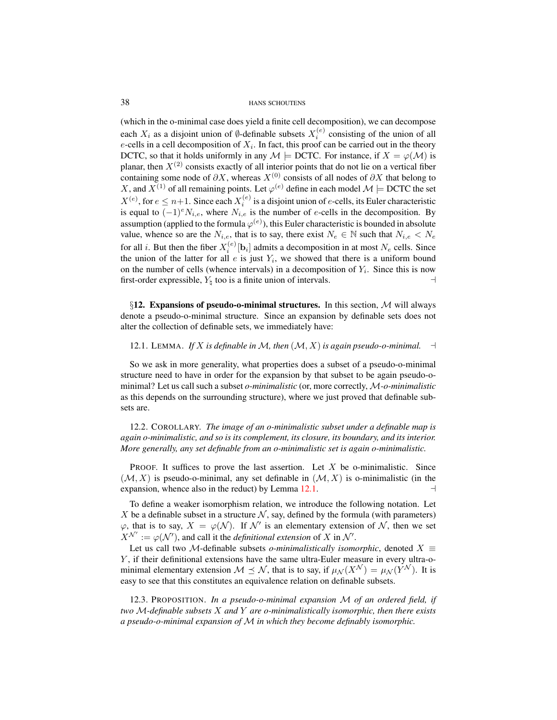(which in the o-minimal case does yield a finite cell decomposition), we can decompose each  $X_i$  as a disjoint union of Ø-definable subsets  $X_i^{(e)}$  consisting of the union of all e-cells in a cell decomposition of  $X_i$ . In fact, this proof can be carried out in the theory DCTC, so that it holds uniformly in any  $\mathcal{M} \models$  DCTC. For instance, if  $X = \varphi(\mathcal{M})$  is planar, then  $X^{(2)}$  consists exactly of all interior points that do not lie on a vertical fiber containing some node of  $\partial X$ , whereas  $X^{(0)}$  consists of all nodes of  $\partial X$  that belong to X, and  $X^{(1)}$  of all remaining points. Let  $\varphi^{(e)}$  define in each model  $\mathcal{M} \models$  DCTC the set  $X^{(e)}$ , for  $e \leq n+1$ . Since each  $X_i^{(e)}$  is a disjoint union of e-cells, its Euler characteristic is equal to  $(-1)^{e}N_{i,e}$ , where  $N_{i,e}$  is the number of e-cells in the decomposition. By assumption (applied to the formula  $\varphi^{(e)}$ ), this Euler characteristic is bounded in absolute value, whence so are the  $N_{i,e}$ , that is to say, there exist  $N_e \in \mathbb{N}$  such that  $N_{i,e} < N_e$ for all *i*. But then the fiber  $X_i^{(e)}[b_i]$  admits a decomposition in at most  $N_e$  cells. Since the union of the latter for all  $e$  is just  $Y_i$ , we showed that there is a uniform bound on the number of cells (whence intervals) in a decomposition of  $Y_i$ . Since this is now first-order expressible,  $Y_{\natural}$  too is a finite union of intervals.

<span id="page-37-0"></span> $\S12.$  Expansions of pseudo-o-minimal structures. In this section, M will always denote a pseudo-o-minimal structure. Since an expansion by definable sets does not alter the collection of definable sets, we immediately have:

<span id="page-37-1"></span>12.1. LEMMA. *If* X *is definable in* M, then  $(M, X)$  *is again pseudo-o-minimal.*  $\rightarrow$ 

So we ask in more generality, what properties does a subset of a pseudo-o-minimal structure need to have in order for the expansion by that subset to be again pseudo-ominimal? Let us call such a subset *o-minimalistic* (or, more correctly, M*-o-minimalistic* as this depends on the surrounding structure), where we just proved that definable subsets are.

<span id="page-37-3"></span>12.2. COROLLARY. *The image of an o-minimalistic subset under a definable map is again o-minimalistic, and so is its complement, its closure, its boundary, and its interior. More generally, any set definable from an o-minimalistic set is again o-minimalistic.*

**PROOF.** It suffices to prove the last assertion. Let X be o-minimalistic. Since  $(M, X)$  is pseudo-o-minimal, any set definable in  $(M, X)$  is o-minimalistic (in the expansion, whence also in the reduct) by Lemma  $12.1$ .

To define a weaker isomorphism relation, we introduce the following notation. Let X be a definable subset in a structure  $N$ , say, defined by the formula (with parameters)  $\varphi$ , that is to say,  $X = \varphi(\mathcal{N})$ . If  $\mathcal{N}'$  is an elementary extension of  $\mathcal{N}$ , then we set  $X^{\mathcal{N}'} := \varphi(\mathcal{N}')$ , and call it the *definitional extension* of X in N'.

Let us call two M-definable subsets *o-minimalistically isomorphic*, denoted  $X \equiv$ Y , if their definitional extensions have the same ultra-Euler measure in every ultra-ominimal elementary extension  $M \preceq N$ , that is to say, if  $\mu_{\mathcal{N}}(X^{\mathcal{N}}) = \mu_{\mathcal{N}}(Y^{\mathcal{N}})$ . It is easy to see that this constitutes an equivalence relation on definable subsets.

<span id="page-37-2"></span>12.3. PROPOSITION. *In a pseudo-o-minimal expansion* M *of an ordered field, if two* M*-definable subsets* X *and* Y *are o-minimalistically isomorphic, then there exists a pseudo-o-minimal expansion of* M *in which they become definably isomorphic.*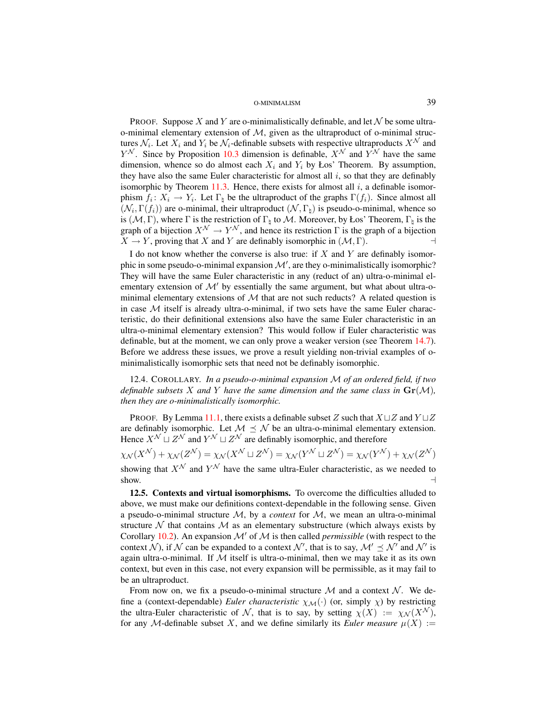PROOF. Suppose X and Y are o-minimalistically definable, and let  $\mathcal N$  be some ultrao-minimal elementary extension of  $M$ , given as the ultraproduct of o-minimal structures  $\mathcal{N}_i$ . Let  $X_i$  and  $Y_i$  be  $\mathcal{N}_i$ -definable subsets with respective ultraproducts  $X^{\mathcal{N}}$  and  $Y^{\mathcal{N}}$ . Since by Proposition [10.3](#page-28-6) dimension is definable,  $X^{\mathcal{N}}$  and  $Y^{\mathcal{N}}$  have the same dimension, whence so do almost each  $X_i$  and  $Y_i$  by Łos' Theorem. By assumption, they have also the same Euler characteristic for almost all  $i$ , so that they are definably isomorphic by Theorem [11.3.](#page-31-1) Hence, there exists for almost all  $i$ , a definable isomorphism  $f_i: X_i \to Y_i$ . Let  $\Gamma_{\natural}$  be the ultraproduct of the graphs  $\Gamma(f_i)$ . Since almost all  $(\mathcal{N}_i, \Gamma(f_i))$  are o-minimal, their ultraproduct  $(\mathcal{N}, \Gamma_{\natural})$  is pseudo-o-minimal, whence so is  $(M, \Gamma)$ , where  $\Gamma$  is the restriction of  $\Gamma_{\natural}$  to M. Moreover, by Łos' Theorem,  $\Gamma_{\natural}$  is the graph of a bijection  $X^{\mathcal{N}} \to Y^{\mathcal{N}}$ , and hence its restriction  $\Gamma$  is the graph of a bijection  $X \to Y$ , proving that X and Y are definably isomorphic in  $(M, \Gamma)$ .

I do not know whether the converse is also true: if  $X$  and  $Y$  are definably isomorphic in some pseudo-o-minimal expansion  $\mathcal{M}'$ , are they o-minimalistically isomorphic? They will have the same Euler characteristic in any (reduct of an) ultra-o-minimal elementary extension of  $\mathcal{M}'$  by essentially the same argument, but what about ultra-ominimal elementary extensions of  $M$  that are not such reducts? A related question is in case  $M$  itself is already ultra-o-minimal, if two sets have the same Euler characteristic, do their definitional extensions also have the same Euler characteristic in an ultra-o-minimal elementary extension? This would follow if Euler characteristic was definable, but at the moment, we can only prove a weaker version (see Theorem [14.7\)](#page-46-1). Before we address these issues, we prove a result yielding non-trivial examples of ominimalistically isomorphic sets that need not be definably isomorphic.

12.4. COROLLARY. *In a pseudo-o-minimal expansion* M *of an ordered field, if two definable subsets* X and Y have the same dimension and the same class in  $\mathbf{Gr}(\mathcal{M})$ , *then they are o-minimalistically isomorphic.*

PROOF. By Lemma [11.1,](#page-30-0) there exists a definable subset Z such that  $X \sqcup Z$  and  $Y \sqcup Z$ are definably isomorphic. Let  $M \preceq N$  be an ultra-o-minimal elementary extension. Hence  $X^{\mathcal{N}} \sqcup Z^{\mathcal{N}}$  and  $Y^{\mathcal{N}} \sqcup Z^{\mathcal{N}}$  are definably isomorphic, and therefore

 $\chi_\mathcal{N}(X^\mathcal{N}) + \chi_\mathcal{N}(Z^\mathcal{N}) = \chi_\mathcal{N}(X^\mathcal{N} \sqcup Z^\mathcal{N}) = \chi_\mathcal{N}(Y^\mathcal{N} \sqcup Z^\mathcal{N}) = \chi_\mathcal{N}(Y^\mathcal{N}) + \chi_\mathcal{N}(Z^\mathcal{N})$ showing that  $X^{\mathcal{N}}$  and  $Y^{\mathcal{N}}$  have the same ultra-Euler characteristic, as we needed to show.  $\Box$ 

12.5. Contexts and virtual isomorphisms. To overcome the difficulties alluded to above, we must make our definitions context-dependable in the following sense. Given a pseudo-o-minimal structure  $M$ , by a *context* for  $M$ , we mean an ultra-o-minimal structure  $\mathcal N$  that contains  $\mathcal M$  as an elementary substructure (which always exists by Corollary [10.2\)](#page-28-4). An expansion  $\mathcal{M}'$  of  $\mathcal M$  is then called *permissible* (with respect to the context N), if N can be expanded to a context N', that is to say,  $\mathcal{M}' \preceq \mathcal{N}'$  and N' is again ultra-o-minimal. If  $M$  itself is ultra-o-minimal, then we may take it as its own context, but even in this case, not every expansion will be permissible, as it may fail to be an ultraproduct.

From now on, we fix a pseudo-o-minimal structure  $\mathcal M$  and a context  $\mathcal N$ . We define a (context-dependable) *Euler characteristic*  $\chi_M(\cdot)$  (or, simply  $\chi$ ) by restricting the ultra-Euler characteristic of N, that is to say, by setting  $\chi(X) := \chi_{\mathcal{N}}(X^{\mathcal{N}})$ , for any M-definable subset X, and we define similarly its *Euler measure*  $\mu(X) :=$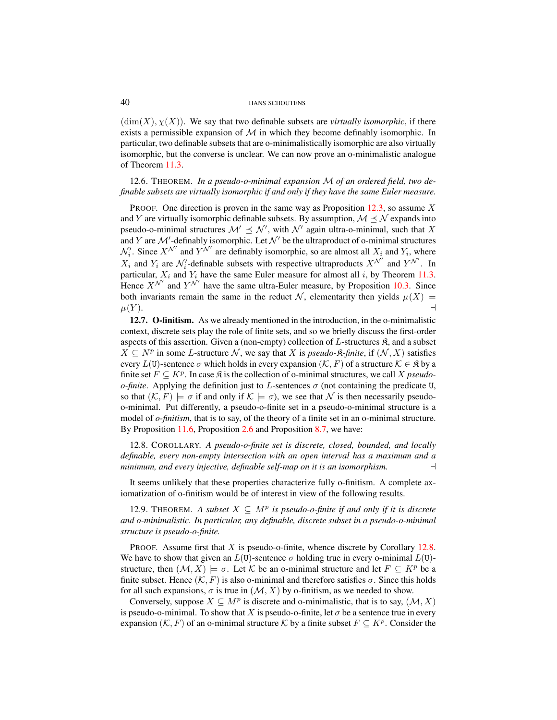$(\dim(X), \chi(X))$ . We say that two definable subsets are *virtually isomorphic*, if there exists a permissible expansion of  $\mathcal M$  in which they become definably isomorphic. In particular, two definable subsets that are o-minimalistically isomorphic are also virtually isomorphic, but the converse is unclear. We can now prove an o-minimalistic analogue of Theorem [11.3.](#page-31-1)

<span id="page-39-3"></span>12.6. THEOREM. *In a pseudo-o-minimal expansion* M *of an ordered field, two definable subsets are virtually isomorphic if and only if they have the same Euler measure.*

PROOF. One direction is proven in the same way as Proposition [12.3,](#page-37-2) so assume  $X$ and Y are virtually isomorphic definable subsets. By assumption,  $\mathcal{M} \preceq \mathcal{N}$  expands into pseudo-o-minimal structures  $\mathcal{M}' \preceq \mathcal{N}'$ , with  $\mathcal{N}'$  again ultra-o-minimal, such that X and Y are  $\mathcal{M}'$ -definably isomorphic. Let  $\mathcal{N}'$  be the ultraproduct of o-minimal structures  $\mathcal{N}'_i$ . Since  $X^{\mathcal{N}'}$  and  $Y^{\mathcal{N}'}$  are definably isomorphic, so are almost all  $X_i$  and  $Y_i$ , where  $X_i$  and  $Y_i$  are  $\mathcal{N}'_i$ -definable subsets with respective ultraproducts  $X^{\mathcal{N}'}$  and  $Y^{\mathcal{N}'}$ . In particular,  $X_i$  and  $Y_i$  have the same Euler measure for almost all i, by Theorem [11.3.](#page-31-1) Hence  $X^{\mathcal{N}'}$  and  $Y^{\mathcal{N}'}$  have the same ultra-Euler measure, by Proposition [10.3.](#page-28-6) Since both invariants remain the same in the reduct N, elementarity then yields  $\mu(X)$  =  $\mu(Y)$ .

<span id="page-39-0"></span>12.7. O-finitism. As we already mentioned in the introduction, in the o-minimalistic context, discrete sets play the role of finite sets, and so we briefly discuss the first-order aspects of this assertion. Given a (non-empty) collection of  $L$ -structures  $\mathfrak{K}$ , and a subset  $X ⊆ N<sup>p</sup>$  in some *L*-structure  $N$ , we say that *X* is *pseudo-* $\hat{\mathcal{R}}$ *-finite*, if  $(N, X)$  satisfies every  $L(U)$ -sentence  $\sigma$  which holds in every expansion  $(\mathcal{K}, F)$  of a structure  $\mathcal{K} \in \mathfrak{K}$  by a finite set  $F \subseteq K^p$ . In case  $\mathfrak K$  is the collection of o-minimal structures, we call X *pseudoo-finite*. Applying the definition just to L-sentences  $\sigma$  (not containing the predicate U, so that  $(\mathcal{K}, F) \models \sigma$  if and only if  $\mathcal{K} \models \sigma$ , we see that N is then necessarily pseudoo-minimal. Put differently, a pseudo-o-finite set in a pseudo-o-minimal structure is a model of *o-finitism*, that is to say, of the theory of a finite set in an o-minimal structure. By Proposition [11.6,](#page-32-1) Proposition [2.6](#page-5-7) and Proposition [8.7,](#page-21-0) we have:

<span id="page-39-1"></span>12.8. COROLLARY. *A pseudo-o-finite set is discrete, closed, bounded, and locally definable, every non-empty intersection with an open interval has a maximum and a minimum, and every injective, definable self-map on it is an isomorphism.* a

It seems unlikely that these properties characterize fully o-finitism. A complete axiomatization of o-finitism would be of interest in view of the following results.

<span id="page-39-2"></span>12.9. THEOREM. A subset  $X \subseteq M^p$  is pseudo-o-finite if and only if it is discrete *and o-minimalistic. In particular, any definable, discrete subset in a pseudo-o-minimal structure is pseudo-o-finite.*

PROOF. Assume first that  $X$  is pseudo-o-finite, whence discrete by Corollary [12.8.](#page-39-1) We have to show that given an  $L(U)$ -sentence  $\sigma$  holding true in every o-minimal  $L(U)$ structure, then  $(M, X) \models \sigma$ . Let K be an o-minimal structure and let  $F \subseteq K^p$  be a finite subset. Hence  $(K, F)$  is also o-minimal and therefore satisfies  $\sigma$ . Since this holds for all such expansions,  $\sigma$  is true in  $(\mathcal{M}, X)$  by o-finitism, as we needed to show.

Conversely, suppose  $X \subseteq M^p$  is discrete and o-minimalistic, that is to say,  $(M, X)$ is pseudo-o-minimal. To show that X is pseudo-o-finite, let  $\sigma$  be a sentence true in every expansion  $(K, F)$  of an o-minimal structure K by a finite subset  $F \subseteq K^p$ . Consider the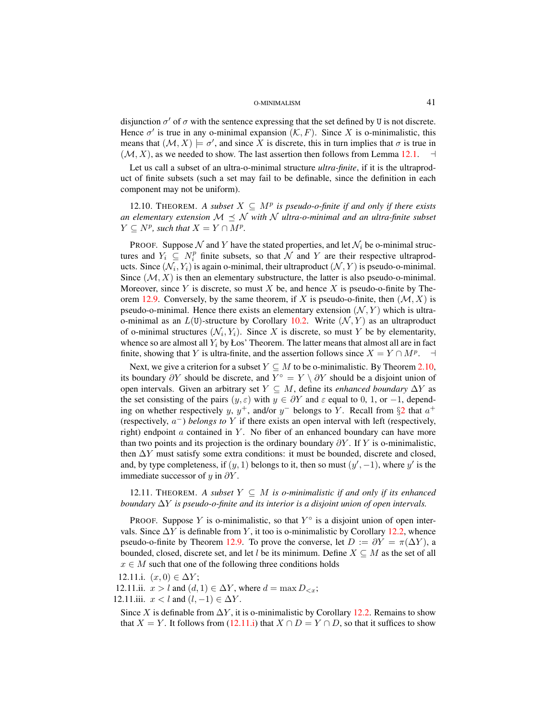disjunction  $\sigma'$  of  $\sigma$  with the sentence expressing that the set defined by U is not discrete. Hence  $\sigma'$  is true in any o-minimal expansion  $(K, F)$ . Since X is o-minimalistic, this means that  $(M, X) \models \sigma'$ , and since X is discrete, this in turn implies that  $\sigma$  is true in  $(M, X)$ , as we needed to show. The last assertion then follows from Lemma [12.1.](#page-37-1)  $\rightarrow$ 

Let us call a subset of an ultra-o-minimal structure *ultra-finite*, if it is the ultraproduct of finite subsets (such a set may fail to be definable, since the definition in each component may not be uniform).

<span id="page-40-3"></span>12.10. THEOREM. A subset  $X \subseteq M^p$  is pseudo-o-finite if and only if there exists *an elementary extension*  $M \prec N$  *with* N *ultra-o-minimal and an ultra-finite subset*  $Y \subseteq N^p$ , such that  $X = Y \cap M^p$ .

PROOF. Suppose  $N$  and Y have the stated properties, and let  $N_i$  be o-minimal structures and  $Y_i \subseteq N_i^p$  finite subsets, so that  $\hat{\mathcal{N}}$  and  $Y$  are their respective ultraproducts. Since  $(\mathcal{N}_i, Y_i)$  is again o-minimal, their ultraproduct  $(\mathcal{N}, Y)$  is pseudo-o-minimal. Since  $(M, X)$  is then an elementary substructure, the latter is also pseudo-o-minimal. Moreover, since Y is discrete, so must X be, and hence X is pseudo-o-finite by The-orem [12.9.](#page-39-2) Conversely, by the same theorem, if X is pseudo-o-finite, then  $(\mathcal{M}, X)$  is pseudo-o-minimal. Hence there exists an elementary extension  $(N, Y)$  which is ultrao-minimal as an  $L(U)$ -structure by Corollary [10.2.](#page-28-4) Write  $(\mathcal{N}, Y)$  as an ultraproduct of o-minimal structures  $(\mathcal{N}_i, Y_i)$ . Since X is discrete, so must Y be by elementarity, whence so are almost all  $Y_i$  by Łos' Theorem. The latter means that almost all are in fact finite, showing that Y is ultra-finite, and the assertion follows since  $X = Y \cap M^p$ .  $\overline{a}$ 

Next, we give a criterion for a subset  $Y \subseteq M$  to be o-minimalistic. By Theorem [2.10,](#page-6-1) its boundary  $\partial Y$  should be discrete, and  $Y^{\circ} = Y \setminus \partial Y$  should be a disjoint union of open intervals. Given an arbitrary set  $Y \subseteq M$ , define its *enhanced boundary*  $\Delta Y$  as the set consisting of the pairs  $(y, \varepsilon)$  with  $y \in \partial Y$  and  $\varepsilon$  equal to 0, 1, or -1, depending on whether respectively y,  $y^+$ , and/or  $y^-$  belongs to Y. Recall from  $\S2$  $\S2$  that  $a^+$ (respectively, a <sup>−</sup>) *belongs to* Y if there exists an open interval with left (respectively, right) endpoint  $\alpha$  contained in Y. No fiber of an enhanced boundary can have more than two points and its projection is the ordinary boundary  $\partial Y$ . If Y is o-minimalistic, then  $\Delta Y$  must satisfy some extra conditions: it must be bounded, discrete and closed, and, by type completeness, if  $(y, 1)$  belongs to it, then so must  $(y', -1)$ , where y' is the immediate successor of y in  $\partial Y$ .

12.11. THEOREM. A subset  $Y \subseteq M$  is o-minimalistic if and only if its enhanced *boundary* ∆Y *is pseudo-o-finite and its interior is a disjoint union of open intervals.*

PROOF. Suppose Y is o-minimalistic, so that  $Y^{\circ}$  is a disjoint union of open intervals. Since  $\Delta Y$  is definable from Y, it too is o-minimalistic by Corollary [12.2,](#page-37-3) whence pseudo-o-finite by Theorem [12.9.](#page-39-2) To prove the converse, let  $D := \partial Y = \pi(\Delta Y)$ , a bounded, closed, discrete set, and let l be its minimum. Define  $X \subseteq M$  as the set of all  $x \in M$  such that one of the following three conditions holds

<span id="page-40-0"></span>12.11.i.  $(x, 0) \in \Delta Y$ ;

<span id="page-40-2"></span>12.11.ii.  $x > l$  and  $(d, 1) \in \Delta Y$ , where  $d = \max D_{\leq x}$ ;

<span id="page-40-1"></span>12.11.iii.  $x < l$  and  $(l, -1) \in \Delta Y$ .

Since X is definable from  $\Delta Y$ , it is o-minimalistic by Corollary [12.2.](#page-37-3) Remains to show that  $X = Y$ . It follows from [\(12.11.i\)](#page-40-0) that  $X \cap D = Y \cap D$ , so that it suffices to show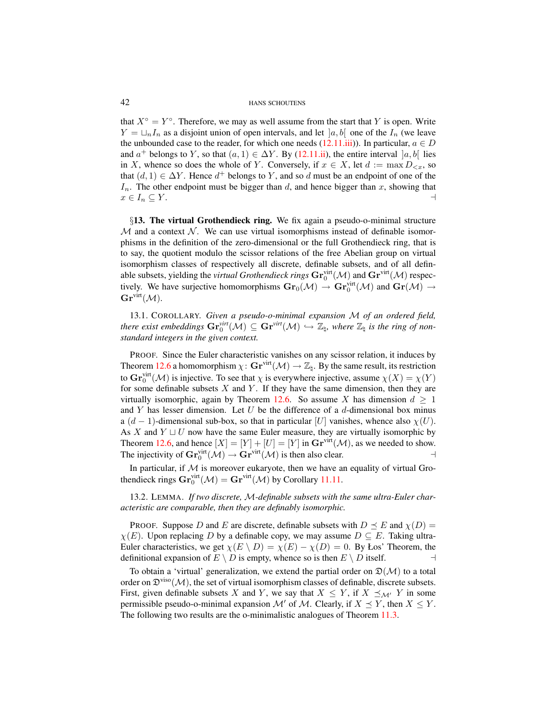that  $X^{\circ} = Y^{\circ}$ . Therefore, we may as well assume from the start that Y is open. Write  $Y = \bigsqcup_n I_n$  as a disjoint union of open intervals, and let  $[a, b]$  one of the  $I_n$  (we leave the unbounded case to the reader, for which one needs  $(12.11.iii)$ ). In particular,  $a \in D$ and  $a^+$  belongs to Y, so that  $(a, 1) \in \Delta Y$ . By [\(12.11.ii\)](#page-40-2), the entire interval  $[a, b]$  lies in X, whence so does the whole of Y. Conversely, if  $x \in X$ , let  $d := \max D_{\leq x}$ , so that  $(d, 1) \in \Delta Y$ . Hence  $d^+$  belongs to Y, and so d must be an endpoint of one of the  $I_n$ . The other endpoint must be bigger than d, and hence bigger than x, showing that  $x \in I_n \subseteq Y$ .

<span id="page-41-0"></span>§13. The virtual Grothendieck ring. We fix again a pseudo-o-minimal structure  $M$  and a context N. We can use virtual isomorphisms instead of definable isomorphisms in the definition of the zero-dimensional or the full Grothendieck ring, that is to say, the quotient modulo the scissor relations of the free Abelian group on virtual isomorphism classes of respectively all discrete, definable subsets, and of all definable subsets, yielding the *virtual Grothendieck rings*  $\mathbf{Gr}^{\text{virt}}_0(\mathcal{M})$  and  $\mathbf{Gr}^{\text{virt}}(\mathcal{M})$  respectively. We have surjective homomorphisms  $\bf{Gr}_0(\mathcal{M}) \to \bf{Gr}_0^{virt}(\mathcal{M})$  and  $\bf{Gr}(\mathcal{M}) \to$  $\mathbf{Gr}^{\text{virt}}(\mathcal{M}).$ 

13.1. COROLLARY. *Given a pseudo-o-minimal expansion* M *of an ordered field,*  $\mathsf{there}\,\,$  exist embeddings  $\mathbf{Gr}^{\text{virt}}_0(\mathcal{M})\subseteq \mathbf{Gr}^{\text{virt}}(\mathcal{M})\hookrightarrow \mathbb{Z}_\natural$ , where  $\mathbb{Z}_\natural$  is the ring of non*standard integers in the given context.*

PROOF. Since the Euler characteristic vanishes on any scissor relation, it induces by Theorem [12.6](#page-39-3) a homomorphism  $\chi: \mathbf{Gr}^{\text{virt}}(\mathcal{M}) \to \mathbb{Z}_{h}$ . By the same result, its restriction to  $\mathbf{Gr}_0^{\text{virt}}(\mathcal{M})$  is injective. To see that  $\chi$  is everywhere injective, assume  $\chi(X) = \chi(Y)$ for some definable subsets  $X$  and  $Y$ . If they have the same dimension, then they are virtually isomorphic, again by Theorem [12.6.](#page-39-3) So assume X has dimension  $d \geq 1$ and  $Y$  has lesser dimension. Let  $U$  be the difference of a  $d$ -dimensional box minus a  $(d-1)$ -dimensional sub-box, so that in particular [U] vanishes, whence also  $\chi(U)$ . As X and  $Y \sqcup U$  now have the same Euler measure, they are virtually isomorphic by Theorem [12.6,](#page-39-3) and hence  $[X] = [Y] + [U] = [Y]$  in  $\mathbf{Gr}^{\text{virt}}(\mathcal{M})$ , as we needed to show. The injectivity of  $\mathbf{Gr}_0^{\text{virt}}(\mathcal{M}) \to \mathbf{Gr}^{\text{virt}}(\mathcal{M})$  is then also clear.

In particular, if  $M$  is moreover eukaryote, then we have an equality of virtual Grothendieck rings  $\mathbf{Gr}_0^{\text{virt}}(\mathcal{M}) = \mathbf{Gr}^{\text{virt}}(\mathcal{M})$  by Corollary [11.11.](#page-33-1)

<span id="page-41-2"></span>13.2. LEMMA. *If two discrete,* M*-definable subsets with the same ultra-Euler characteristic are comparable, then they are definably isomorphic.*

PROOF. Suppose D and E are discrete, definable subsets with  $D \preceq E$  and  $\chi(D) =$  $\chi(E)$ . Upon replacing D by a definable copy, we may assume  $D \subseteq E$ . Taking ultra-Euler characteristics, we get  $\chi(E \setminus D) = \chi(E) - \chi(D) = 0$ . By Los' Theorem, the definitional expansion of  $E \setminus D$  is empty, whence so is then  $E \setminus D$  itself.

<span id="page-41-1"></span>To obtain a 'virtual' generalization, we extend the partial order on  $\mathfrak{D}(\mathcal{M})$  to a total order on  $\mathfrak{D}^{viso}(\mathcal{M})$ , the set of virtual isomorphism classes of definable, discrete subsets. First, given definable subsets X and Y, we say that  $X \leq Y$ , if  $X \preceq_{\mathcal{M}'} Y$  in some permissible pseudo-o-minimal expansion  $\mathcal{M}'$  of  $\mathcal{M}$ . Clearly, if  $X \preceq Y$ , then  $X \leq Y$ . The following two results are the o-minimalistic analogues of Theorem [11.3.](#page-31-1)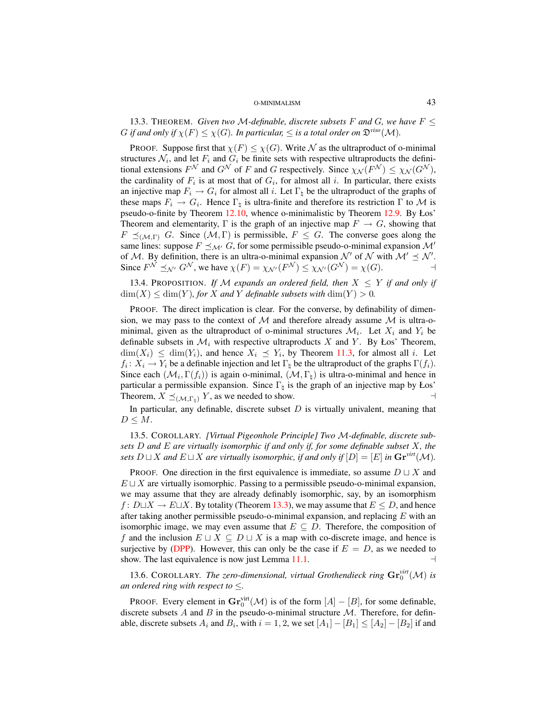13.3. THEOREM. *Given two M-definable, discrete subsets* F and G, we have  $F \leq$ G if and only if  $\chi(F) \leq \chi(G)$ . In particular,  $\leq$  is a total order on  $\mathfrak{D}^{\text{viso}}(\mathcal{M})$ .

PROOF. Suppose first that  $\chi(F) \leq \chi(G)$ . Write N as the ultraproduct of o-minimal structures  $\mathcal{N}_i$ , and let  $F_i$  and  $G_i$  be finite sets with respective ultraproducts the definitional extensions  $F^{\mathcal{N}}$  and  $G^{\mathcal{N}}$  of F and G respectively. Since  $\chi_{\mathcal{N}}(F^{\mathcal{N}}) \leq \chi_{\mathcal{N}}(G^{\mathcal{N}})$ , the cardinality of  $F_i$  is at most that of  $G_i$ , for almost all i. In particular, there exists an injective map  $F_i \to G_i$  for almost all i. Let  $\Gamma_{\natural}$  be the ultraproduct of the graphs of these maps  $F_i \to G_i$ . Hence  $\Gamma_{\natural}$  is ultra-finite and therefore its restriction  $\Gamma$  to M is pseudo-o-finite by Theorem [12.10,](#page-40-3) whence o-minimalistic by Theorem [12.9.](#page-39-2) By Łos' Theorem and elementarity,  $\Gamma$  is the graph of an injective map  $F \to G$ , showing that  $F \preceq_{(\mathcal{M}, \Gamma)} G$ . Since  $(\mathcal{M}, \Gamma)$  is permissible,  $F \preceq G$ . The converse goes along the same lines: suppose  $F \preceq_{\mathcal{M}'} G$ , for some permissible pseudo-o-minimal expansion  $\mathcal{M}'$ of M. By definition, there is an ultra-o-minimal expansion  $\mathcal{N}'$  of  $\mathcal{N}$  with  $\mathcal{M}' \preceq \mathcal{N}'$ . Since  $F^{\mathcal{N}} \preceq_{\mathcal{N}'} G^{\mathcal{N}}$ , we have  $\chi(F) = \chi_{\mathcal{N}'}(F^{\mathcal{N}}) \leq \chi_{\mathcal{N}'}(G^{\mathcal{N}}) = \chi(G)$ .

<span id="page-42-1"></span>13.4. PROPOSITION. If M expands an ordered field, then  $X \leq Y$  if and only if  $\dim(X) \leq \dim(Y)$ *, for* X and Y definable subsets with  $\dim(Y) > 0$ *.* 

PROOF. The direct implication is clear. For the converse, by definability of dimension, we may pass to the context of  $M$  and therefore already assume  $M$  is ultra-ominimal, given as the ultraproduct of o-minimal structures  $\mathcal{M}_i$ . Let  $X_i$  and  $Y_i$  be definable subsets in  $\mathcal{M}_i$  with respective ultraproducts X and Y. By Łos' Theorem,  $\dim(X_i) \leq \dim(Y_i)$ , and hence  $X_i \preceq Y_i$ , by Theorem [11.3,](#page-31-1) for almost all i. Let  $f_i: X_i \to Y_i$  be a definable injection and let  $\Gamma_{\natural}$  be the ultraproduct of the graphs  $\Gamma(f_i)$ . Since each  $(\mathcal{M}_i, \Gamma(f_i))$  is again o-minimal,  $(\mathcal{M}, \Gamma_{\natural})$  is ultra-o-minimal and hence in particular a permissible expansion. Since  $\Gamma_{\natural}$  is the graph of an injective map by Łos' Theorem,  $X \preceq_{(\mathcal{M}, \Gamma_{\mathfrak{p}})} Y$ , as we needed to show.

In particular, any definable, discrete subset  $D$  is virtually univalent, meaning that  $D \leq M$ .

<span id="page-42-0"></span>13.5. COROLLARY. *[Virtual Pigeonhole Principle] Two* M*-definable, discrete subsets* D *and* E *are virtually isomorphic if and only if, for some definable subset* X*, the sets*  $D \sqcup X$  *and*  $E \sqcup X$  *are virtually isomorphic, if and only if*  $[D] = [E]$  *in*  $\mathbf{Gr}^{\text{virt}}(\mathcal{M})$ *.* 

PROOF. One direction in the first equivalence is immediate, so assume  $D \sqcup X$  and  $E \sqcup X$  are virtually isomorphic. Passing to a permissible pseudo-o-minimal expansion, we may assume that they are already definably isomorphic, say, by an isomorphism  $f: D\Box X \rightarrow E\Box X$ . By totality (Theorem [13.3\)](#page-41-1), we may assume that  $E \leq D$ , and hence after taking another permissible pseudo-o-minimal expansion, and replacing  $E$  with an isomorphic image, we may even assume that  $E \subseteq D$ . Therefore, the composition of f and the inclusion  $E \sqcup X \subseteq D \sqcup X$  is a map with co-discrete image, and hence is surjective by [\(DPP\)](#page-29-4). However, this can only be the case if  $E = D$ , as we needed to show. The last equivalence is now just Lemma  $11.1$ .

13.6. COROLLARY. *The zero-dimensional, virtual Grothendieck ring*  $\mathbf{Gr}_0^{\text{virt}}(\mathcal{M})$  *is an ordered ring with respect to* ≤*.*

**PROOF.** Every element in  $\mathbf{Gr}_0^{\text{virt}}(\mathcal{M})$  is of the form  $[A] - [B]$ , for some definable, discrete subsets A and B in the pseudo-o-minimal structure  $M$ . Therefore, for definable, discrete subsets  $A_i$  and  $B_i$ , with  $i = 1, 2$ , we set  $[A_1] - [B_1] \leq [A_2] - [B_2]$  if and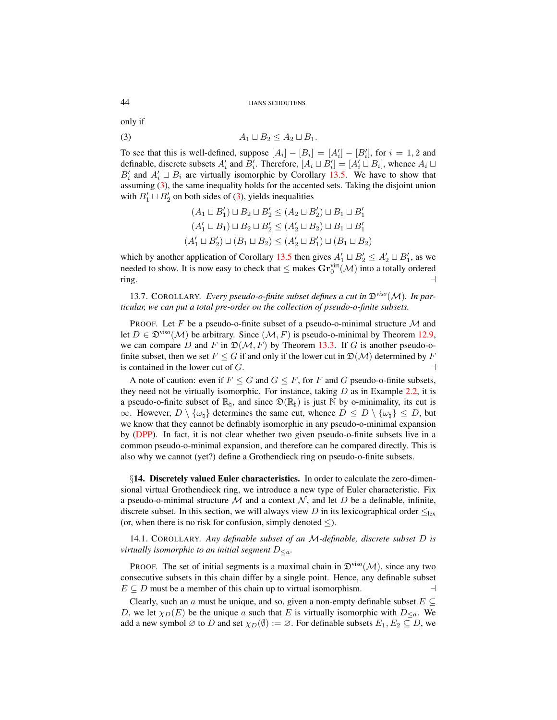only if

$$
(3) \hspace{3.1em} A_1 \sqcup B_2 \leq A_2 \sqcup B_1.
$$

To see that this is well-defined, suppose  $[A_i] - [B_i] = [A'_i] - [B'_i]$ , for  $i = 1, 2$  and definable, discrete subsets  $A'_i$  and  $B'_i$ . Therefore,  $[A_i \sqcup B'_i] = [A'_i \sqcup B_i]$ , whence  $A_i \sqcup$  $B_i'$  and  $A_i' \sqcup B_i$  are virtually isomorphic by Corollary [13.5.](#page-42-0) We have to show that assuming [\(3\)](#page-43-1), the same inequality holds for the accented sets. Taking the disjoint union with  $B'_1 \sqcup B'_2$  on both sides of [\(3\)](#page-43-1), yields inequalities

<span id="page-43-1"></span>
$$
(A_1 \sqcup B'_1) \sqcup B_2 \sqcup B'_2 \le (A_2 \sqcup B'_2) \sqcup B_1 \sqcup B'_1
$$
  

$$
(A'_1 \sqcup B_1) \sqcup B_2 \sqcup B'_2 \le (A'_2 \sqcup B_2) \sqcup B_1 \sqcup B'_1
$$
  

$$
(A'_1 \sqcup B'_2) \sqcup (B_1 \sqcup B_2) \le (A'_2 \sqcup B'_1) \sqcup (B_1 \sqcup B_2)
$$

which by another application of Corollary [13.5](#page-42-0) then gives  $A'_1 \sqcup B'_2 \le A'_2 \sqcup B'_1$ , as we needed to show. It is now easy to check that  $\leq$  makes  $\mathbf{Gr}^{\text{virt}}_0(\mathcal{M})$  into a totally ordered  $r$ ing.  $\qquad \qquad \rightarrow$ 

13.7. COROLLARY. *Every pseudo-o-finite subset defines a cut in* D*viso*(M)*. In particular, we can put a total pre-order on the collection of pseudo-o-finite subsets.*

PROOF. Let F be a pseudo-o-finite subset of a pseudo-o-minimal structure  $\mathcal M$  and let  $D \in \mathfrak{D}^{\text{viso}}(\mathcal{M})$  be arbitrary. Since  $(\mathcal{M}, F)$  is pseudo-o-minimal by Theorem [12.9,](#page-39-2) we can compare D and F in  $\mathfrak{D}(\mathcal{M}, F)$  by Theorem [13.3.](#page-41-1) If G is another pseudo-ofinite subset, then we set  $F \leq G$  if and only if the lower cut in  $\mathfrak{D}(\mathcal{M})$  determined by F is contained in the lower cut of  $G$ .

A note of caution: even if  $F \leq G$  and  $G \leq F$ , for F and G pseudo-o-finite subsets, they need not be virtually isomorphic. For instance, taking  $D$  as in Example [2.2,](#page-4-1) it is a pseudo-o-finite subset of  $\mathbb{R}_h$ , and since  $\mathfrak{D}(\mathbb{R}_h)$  is just N by o-minimality, its cut is  $\infty$ . However,  $D \setminus \{\omega_{\natural}\}\$  determines the same cut, whence  $D \leq D \setminus \{\omega_{\natural}\} \leq D$ , but we know that they cannot be definably isomorphic in any pseudo-o-minimal expansion by [\(DPP\)](#page-29-4). In fact, it is not clear whether two given pseudo-o-finite subsets live in a common pseudo-o-minimal expansion, and therefore can be compared directly. This is also why we cannot (yet?) define a Grothendieck ring on pseudo-o-finite subsets.

<span id="page-43-0"></span>§14. Discretely valued Euler characteristics. In order to calculate the zero-dimensional virtual Grothendieck ring, we introduce a new type of Euler characteristic. Fix a pseudo-o-minimal structure M and a context N, and let D be a definable, infinite, discrete subset. In this section, we will always view D in its lexicographical order  $\leq_{\text{lex}}$ (or, when there is no risk for confusion, simply denoted  $\leq$ ).

14.1. COROLLARY. *Any definable subset of an* M*-definable, discrete subset* D *is virtually isomorphic to an initial segment*  $D_{\leq a}$ *.* 

**PROOF.** The set of initial segments is a maximal chain in  $\mathfrak{D}^{\text{viso}}(\mathcal{M})$ , since any two consecutive subsets in this chain differ by a single point. Hence, any definable subset  $E \subseteq D$  must be a member of this chain up to virtual isomorphism.

Clearly, such an a must be unique, and so, given a non-empty definable subset  $E \subseteq$ D, we let  $\chi_D(E)$  be the unique a such that E is virtually isomorphic with  $D_{\leq a}$ . We add a new symbol  $\emptyset$  to D and set  $\chi_D(\emptyset) := \emptyset$ . For definable subsets  $E_1, E_2 \subseteq D$ , we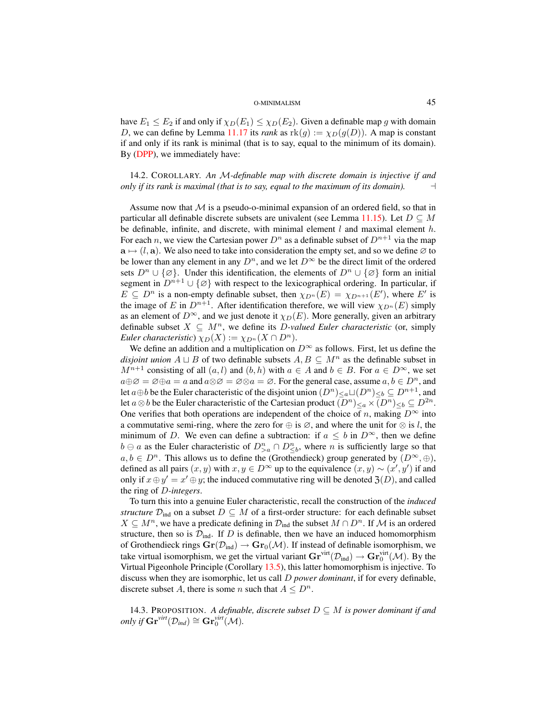have  $E_1 \le E_2$  if and only if  $\chi_D(E_1) \le \chi_D(E_2)$ . Given a definable map g with domain D, we can define by Lemma [11.17](#page-35-3) its *rank* as  $\text{rk}(g) := \chi_D(g(D))$ . A map is constant if and only if its rank is minimal (that is to say, equal to the minimum of its domain). By [\(DPP\)](#page-29-4), we immediately have:

14.2. COROLLARY. *An* M*-definable map with discrete domain is injective if and only if its rank is maximal (that is to say, equal to the maximum of its domain).*  $\Box$ 

Assume now that  $M$  is a pseudo-o-minimal expansion of an ordered field, so that in particular all definable discrete subsets are univalent (see Lemma [11.15\)](#page-35-2). Let  $D \subseteq M$ be definable, infinite, and discrete, with minimal element  $l$  and maximal element  $h$ . For each n, we view the Cartesian power  $D^n$  as a definable subset of  $D^{n+1}$  via the map  $a \mapsto (l, a)$ . We also need to take into consideration the empty set, and so we define ∅ to be lower than any element in any  $D^n$ , and we let  $D^{\infty}$  be the direct limit of the ordered sets  $D^n \cup {\emptyset}$ . Under this identification, the elements of  $D^n \cup {\emptyset}$  form an initial segment in  $D^{n+1} \cup {\emptyset}$  with respect to the lexicographical ordering. In particular, if  $E \subseteq D^n$  is a non-empty definable subset, then  $\chi_{D^n}(E) = \chi_{D^{n+1}}(E')$ , where E' is the image of E in  $D^{n+1}$ . After identification therefore, we will view  $\chi_{D^n}(E)$  simply as an element of  $D^{\infty}$ , and we just denote it  $\chi_D(E)$ . More generally, given an arbitrary definable subset  $X \subseteq M^n$ , we define its *D*-valued Euler characteristic (or, simply *Euler characteristic*)  $\chi_D(X) := \chi_{D^n}(X \cap D^n)$ .

We define an addition and a multiplication on  $D^{\infty}$  as follows. First, let us define the *disjoint union*  $A \sqcup B$  of two definable subsets  $A, B \subseteq M^n$  as the definable subset in  $M^{n+1}$  consisting of all  $(a, l)$  and  $(b, h)$  with  $a \in A$  and  $b \in B$ . For  $a \in D^{\infty}$ , we set  $a \oplus \emptyset = \emptyset \oplus a = a$  and  $a \otimes \emptyset = \emptyset \otimes a = \emptyset$ . For the general case, assume  $a, b \in D^n$ , and let  $a \oplus b$  be the Euler characteristic of the disjoint union  $(D^n)_{\leq a} \sqcup (D^n)_{\leq b} \subseteq D^{n+1}$ , and let  $a \otimes b$  be the Euler characteristic of the Cartesian product  $(D^n)_{\leq a} \times (D^n)_{\leq b} \subseteq D^{2n}$ . One verifies that both operations are independent of the choice of n, making  $D^{\infty}$  into a commutative semi-ring, where the zero for  $\oplus$  is  $\emptyset$ , and where the unit for  $\otimes$  is l, the minimum of D. We even can define a subtraction: if  $a \leq b$  in  $D^{\infty}$ , then we define  $b \ominus a$  as the Euler characteristic of  $D_{\geq a}^n \cap D_{\leq b}^n$ , where *n* is sufficiently large so that  $a, b \in D<sup>n</sup>$ . This allows us to define the (Grothendieck) group generated by  $(D<sup>\infty</sup>, \oplus)$ , defined as all pairs  $(x, y)$  with  $x, y \in D^{\infty}$  up to the equivalence  $(x, y) \sim (x', y')$  if and only if  $x \oplus y' = x' \oplus y$ ; the induced commutative ring will be denoted  $\mathfrak{Z}(D)$ , and called the ring of D*-integers*.

To turn this into a genuine Euler characteristic, recall the construction of the *induced structure*  $\mathcal{D}_{ind}$  on a subset  $D \subseteq M$  of a first-order structure: for each definable subset  $X \subseteq M^n$ , we have a predicate defining in  $\mathcal{D}_{ind}$  the subset  $M \cap D^n$ . If M is an ordered structure, then so is  $\mathcal{D}_{ind}$ . If D is definable, then we have an induced homomorphism of Grothendieck rings  $\mathbf{Gr}(\mathcal{D}_{ind}) \to \mathbf{Gr}_0(\mathcal{M})$ . If instead of definable isomorphism, we take virtual isomorphism, we get the virtual variant  $\mathbf{Gr}^{\text{virt}}(\mathcal{D}_{\text{ind}}) \to \mathbf{Gr}^{\text{virt}}_0(\mathcal{M})$ . By the Virtual Pigeonhole Principle (Corollary [13.5\)](#page-42-0), this latter homomorphism is injective. To discuss when they are isomorphic, let us call D *power dominant*, if for every definable, discrete subset A, there is some n such that  $A \leq D^n$ .

<span id="page-44-0"></span>14.3. PROPOSITION. *A definable, discrete subset*  $D \subseteq M$  *is power dominant if and*  $\text{only if } \mathbf{Gr}^{\text{virt}}(\mathcal{D}_{\text{ind}}) \cong \mathbf{Gr}^{\text{virt}}_0(\mathcal{M})$ .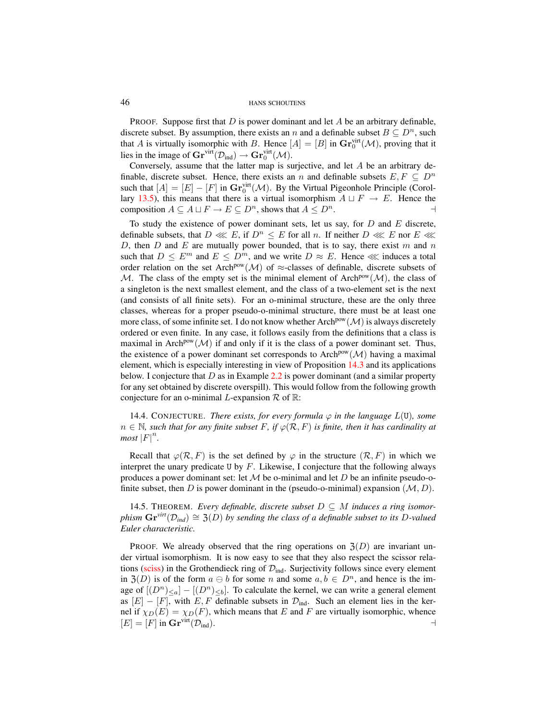**PROOF.** Suppose first that D is power dominant and let A be an arbitrary definable, discrete subset. By assumption, there exists an n and a definable subset  $B \subseteq D^n$ , such that A is virtually isomorphic with B. Hence  $[A] = [B]$  in  $\mathbf{Gr}_0^{\text{virt}}(\mathcal{M})$ , proving that it lies in the image of  $\mathbf{Gr}^{\text{virt}}(\mathcal{D}_{\text{ind}}) \to \mathbf{Gr}^{\text{virt}}_0(\mathcal{M})$ .

Conversely, assume that the latter map is surjective, and let A be an arbitrary definable, discrete subset. Hence, there exists an n and definable subsets  $E, F \subseteq D^n$ such that  $[A] = [E] - [F]$  in  $\mathbf{Gr}_0^{\text{virt}}(\mathcal{M})$ . By the Virtual Pigeonhole Principle (Corol-lary [13.5\)](#page-42-0), this means that there is a virtual isomorphism  $A \sqcup F \rightarrow E$ . Hence the composition  $A \subseteq A \sqcup F \to E \subseteq D^n$ , shows that  $A \leq D^n$ .

To study the existence of power dominant sets, let us say, for  $D$  and  $E$  discrete, definable subsets, that  $D \ll E$ , if  $D^n \leq E$  for all n. If neither  $D \ll E$  nor  $E \ll$ D, then  $D$  and  $E$  are mutually power bounded, that is to say, there exist  $m$  and  $n$ such that  $D \leq E^m$  and  $E \leq D^m$ , and we write  $D \approx E$ . Hence  $\ll$  induces a total order relation on the set Arch<sup>pow</sup>( $\mathcal{M}$ ) of  $\approx$ -classes of definable, discrete subsets of M. The class of the empty set is the minimal element of Arch<sup>pow</sup>( $M$ ), the class of a singleton is the next smallest element, and the class of a two-element set is the next (and consists of all finite sets). For an o-minimal structure, these are the only three classes, whereas for a proper pseudo-o-minimal structure, there must be at least one more class, of some infinite set. I do not know whether Arch<sup>pow</sup>  $(M)$  is always discretely ordered or even finite. In any case, it follows easily from the definitions that a class is maximal in Arch<sup>pow</sup>( $\mathcal{M}$ ) if and only if it is the class of a power dominant set. Thus, the existence of a power dominant set corresponds to Arch<sup>pow</sup>( $\mathcal{M}$ ) having a maximal element, which is especially interesting in view of Proposition [14.3](#page-44-0) and its applications below. I conjecture that D as in Example [2.2](#page-4-1) is power dominant (and a similar property for any set obtained by discrete overspill). This would follow from the following growth conjecture for an o-minimal L-expansion  $\mathcal R$  of  $\mathbb R$ :

14.4. CONJECTURE. *There exists, for every formula*  $\varphi$  *in the language*  $L(U)$ *, some*  $n \in \mathbb{N}$ , such that for any finite subset F, if  $\varphi(\mathcal{R}, F)$  is finite, then it has cardinality at  $most$   $|F|^{n}$ .

Recall that  $\varphi(\mathcal{R}, F)$  is the set defined by  $\varphi$  in the structure  $(\mathcal{R}, F)$  in which we interpret the unary predicate U by  $F$ . Likewise, I conjecture that the following always produces a power dominant set: let  $\mathcal M$  be o-minimal and let  $D$  be an infinite pseudo-ofinite subset, then D is power dominant in the (pseudo-o-minimal) expansion  $(M, D)$ .

14.5. THEOREM. Every definable, discrete subset  $D \subseteq M$  *induces a ring isomorphism*  $\mathbf{Gr}^{\text{virt}}(\mathcal{D}_{\text{ind}}) \cong \mathfrak{Z}(D)$  *by sending the class of a definable subset to its* D-valued *Euler characteristic.*

PROOF. We already observed that the ring operations on  $\mathfrak{Z}(D)$  are invariant under virtual isomorphism. It is now easy to see that they also respect the scissor rela-tions [\(sciss\)](#page-29-4) in the Grothendieck ring of  $\mathcal{D}_{ind}$ . Surjectivity follows since every element in  $\mathfrak{Z}(D)$  is of the form  $a \oplus b$  for some n and some  $a, b \in D^n$ , and hence is the image of  $[(D^n)_{\leq a}] - [(D^n)_{\leq b}]$ . To calculate the kernel, we can write a general element as  $[E] - [F]$ , with E, F definable subsets in  $\mathcal{D}_{ind}$ . Such an element lies in the kernel if  $\chi_D(E) = \chi_D(F)$ , which means that E and F are virtually isomorphic, whence  $[E] = [F]$  in  $\mathbf{Gr}^{\text{virt}}(\mathcal{D}_{\text{ind}}).$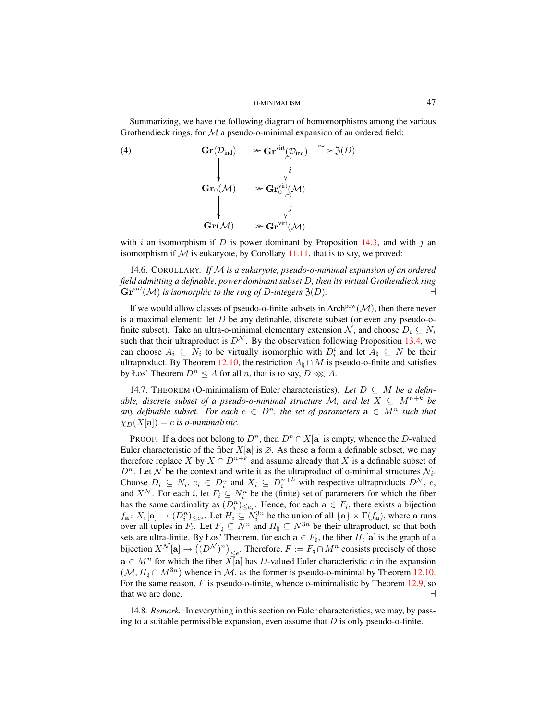Summarizing, we have the following diagram of homomorphisms among the various Grothendieck rings, for  $M$  a pseudo-o-minimal expansion of an ordered field:

(4) 
$$
\mathbf{Gr}(\mathcal{D}_{\text{ind}}) \longrightarrow \mathbf{Gr}^{\text{virt}}(\mathcal{D}_{\text{ind}}) \xrightarrow{\sim} \mathfrak{Z}(D)
$$

$$
\downarrow \qquad \qquad \downarrow \qquad \qquad \downarrow \qquad \downarrow \qquad \downarrow
$$

$$
\mathbf{Gr}_{0}(\mathcal{M}) \longrightarrow \mathbf{Gr}^{\text{virt}}_{0}(\mathcal{M})
$$

$$
\downarrow \qquad \qquad \downarrow \qquad \downarrow \qquad \downarrow
$$

$$
\mathbf{Gr}(\mathcal{M}) \longrightarrow \mathbf{Gr}^{\text{virt}}(\mathcal{M})
$$

with i an isomorphism if D is power dominant by Proposition [14.3,](#page-44-0) and with j an isomorphism if  $M$  is eukaryote, by Corollary [11.11,](#page-33-1) that is to say, we proved:

<span id="page-46-0"></span>14.6. COROLLARY. *If* M *is a eukaryote, pseudo-o-minimal expansion of an ordered field admitting a definable, power dominant subset* D*, then its virtual Grothendieck ring*  $\mathbf{Gr}^{\text{virt}}(\mathcal{M})$  *is isomorphic to the ring of D-integers*  $\mathfrak{Z}(D)$ *.* 

If we would allow classes of pseudo-o-finite subsets in Arch<sup>pow</sup> $(M)$ , then there never is a maximal element: let  $D$  be any definable, discrete subset (or even any pseudo-ofinite subset). Take an ultra-o-minimal elementary extension N, and choose  $D_i \subseteq N_i$ such that their ultraproduct is  $D^{\mathcal{N}}$ . By the observation following Proposition [13.4,](#page-42-1) we can choose  $A_i \subseteq N_i$  to be virtually isomorphic with  $D_i^i$  and let  $A_{\natural} \subseteq N$  be their ultraproduct. By Theorem [12.10,](#page-40-3) the restriction  $A_{\text{h}} \cap M$  is pseudo-o-finite and satisfies by Łos' Theorem  $D^n \leq A$  for all n, that is to say,  $D \lll A$ .

<span id="page-46-1"></span>14.7. THEOREM (O-minimalism of Euler characteristics). Let  $D \subseteq M$  be a defin*able, discrete subset of a pseudo-o-minimal structure* M, and let  $X \subseteq M^{n+k}$  be *any definable subset. For each*  $e \in D^n$ , the set of parameters  $\mathbf{a} \in M^n$  such that  $\chi_D(X[\mathbf{a}]) = e$  is o-minimalistic.

PROOF. If a does not belong to  $D^n$ , then  $D^n \cap X[\mathbf{a}]$  is empty, whence the D-valued Euler characteristic of the fiber  $X[\mathbf{a}]$  is  $\emptyset$ . As these a form a definable subset, we may therefore replace X by  $X \cap D^{n+k}$  and assume already that X is a definable subset of  $D^n$ . Let N be the context and write it as the ultraproduct of o-minimal structures  $\mathcal{N}_i$ . Choose  $D_i \subseteq N_i$ ,  $e_i \in D_i^n$  and  $X_i \subseteq D_i^{n+k}$  with respective ultraproducts  $D^{\mathcal{N}}$ , e, and  $X^{\mathcal{N}}$ . For each i, let  $F_i \subseteq N_i^n$  be the (finite) set of parameters for which the fiber has the same cardinality as  $(D_i^n)_{\leq e_i}$ . Hence, for each  $\mathbf{a} \in F_i$ , there exists a bijection  $f_{\mathbf{a}}: X_i[\mathbf{a}] \to (D_i^n)_{\leq e_i}$ . Let  $H_i \subseteq N_i^{3n}$  be the union of all  $\{\mathbf{a}\}\times \Gamma(f_{\mathbf{a}})$ , where a runs over all tuples in  $F_i$ . Let  $F_{\natural} \subseteq N^n$  and  $H_{\natural} \subseteq N^{3n}$  be their ultraproduct, so that both sets are ultra-finite. By Łos' Theorem, for each  $\mathbf{a} \in F_{\natural}$ , the fiber  $H_{\natural}[\mathbf{a}]$  is the graph of a bijection  $X^{\mathcal{N}}[\mathbf{a}]\to \big((D^{\mathcal{N}})^n\big)_{\leq e}.$  Therefore,  $F:=F_\natural\cap M^n$  consists precisely of those  $a \in M^n$  for which the fiber  $X[\overline{a}]$  has D-valued Euler characteristic e in the expansion  $(M, H<sub>b</sub> \cap M^{3n})$  whence in M, as the former is pseudo-o-minimal by Theorem [12.10.](#page-40-3) For the same reason,  $F$  is pseudo-o-finite, whence o-minimalistic by Theorem [12.9,](#page-39-2) so that we are done.  $\Box$ 

14.8*. Remark.* In everything in this section on Euler characteristics, we may, by passing to a suitable permissible expansion, even assume that  $D$  is only pseudo-o-finite.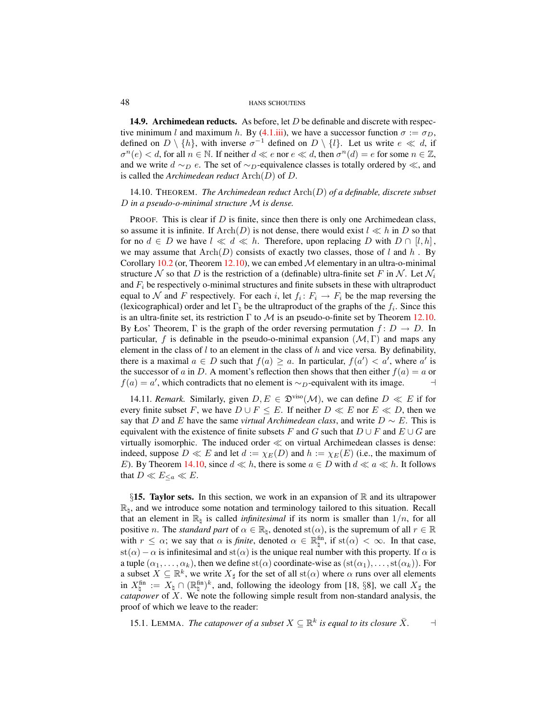**14.9. Archimedean reducts.** As before, let D be definable and discrete with respec-tive minimum l and maximum h. By [\(4.1.iii\)](#page-10-1), we have a successor function  $\sigma := \sigma_D$ , defined on  $D \setminus \{h\}$ , with inverse  $\sigma^{-1}$  defined on  $D \setminus \{l\}$ . Let us write  $e \ll d$ , if  $\sigma^n(e) < d$ , for all  $n \in \mathbb{N}$ . If neither  $d \ll e$  nor  $e \ll d$ , then  $\sigma^n(d) = e$  for some  $n \in \mathbb{Z}$ , and we write  $d \sim_D e$ . The set of  $\sim_D$ -equivalence classes is totally ordered by  $\ll$ , and is called the *Archimedean reduct* Arch(D) of D.

# <span id="page-47-1"></span>14.10. THEOREM. *The Archimedean reduct* Arch(D) *of a definable, discrete subset* D *in a pseudo-o-minimal structure* M *is dense.*

PROOF. This is clear if  $D$  is finite, since then there is only one Archimedean class, so assume it is infinite. If  $\text{Arch}(D)$  is not dense, there would exist  $l \ll h$  in D so that for no  $d \in D$  we have  $l \ll d \ll h$ . Therefore, upon replacing D with  $D \cap [l, h]$ , we may assume that  $\text{Arch}(D)$  consists of exactly two classes, those of l and h. By Corollary [10.2](#page-28-4) (or, Theorem [12.10\)](#page-40-3), we can embed  $\mathcal M$  elementary in an ultra-o-minimal structure N so that D is the restriction of a (definable) ultra-finite set F in N. Let  $\mathcal{N}_i$ and  $F_i$  be respectively o-minimal structures and finite subsets in these with ultraproduct equal to  $\mathcal N$  and F respectively. For each i, let  $f_i: F_i \to F_i$  be the map reversing the (lexicographical) order and let  $\Gamma_{\natural}$  be the ultraproduct of the graphs of the  $f_i$ . Since this is an ultra-finite set, its restriction  $\Gamma$  to  $\mathcal M$  is an pseudo-o-finite set by Theorem [12.10.](#page-40-3) By Łos' Theorem,  $\Gamma$  is the graph of the order reversing permutation  $f: D \to D$ . In particular, f is definable in the pseudo-o-minimal expansion  $(M, \Gamma)$  and maps any element in the class of  $l$  to an element in the class of  $h$  and vice versa. By definability, there is a maximal  $a \in D$  such that  $f(a) \ge a$ . In particular,  $f(a') < a'$ , where a' is the successor of a in D. A moment's reflection then shows that then either  $f(a) = a$  or  $f(a) = a'$ , which contradicts that no element is ~<sub>D</sub>-equivalent with its image.  $\Box$ 

14.11*. Remark.* Similarly, given  $D, E \in \mathfrak{D}^{\text{viso}}(\mathcal{M})$ , we can define  $D \ll E$  if for every finite subset F, we have  $D \cup F \leq E$ . If neither  $D \ll E$  nor  $E \ll D$ , then we say that D and E have the same *virtual Archimedean class*, and write  $D \sim E$ . This is equivalent with the existence of finite subsets F and G such that  $D \cup F$  and  $E \cup G$  are virtually isomorphic. The induced order  $\ll$  on virtual Archimedean classes is dense: indeed, suppose  $D \ll E$  and let  $d := \chi_E(D)$  and  $h := \chi_E(E)$  (i.e., the maximum of E). By Theorem [14.10,](#page-47-1) since  $d \ll h$ , there is some  $a \in D$  with  $d \ll a \ll h$ . It follows that  $D \ll E_{\leq a} \ll E$ .

<span id="page-47-0"></span>§15. Taylor sets. In this section, we work in an expansion of  $\mathbb R$  and its ultrapower  $\mathbb{R}_1$ , and we introduce some notation and terminology tailored to this situation. Recall that an element in  $\mathbb{R}_{\natural}$  is called *infinitesimal* if its norm is smaller than  $1/n$ , for all positive *n*. The *standard part* of  $\alpha \in \mathbb{R}_{\natural}$ , denoted st $(\alpha)$ , is the supremum of all  $r \in \mathbb{R}$ with  $r \leq \alpha$ ; we say that  $\alpha$  is *finite*, denoted  $\alpha \in \mathbb{R}_{\natural}^{\text{fin}}$ , if st $(\alpha) < \infty$ . In that case, st( $\alpha$ ) –  $\alpha$  is infinitesimal and st( $\alpha$ ) is the unique real number with this property. If  $\alpha$  is a tuple  $(\alpha_1, \ldots, \alpha_k)$ , then we define st( $\alpha$ ) coordinate-wise as  $(st(\alpha_1), \ldots, st(\alpha_k))$ . For a subset  $X \subseteq \mathbb{R}^k$ , we write  $X_{\sharp}$  for the set of all  $\text{st}(\alpha)$  where  $\alpha$  runs over all elements in  $X_{\natural}^{\text{fin}} := X_{\natural} \cap (\mathbb{R}_{\natural}^{\text{fin}})^{k}$ , and, following the ideology from [18, §8], we call  $X_{\sharp}$  the *catapower* of X. We note the following simple result from non-standard analysis, the proof of which we leave to the reader:

15.1. LEMMA. *The catapower of a subset*  $X \subseteq \mathbb{R}^k$  is equal to its closure  $\bar{X}$ .  $\Box$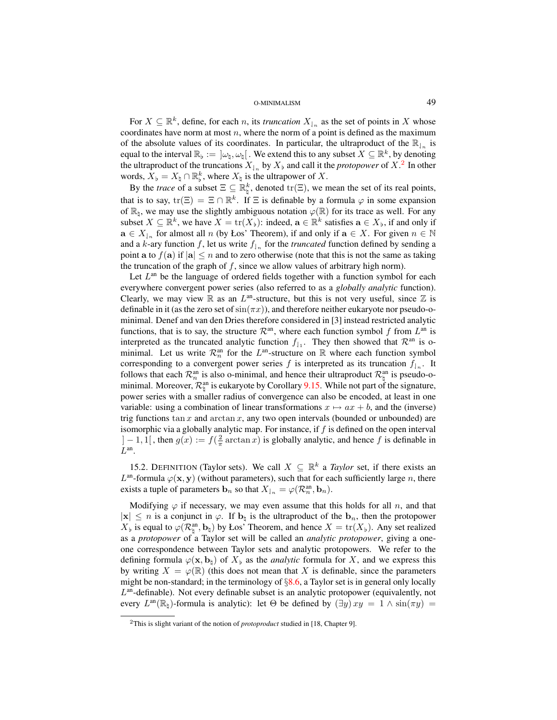For  $X \subseteq \mathbb{R}^k$ , define, for each *n*, its *truncation*  $X_{\vert n}$  as the set of points in X whose coordinates have norm at most  $n$ , where the norm of a point is defined as the maximum of the absolute values of its coordinates. In particular, the ultraproduct of the  $\mathbb{R}_{n}$  is equal to the interval  $\mathbb{R}_b := [\omega_\natural, \omega_\natural]$ . We extend this to any subset  $X \subseteq \mathbb{R}^k$ , by denoting the ultraproduct of the truncations  $X_{n}$  by  $X_{n}$  and call it the *protopower* of  $X$ .<sup>[2](#page-48-0)</sup> In other words,  $\bar{X}_{\flat} = X_{\natural} \cap \mathbb{R}_{\flat}^k$ , where  $X_{\natural}$  is the ultrapower of X.

By the *trace* of a subset  $\Xi \subseteq \mathbb{R}^k_\natural$ , denoted tr( $\Xi$ ), we mean the set of its real points, that is to say,  $\text{tr}(\Xi) = \Xi \cap \mathbb{R}^k$ . If  $\Xi$  is definable by a formula  $\varphi$  in some expansion of  $\mathbb{R}_1$ , we may use the slightly ambiguous notation  $\varphi(\mathbb{R})$  for its trace as well. For any subset  $X \subseteq \mathbb{R}^k$ , we have  $X = \text{tr}(X_{\flat})$ : indeed,  $\mathbf{a} \in \mathbb{R}^k$  satisfies  $\mathbf{a} \in X_{\flat}$ , if and only if  $\mathbf{a} \in X_{n}$  for almost all n (by Łos' Theorem), if and only if  $\mathbf{a} \in X$ . For given  $n \in \mathbb{N}$ and a k-ary function f, let us write  $f_{\vert_n}$  for the *truncated* function defined by sending a point a to  $f(\mathbf{a})$  if  $|\mathbf{a}| \leq n$  and to zero otherwise (note that this is not the same as taking the truncation of the graph of  $f$ , since we allow values of arbitrary high norm).

Let  $L<sup>an</sup>$  be the language of ordered fields together with a function symbol for each everywhere convergent power series (also referred to as a *globally analytic* function). Clearly, we may view  $\mathbb R$  as an  $L^{\text{an}}$ -structure, but this is not very useful, since  $\mathbb Z$  is definable in it (as the zero set of  $sin(\pi x)$ ), and therefore neither eukaryote nor pseudo-ominimal. Denef and van den Dries therefore considered in [3] instead restricted analytic functions, that is to say, the structure  $\mathcal{R}^{an}$ , where each function symbol f from  $L^{an}$  is interpreted as the truncated analytic function  $f_{11}$ . They then showed that  $\mathcal{R}^{an}$  is ominimal. Let us write  $\mathcal{R}_n^{\text{an}}$  for the  $L^{\text{an}}$ -structure on  $\mathbb R$  where each function symbol corresponding to a convergent power series f is interpreted as its truncation  $f_{\downarrow n}$ . It follows that each  $\mathcal{R}_n^{\text{an}}$  is also o-minimal, and hence their ultraproduct  $\mathcal{R}_\natural^{\text{an}}$  is pseudo-ominimal. Moreover,  $\mathcal{R}_{\natural}^{\text{an}}$  is eukaryote by Corollary [9.15.](#page-27-3) While not part of the signature, power series with a smaller radius of convergence can also be encoded, at least in one variable: using a combination of linear transformations  $x \mapsto ax + b$ , and the (inverse) trig functions  $\tan x$  and  $\arctan x$ , any two open intervals (bounded or unbounded) are isomorphic via a globally analytic map. For instance, if  $f$  is defined on the open interval  $]-1,1[$ , then  $g(x) := f(\frac{2}{\pi}\arctan x)$  is globally analytic, and hence f is definable in  $L^{\text{an}}$ .

15.2. DEFINITION (Taylor sets). We call  $X \subseteq \mathbb{R}^k$  a *Taylor* set, if there exists an  $L^{\text{an}}$ -formula  $\varphi(\mathbf{x}, \mathbf{y})$  (without parameters), such that for each sufficiently large n, there exists a tuple of parameters  $\mathbf{b}_n$  so that  $X_{\vert_n} = \varphi(\mathcal{R}_n^{\text{an}}, \mathbf{b}_n)$ .

Modifying  $\varphi$  if necessary, we may even assume that this holds for all n, and that  $|x| \leq n$  is a conjunct in  $\varphi$ . If  $\mathbf{b}_{\natural}$  is the ultraproduct of the  $\mathbf{b}_n$ , then the protopower  $X_{\flat}$  is equal to  $\varphi(\mathcal{R}_{\natural}^{\text{an}}, \mathbf{b}_{\natural})$  by Łos' Theorem, and hence  $X = \text{tr}(X_{\flat})$ . Any set realized as a *protopower* of a Taylor set will be called an *analytic protopower*, giving a oneone correspondence between Taylor sets and analytic protopowers. We refer to the defining formula  $\varphi(\mathbf{x}, \mathbf{b}_\sharp)$  of  $X_\flat$  as the *analytic* formula for X, and we express this by writing  $X = \varphi(\mathbb{R})$  (this does not mean that X is definable, since the parameters might be non-standard; in the terminology of  $\S 8.6$ , a Taylor set is in general only locally L<sup>an</sup>-definable). Not every definable subset is an analytic protopower (equivalently, not every  $L^{an}(\mathbb{R}_{+})$ -formula is analytic): let  $\Theta$  be defined by  $(\exists y) xy = 1 \wedge \sin(\pi y) =$ 

<span id="page-48-0"></span><sup>2</sup>This is slight variant of the notion of *protoproduct* studied in [18, Chapter 9].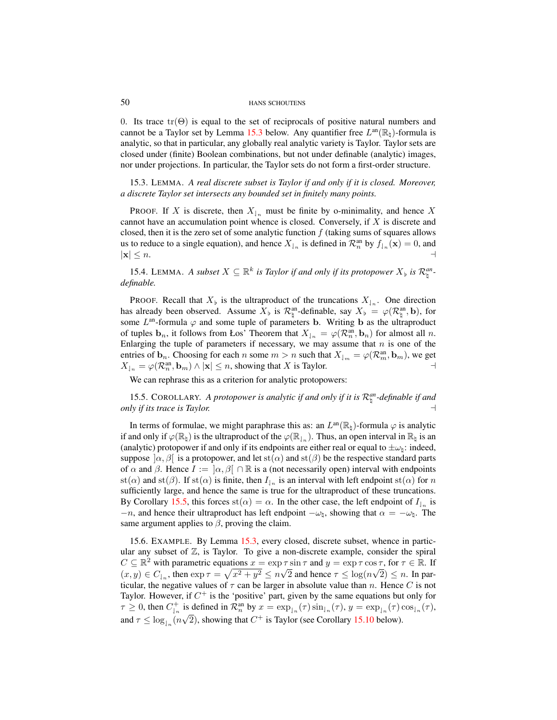0. Its trace  $tr(\Theta)$  is equal to the set of reciprocals of positive natural numbers and cannot be a Taylor set by Lemma [15.3](#page-49-0) below. Any quantifier free  $L^{\text{an}}(\mathbb{R}_{\natural})$ -formula is analytic, so that in particular, any globally real analytic variety is Taylor. Taylor sets are closed under (finite) Boolean combinations, but not under definable (analytic) images, nor under projections. In particular, the Taylor sets do not form a first-order structure.

<span id="page-49-0"></span>15.3. LEMMA. *A real discrete subset is Taylor if and only if it is closed. Moreover, a discrete Taylor set intersects any bounded set in finitely many points.*

PROOF. If X is discrete, then  $X_{n}$  must be finite by o-minimality, and hence X cannot have an accumulation point whence is closed. Conversely, if  $X$  is discrete and closed, then it is the zero set of some analytic function  $f$  (taking sums of squares allows us to reduce to a single equation), and hence  $X_{n}$  is defined in  $\mathcal{R}_n^{\text{an}}$  by  $f_{n}(\mathbf{x}) = 0$ , and  $|\mathbf{x}| \leq n.$ 

15.4. LEMMA. A subset  $X \subseteq \mathbb{R}^k$  is Taylor if and only if its protopower  $X_{\flat}$  is  $\mathcal{R}_{\natural}^{an}$ . *definable.*

PROOF. Recall that  $X_{\flat}$  is the ultraproduct of the truncations  $X_{\downarrow n}$ . One direction has already been observed. Assume  $X_{\flat}$  is  $\mathcal{R}_{\natural}^{\text{an}}$ -definable, say  $X_{\flat} = \varphi(\mathcal{R}_{\natural}^{\text{an}}, \mathbf{b})$ , for some  $L^{\text{an}}$ -formula  $\varphi$  and some tuple of parameters **b**. Writing **b** as the ultraproduct of tuples  $\mathbf{b}_n$ , it follows from Łos' Theorem that  $X_{n} = \varphi(\mathcal{R}_n^{\text{an}}, \mathbf{b}_n)$  for almost all n. Enlarging the tuple of parameters if necessary, we may assume that  $n$  is one of the entries of  $\mathbf{b}_n$ . Choosing for each n some  $m > n$  such that  $X_{\downarrow_m} = \varphi(\mathcal{R}_m^{\text{an}}, \mathbf{b}_m)$ , we get  $X_{\vert_n} = \varphi(\mathcal{R}_n^{\text{an}}, \mathbf{b}_m) \wedge |\mathbf{x}| \leq n$ , showing that X is Taylor.

We can rephrase this as a criterion for analytic protopowers:

<span id="page-49-1"></span>15.5. COROLLARY. A protopower is analytic if and only if it is  $\mathcal{R}_{\natural}^{an}$ -definable if and *only if its trace is Taylor.* a

In terms of formulae, we might paraphrase this as: an  $L^{\text{an}}(\mathbb{R}_{\natural})$ -formula  $\varphi$  is analytic if and only if  $\varphi(\mathbb{R}_{\natural})$  is the ultraproduct of the  $\varphi(\mathbb{R}_{\natural_n})$ . Thus, an open interval in  $\mathbb{R}_{\natural}$  is an (analytic) protopower if and only if its endpoints are either real or equal to  $\pm \omega_{\rm b}$ : indeed, suppose  $[\alpha, \beta]$  is a protopower, and let st $(\alpha)$  and st $(\beta)$  be the respective standard parts of  $\alpha$  and  $\beta$ . Hence  $I := [\alpha, \beta] \cap \mathbb{R}$  is a (not necessarily open) interval with endpoints st( $\alpha$ ) and st( $\beta$ ). If st( $\alpha$ ) is finite, then  $I_{n}$  is an interval with left endpoint st( $\alpha$ ) for  $n$ sufficiently large, and hence the same is true for the ultraproduct of these truncations. By Corollary [15.5,](#page-49-1) this forces  $\text{st}(\alpha) = \alpha$ . In the other case, the left endpoint of  $I_{n}$  is  $-n$ , and hence their ultraproduct has left endpoint  $-\omega_{\,\sharp}$ , showing that  $\alpha = -\omega_{\,\sharp}$ . The same argument applies to  $\beta$ , proving the claim.

15.6. EXAMPLE. By Lemma [15.3,](#page-49-0) every closed, discrete subset, whence in particular any subset of  $\mathbb{Z}$ , is Taylor. To give a non-discrete example, consider the spiral  $C \subseteq \mathbb{R}^2$  with parametric equations  $x = \exp \tau \sin \tau$  and  $y = \exp \tau \cos \tau$ , for  $\tau \in \mathbb{R}$ . If  $(x, y) \in C_{n}$ , then  $\exp \tau = \sqrt{x^2 + y^2} \le n\sqrt{2}$  and hence  $\tau \le \log(n\sqrt{2}) \le n$ . In particular, the negative values of  $\tau$  can be larger in absolute value than n. Hence C is not Taylor. However, if  $C^+$  is the 'positive' part, given by the same equations but only for  $\tau \geq 0$ , then  $C_{\vert n}^+$  is defined in  $\mathcal{R}_n^{\text{an}}$  by  $x = \exp_{\vert n}(\tau) \sin_{\vert n}(\tau)$ ,  $y = \exp_{\vert n}(\tau) \cos_{\vert n}(\tau)$ , and  $\tau \leq \log_{10}(n\sqrt{2})$ , showing that  $C^+$  is Taylor (see Corollary [15.10](#page-50-0) below).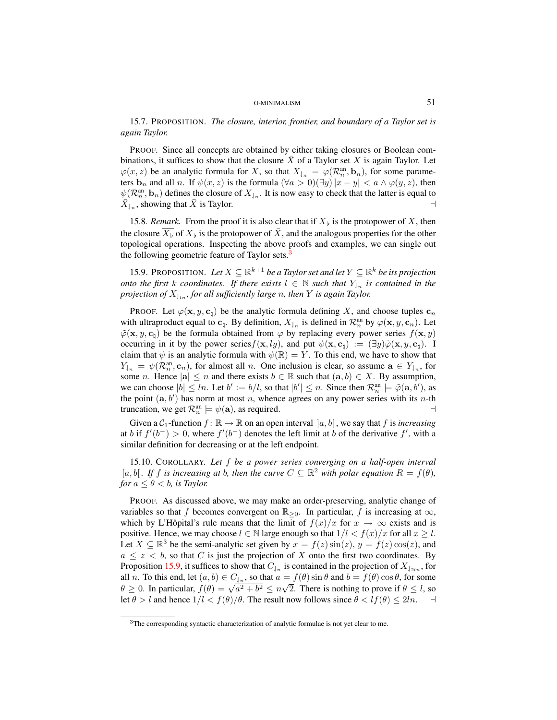15.7. PROPOSITION. *The closure, interior, frontier, and boundary of a Taylor set is again Taylor.*

PROOF. Since all concepts are obtained by either taking closures or Boolean combinations, it suffices to show that the closure  $\overline{X}$  of a Taylor set X is again Taylor. Let  $\varphi(x, z)$  be an analytic formula for X, so that  $X_{n} = \varphi(\mathcal{R}_n^{\text{an}}, \mathbf{b}_n)$ , for some parameters  $\mathbf{b}_n$  and all *n*. If  $\psi(x, z)$  is the formula  $(\forall a > 0)(\exists y)|x - y| < a \land \varphi(y, z)$ , then  $\psi(\mathcal{R}_n^{\text{an}}, \mathbf{b}_n)$  defines the closure of  $X_{n}$ . It is now easy to check that the latter is equal to  $\overline{X}_{1_n}$ , showing that  $\overline{X}$  is Taylor.

<span id="page-50-3"></span>15.8*. Remark*. From the proof it is also clear that if  $X_{\flat}$  is the protopower of X, then the closure  $\overline{X_{\flat}}$  of  $X_{\flat}$  is the protopower of  $\bar{X}$ , and the analogous properties for the other topological operations. Inspecting the above proofs and examples, we can single out the following geometric feature of Taylor sets.<sup>[3](#page-50-1)</sup>

<span id="page-50-2"></span>15.9. PROPOSITION. Let  $X \subseteq \mathbb{R}^{k+1}$  *be a Taylor set and let*  $Y \subseteq \mathbb{R}^k$  *be its projection onto the first k coordinates. If there exists*  $l \in \mathbb{N}$  *such that*  $Y_{l_n}$  *is contained in the projection of*  $X_{\vert \ln}$ *, for all sufficiently large n, then Y is again Taylor.* 

PROOF. Let  $\varphi(\mathbf{x}, y, \mathbf{c}_\mathbf{b})$  be the analytic formula defining X, and choose tuples  $\mathbf{c}_n$ with ultraproduct equal to  $c_\nightharpoonup$ . By definition,  $X_{\nightharpoonup}$  is defined in  $\mathcal{R}_n^{\text{an}}$  by  $\varphi(\mathbf{x}, y, c_n)$ . Let  $\tilde{\varphi}(\mathbf{x}, y, \mathbf{c}_b)$  be the formula obtained from  $\varphi$  by replacing every power series  $f(\mathbf{x}, y)$ occurring in it by the power series  $f(\mathbf{x}, ly)$ , and put  $\psi(\mathbf{x}, \mathbf{c}_\text{b}) := (\exists y) \tilde{\varphi}(\mathbf{x}, y, \mathbf{c}_\text{b})$ . I claim that  $\psi$  is an analytic formula with  $\psi(\mathbb{R}) = Y$ . To this end, we have to show that  $Y_{n} = \psi(\mathcal{R}_n^{\text{an}}, \mathbf{c}_n)$ , for almost all n. One inclusion is clear, so assume  $\mathbf{a} \in Y_{n}$ , for some *n*. Hence  $|\mathbf{a}| \leq n$  and there exists  $b \in \mathbb{R}$  such that  $(\mathbf{a}, b) \in X$ . By assumption, we can choose  $|b| \leq ln$ . Let  $b' := b/l$ , so that  $|b'| \leq n$ . Since then  $\mathcal{R}_n^{\text{an}} \models \tilde{\varphi}(\mathbf{a}, b')$ , as the point  $(a, b')$  has norm at most n, whence agrees on any power series with its n-th truncation, we get  $\mathcal{R}_n^{\text{an}} \models \psi(\mathbf{a})$ , as required.

Given a  $C_1$ -function  $f : \mathbb{R} \to \mathbb{R}$  on an open interval  $[a, b]$ , we say that f is *increasing* at b if  $f'(b^-) > 0$ , where  $f'(b^-)$  denotes the left limit at b of the derivative  $f'$ , with a similar definition for decreasing or at the left endpoint.

<span id="page-50-0"></span>15.10. COROLLARY. *Let* f *be a power series converging on a half-open interval* [a, b]. If f is increasing at b, then the curve  $C \subseteq \mathbb{R}^2$  with polar equation  $R = f(\theta)$ , *for*  $a \leq \theta < b$ *, is Taylor.* 

PROOF. As discussed above, we may make an order-preserving, analytic change of variables so that f becomes convergent on  $\mathbb{R}_{\geq 0}$ . In particular, f is increasing at  $\infty$ , which by L'Hôpital's rule means that the limit of  $f(x)/x$  for  $x \to \infty$  exists and is positive. Hence, we may choose  $l \in \mathbb{N}$  large enough so that  $1/l < f(x)/x$  for all  $x \geq l$ . Let  $X \subseteq \mathbb{R}^3$  be the semi-analytic set given by  $x = f(z) \sin(z)$ ,  $y = f(z) \cos(z)$ , and  $a \leq z \leq b$ , so that C is just the projection of X onto the first two coordinates. By Proposition [15.9,](#page-50-2) it suffices to show that  $C_{n}$  is contained in the projection of  $X_{2n}$ , for all *n*. To this end, let  $(a, b) \in C_{a,b}$ , so that  $a = f(\theta) \sin \theta$  and  $b = f(\theta) \cos \theta$ , for some an *n*. To this end, let  $(a, b) \in C_{n}$ , so that  $a \equiv f(\theta)$  sin  $\theta$  and  $b \equiv f(\theta) \cos \theta$ , for some  $\theta \ge 0$ . In particular,  $f(\theta) = \sqrt{a^2 + b^2} \le n\sqrt{2}$ . There is nothing to prove if  $\theta \le l$ , so let  $\theta > l$  and hence  $1/l < f(\theta)/\theta$ . The result now follows since  $\theta < lf(\theta) \leq 2ln$ .

<span id="page-50-1"></span><sup>&</sup>lt;sup>3</sup>The corresponding syntactic characterization of analytic formulae is not yet clear to me.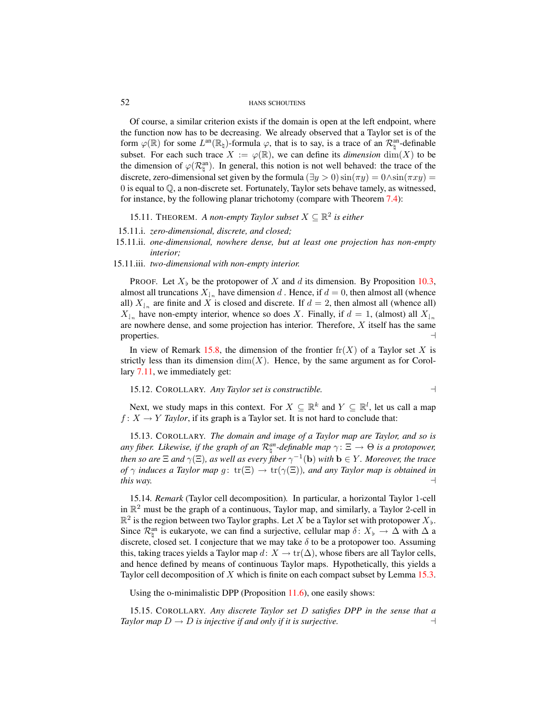Of course, a similar criterion exists if the domain is open at the left endpoint, where the function now has to be decreasing. We already observed that a Taylor set is of the form  $\varphi(\mathbb{R})$  for some  $L^{an}(\mathbb{R}_{\natural})$ -formula  $\varphi$ , that is to say, is a trace of an  $\mathcal{R}_{\natural}^{an}$ -definable subset. For each such trace  $X := \varphi(\mathbb{R})$ , we can define its *dimension* dim(X) to be the dimension of  $\varphi(\mathcal{R}_{\natural}^{\text{an}})$ . In general, this notion is not well behaved: the trace of the discrete, zero-dimensional set given by the formula ( $\exists y > 0$ )  $\sin(\pi y) = 0 \wedge \sin(\pi xy) =$ 0 is equal to Q, a non-discrete set. Fortunately, Taylor sets behave tamely, as witnessed, for instance, by the following planar trichotomy (compare with Theorem [7.4\)](#page-16-4):

<span id="page-51-1"></span>15.11. THEOREM. *A non-empty Taylor subset*  $X \subseteq \mathbb{R}^2$  is either

- 15.11.i. *zero-dimensional, discrete, and closed;*
- 15.11.ii. *one-dimensional, nowhere dense, but at least one projection has non-empty interior;*
- 15.11.iii. *two-dimensional with non-empty interior.*

PROOF. Let  $X_{\flat}$  be the protopower of X and d its dimension. By Proposition [10.3,](#page-28-6) almost all truncations  $X_{n}$  have dimension d. Hence, if  $d = 0$ , then almost all (whence all)  $X_{n}$  are finite and X is closed and discrete. If  $d = 2$ , then almost all (whence all)  $X_{n}$  have non-empty interior, whence so does X. Finally, if  $d = 1$ , (almost) all  $X_{n}$ are nowhere dense, and some projection has interior. Therefore,  $X$  itself has the same properties.  $\Box$ 

In view of Remark [15.8,](#page-50-3) the dimension of the frontier  $\operatorname{fr}(X)$  of a Taylor set X is strictly less than its dimension  $\dim(X)$ . Hence, by the same argument as for Corollary [7.11,](#page-19-5) we immediately get:

15.12. COROLLARY. *Any Taylor set is constructible.* a

Next, we study maps in this context. For  $X \subseteq \mathbb{R}^k$  and  $Y \subseteq \mathbb{R}^l$ , let us call a map  $f: X \to Y$  *Taylor*, if its graph is a Taylor set. It is not hard to conclude that:

<span id="page-51-0"></span>15.13. COROLLARY. *The domain and image of a Taylor map are Taylor, and so is any fiber. Likewise, if the graph of an*  $\mathcal{R}_{\natural}^{an}$ -definable map  $\gamma \colon \Xi \to \Theta$  is a protopower, *then so are*  $\Xi$  *and*  $\gamma(\Xi)$ *, as well as every fiber*  $\gamma^{-1}(\bf{b})$  *with*  $\bf{b} \in Y$ *. Moreover, the trace of*  $\gamma$  *induces a Taylor map*  $g: \text{tr}(\Xi) \to \text{tr}(\gamma(\Xi))$ *, and any Taylor map is obtained in this way.*  $\Box$ 

15.14*. Remark* (Taylor cell decomposition)*.* In particular, a horizontal Taylor 1-cell in  $\mathbb{R}^2$  must be the graph of a continuous, Taylor map, and similarly, a Taylor 2-cell in  $\mathbb{R}^2$  is the region between two Taylor graphs. Let X be a Taylor set with protopower  $X_{\flat}$ . Since  $\mathcal{R}_{\natural}^{\text{an}}$  is eukaryote, we can find a surjective, cellular map  $\delta: X_{\flat} \to \Delta$  with  $\Delta$  a discrete, closed set. I conjecture that we may take  $\delta$  to be a protopower too. Assuming this, taking traces yields a Taylor map  $d: X \to \text{tr}(\Delta)$ , whose fibers are all Taylor cells, and hence defined by means of continuous Taylor maps. Hypothetically, this yields a Taylor cell decomposition of  $X$  which is finite on each compact subset by Lemma [15.3.](#page-49-0)

Using the o-minimalistic DPP (Proposition [11.6\)](#page-32-1), one easily shows:

15.15. COROLLARY. *Any discrete Taylor set* D *satisfies DPP in the sense that a Taylor map*  $D \to D$  *is injective if and only if it is surjective.*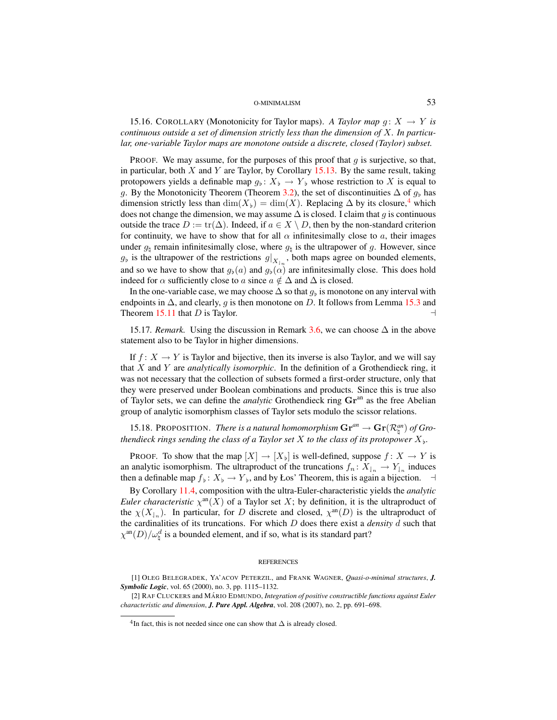15.16. COROLLARY (Monotonicity for Taylor maps). A Taylor map  $g: X \to Y$  is *continuous outside a set of dimension strictly less than the dimension of* X*. In particular, one-variable Taylor maps are monotone outside a discrete, closed (Taylor) subset.*

PROOF. We may assume, for the purposes of this proof that  $g$  is surjective, so that, in particular, both  $X$  and  $Y$  are Taylor, by Corollary [15.13.](#page-51-0) By the same result, taking protopowers yields a definable map  $g_{\flat}: X_{\flat} \to Y_{\flat}$  whose restriction to X is equal to g. By the Monotonicity Theorem (Theorem [3.2\)](#page-7-1), the set of discontinuities  $\Delta$  of  $g<sub>b</sub>$  has dimension strictly less than  $\dim(X_b) = \dim(X)$ . Replacing  $\Delta$  by its closure,<sup>[4](#page-52-0)</sup> which does not change the dimension, we may assume  $\Delta$  is closed. I claim that g is continuous outside the trace  $D := \text{tr}(\Delta)$ . Indeed, if  $a \in X \setminus D$ , then by the non-standard criterion for continuity, we have to show that for all  $\alpha$  infinitesimally close to a, their images under  $g_{\mu}$  remain infinitesimally close, where  $g_{\mu}$  is the ultrapower of g. However, since  $g_b$  is the ultrapower of the restrictions  $g|_{X_{n}}$ , both maps agree on bounded elements, and so we have to show that  $g_b(a)$  and  $g_b(\alpha)$  are infinitesimally close. This does hold indeed for  $\alpha$  sufficiently close to a since  $a \notin \Delta$  and  $\Delta$  is closed.

In the one-variable case, we may choose  $\Delta$  so that  $g_{\flat}$  is monotone on any interval with endpoints in  $\Delta$ , and clearly, g is then monotone on D. It follows from Lemma [15.3](#page-49-0) and Theorem [15.11](#page-51-1) that D is Taylor.  $\Box$ 

15.17*. Remark.* Using the discussion in Remark [3.6,](#page-9-2) we can choose  $\Delta$  in the above statement also to be Taylor in higher dimensions.

If  $f: X \to Y$  is Taylor and bijective, then its inverse is also Taylor, and we will say that X and Y are *analytically isomorphic*. In the definition of a Grothendieck ring, it was not necessary that the collection of subsets formed a first-order structure, only that they were preserved under Boolean combinations and products. Since this is true also of Taylor sets, we can define the *analytic* Grothendieck ring  $\mathbf{Gr}^{\text{an}}$  as the free Abelian group of analytic isomorphism classes of Taylor sets modulo the scissor relations.

15.18. PROPOSITION. *There is a natural homomorphism*  $\mathbf{Gr}^{an} \to \mathbf{Gr}(\mathcal{R}_{\natural}^{an})$  of Gro*thendieck rings sending the class of a Taylor set*  $X$  *to the class of its protopower*  $X_{\flat}$ *.* 

**PROOF.** To show that the map  $[X] \to [X_{\flat}]$  is well-defined, suppose  $f: X \to Y$  is an analytic isomorphism. The ultraproduct of the truncations  $f_n: X_{n} \to Y_{n}$  induces then a definable map  $f_{\flat}: X_{\flat} \to Y_{\flat}$ , and by Łos' Theorem, this is again a bijection.  $\dashv$ 

By Corollary [11.4,](#page-32-2) composition with the ultra-Euler-characteristic yields the *analytic Euler characteristic*  $\chi^{\text{an}}(X)$  of a Taylor set X; by definition, it is the ultraproduct of the  $\chi(X_{n})$ . In particular, for D discrete and closed,  $\chi^{an}(D)$  is the ultraproduct of the cardinalities of its truncations. For which D does there exist a *density* d such that  $\chi^{\text{an}}(D)/\omega_{\natural}^{d}$  is a bounded element, and if so, what is its standard part?

#### **REFERENCES**

<sup>[1]</sup> OLEG BELEGRADEK, YA'ACOV PETERZIL, and FRANK WAGNER, *Quasi-o-minimal structures*, *J. Symbolic Logic*, vol. 65 (2000), no. 3, pp. 1115–1132.

<sup>[2]</sup> RAF CLUCKERS and MÁRIO EDMUNDO, *Integration of positive constructible functions against Euler characteristic and dimension*, *J. Pure Appl. Algebra*, vol. 208 (2007), no. 2, pp. 691–698.

<span id="page-52-0"></span> $4$ In fact, this is not needed since one can show that  $\Delta$  is already closed.